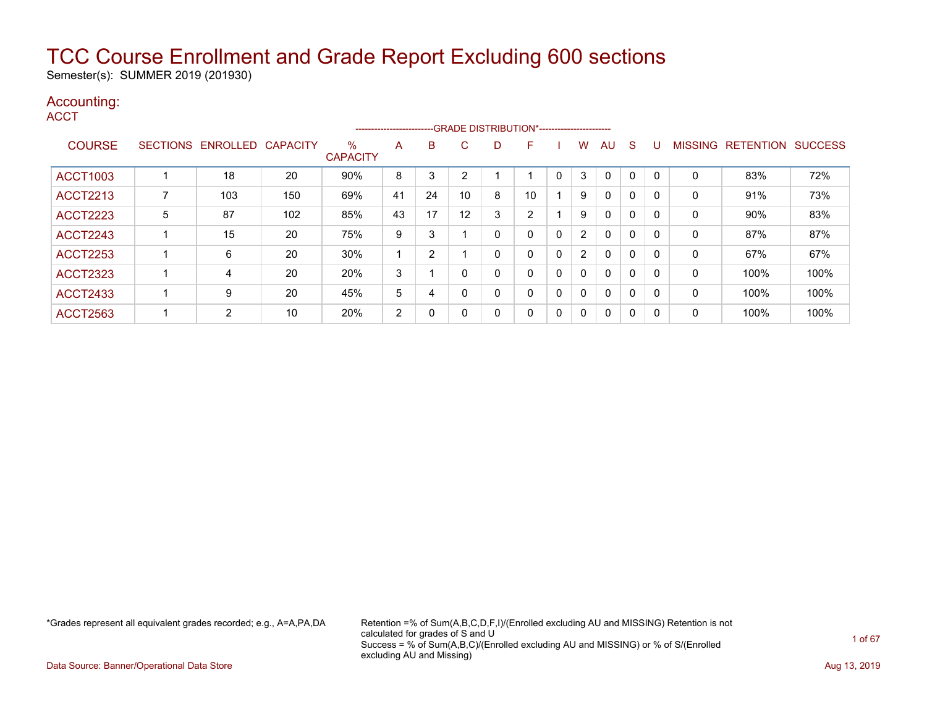Semester(s): SUMMER 2019 (201930)

### Accounting:

**ACCT** 

|                 |   |                   |                 |                         |    |              |    |              | ------------------------GRADE DISTRIBUTION*----------------------- |                |                       |              |              |              |                |                  |                |
|-----------------|---|-------------------|-----------------|-------------------------|----|--------------|----|--------------|--------------------------------------------------------------------|----------------|-----------------------|--------------|--------------|--------------|----------------|------------------|----------------|
| <b>COURSE</b>   |   | SECTIONS ENROLLED | <b>CAPACITY</b> | $\%$<br><b>CAPACITY</b> | A  | B            | C. | D            | F                                                                  |                | w                     | AU           | <sub>S</sub> | U            | <b>MISSING</b> | <b>RETENTION</b> | <b>SUCCESS</b> |
| <b>ACCT1003</b> |   | 18                | 20              | 90%                     | 8  | 3            | ◠  |              |                                                                    | 0              | 3                     | 0            | $\Omega$     |              | 0              | 83%              | 72%            |
| <b>ACCT2213</b> |   | 103               | 150             | 69%                     | 41 | 24           | 10 | 8            | 10                                                                 |                | 9                     | $\mathbf{0}$ | $\mathbf 0$  | <sup>0</sup> | 0              | 91%              | 73%            |
| <b>ACCT2223</b> | 5 | 87                | 102             | 85%                     | 43 | 17           | 12 | 3            | າ                                                                  |                | 9                     | $\mathbf{0}$ | $\mathbf 0$  | - 0          | 0              | 90%              | 83%            |
| <b>ACCT2243</b> |   | 15                | 20              | 75%                     | 9  | 3            |    | 0            | 0                                                                  | $\overline{0}$ | $\overline{2}$        | $\mathbf{0}$ | $\mathbf 0$  |              | 0              | 87%              | 87%            |
| <b>ACCT2253</b> |   | 6                 | 20              | 30%                     |    | 2            |    | $\mathbf{0}$ | 0                                                                  | 0              | $\mathbf{2}^{\prime}$ | $\mathbf{0}$ | $\mathbf 0$  | <sup>0</sup> | 0              | 67%              | 67%            |
| <b>ACCT2323</b> |   | 4                 | 20              | 20%                     | 3  |              |    | 0            | 0                                                                  | 0              | $\Omega$              | $\mathbf{0}$ | 0            | $\Omega$     | 0              | 100%             | 100%           |
| <b>ACCT2433</b> |   | 9                 | 20              | 45%                     | 5  | 4            |    | 0            | 0                                                                  | 0              | $\mathbf{0}$          | 0            | 0            |              | 0              | 100%             | 100%           |
| <b>ACCT2563</b> |   | $\overline{2}$    | 10              | 20%                     | 2  | $\mathbf{0}$ |    | 0            | 0                                                                  | 0              | $\Omega$              | 0            | 0            | -0           | 0              | 100%             | 100%           |

\*Grades represent all equivalent grades recorded; e.g., A=A,PA,DA Retention =% of Sum(A,B,C,D,F,I)/(Enrolled excluding AU and MISSING) Retention is not calculated for grades of S and U Success = % of Sum(A,B,C)/(Enrolled excluding AU and MISSING) or % of S/(Enrolled excluding AU and Missing)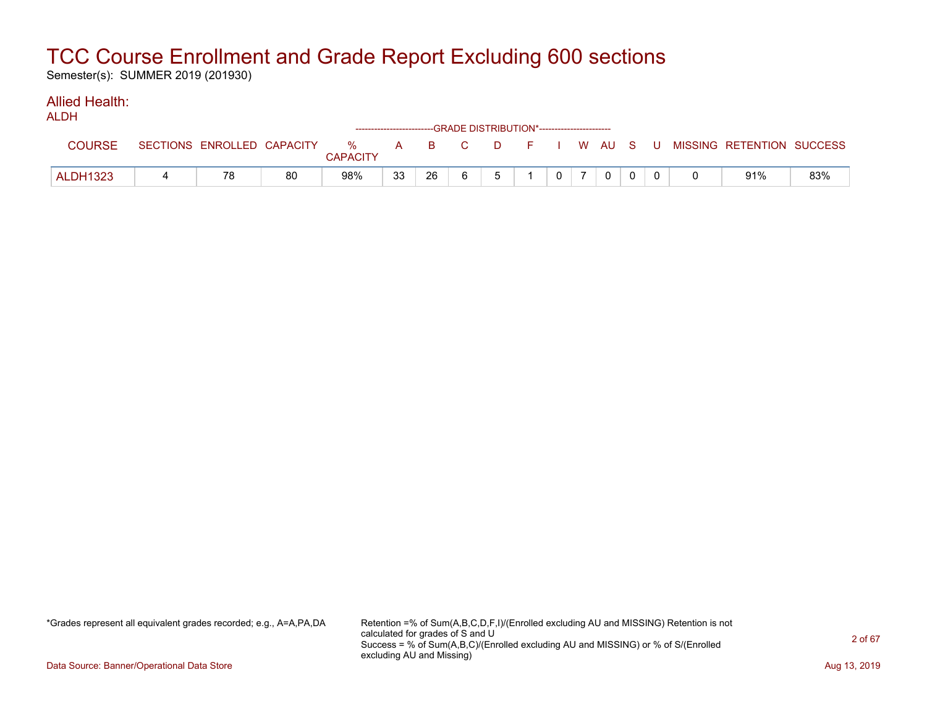Semester(s): SUMMER 2019 (201930)

#### Allied Health: ALDH

| <b>ALDII</b>    |    |    |                 |    |    | -----------------------GRADE                DISTRIBUTION*----------------------- |                |   |             |  |                                                                             |     |
|-----------------|----|----|-----------------|----|----|----------------------------------------------------------------------------------|----------------|---|-------------|--|-----------------------------------------------------------------------------|-----|
| <b>COURSE</b>   |    |    | <b>CAPACITY</b> |    |    |                                                                                  |                |   |             |  | SECTIONS ENROLLED CAPACITY % A B C D F I W AU S U MISSING RETENTION SUCCESS |     |
| <b>ALDH1323</b> | 78 | 80 | 98%             | 33 | 26 |                                                                                  | 5 <sup>5</sup> | 0 | $\mathbf 0$ |  | 91%                                                                         | 83% |

\*Grades represent all equivalent grades recorded; e.g., A=A,PA,DA Retention =% of Sum(A,B,C,D,F,I)/(Enrolled excluding AU and MISSING) Retention is not calculated for grades of S and U Success = % of Sum(A,B,C)/(Enrolled excluding AU and MISSING) or % of S/(Enrolled excluding AU and Missing)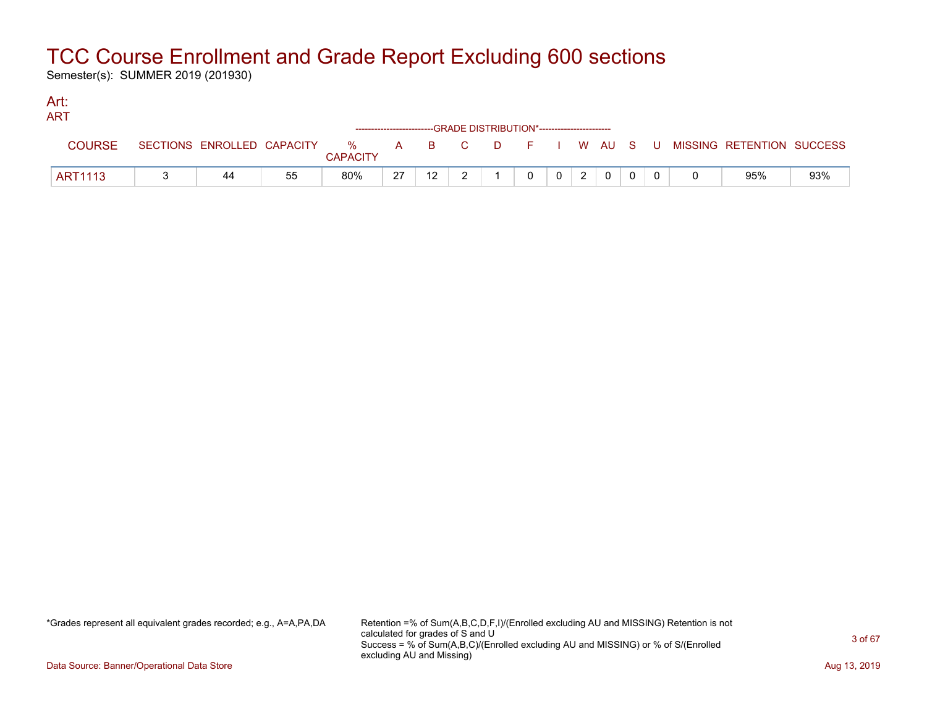Semester(s): SUMMER 2019 (201930)

#### Art: ART

| 731 X L        |                            |    |                         |    |          |              |    | ------------------------GRADE DISTRIBUTION*----------------------- |   |             |     |                           |     |
|----------------|----------------------------|----|-------------------------|----|----------|--------------|----|--------------------------------------------------------------------|---|-------------|-----|---------------------------|-----|
| <b>COURSE</b>  | SECTIONS ENROLLED CAPACITY |    | $\%$<br><b>CAPACITY</b> | A  | <b>B</b> | $\mathbf{C}$ | D. | i Elizabeth                                                        |   | I W AU S    | - U | MISSING RETENTION SUCCESS |     |
| <b>ART1113</b> | 44                         | 55 | 80%                     | 27 | 12       |              |    |                                                                    | 2 | $\mathbf 0$ |     | 95%                       | 93% |

\*Grades represent all equivalent grades recorded; e.g., A=A,PA,DA Retention =% of Sum(A,B,C,D,F,I)/(Enrolled excluding AU and MISSING) Retention is not calculated for grades of S and U Success = % of Sum(A,B,C)/(Enrolled excluding AU and MISSING) or % of S/(Enrolled excluding AU and Missing)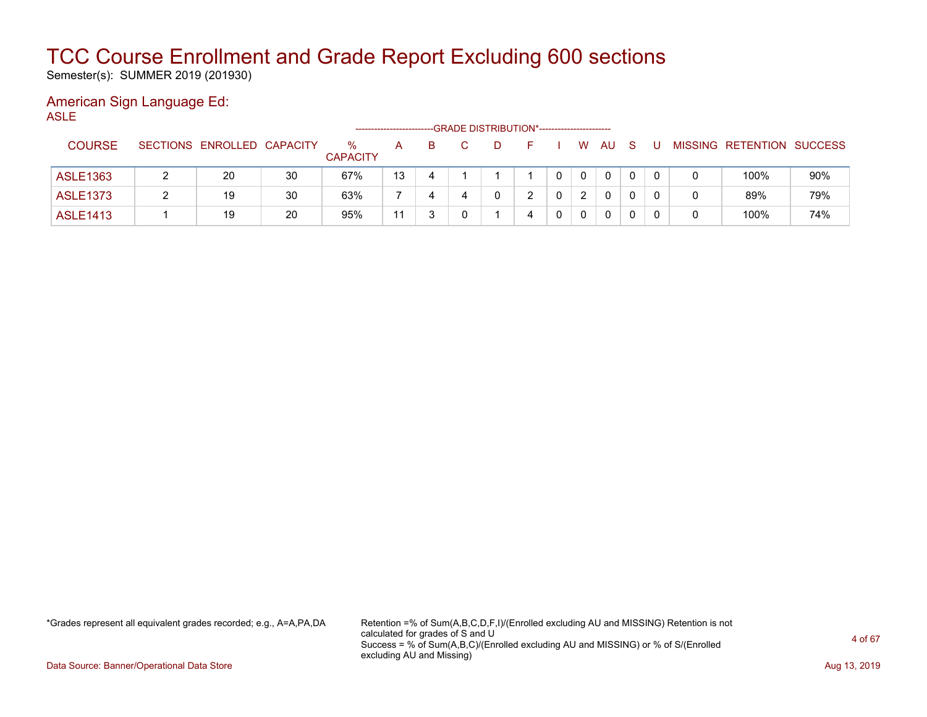Semester(s): SUMMER 2019 (201930)

#### American Sign Language Ed: ASLE

|                 |                            |    | ------------------      |    |    | -GRADE DISTRIBUTION*---------------------- |   |   |   |             |          |              |  |                           |     |
|-----------------|----------------------------|----|-------------------------|----|----|--------------------------------------------|---|---|---|-------------|----------|--------------|--|---------------------------|-----|
| <b>COURSE</b>   | SECTIONS ENROLLED CAPACITY |    | $\%$<br><b>CAPACITY</b> | A  | B. |                                            | Ð |   |   | W           | AU       | <sub>S</sub> |  | MISSING RETENTION SUCCESS |     |
| <b>ASLE1363</b> | 20                         | 30 | 67%                     | 13 | 4  |                                            |   |   | 0 | $\mathbf 0$ | $\Omega$ | 0            |  | 100%                      | 90% |
| <b>ASLE1373</b> | 19                         | 30 | 63%                     |    | 4  | 4                                          |   |   |   | 2           | $\Omega$ |              |  | 89%                       | 79% |
| <b>ASLE1413</b> | 19                         | 20 | 95%                     | 11 |    |                                            |   | 4 | 0 | 0           | 0        |              |  | 100%                      | 74% |

\*Grades represent all equivalent grades recorded; e.g., A=A,PA,DA Retention =% of Sum(A,B,C,D,F,I)/(Enrolled excluding AU and MISSING) Retention is not calculated for grades of S and U Success = % of Sum(A,B,C)/(Enrolled excluding AU and MISSING) or % of S/(Enrolled excluding AU and Missing)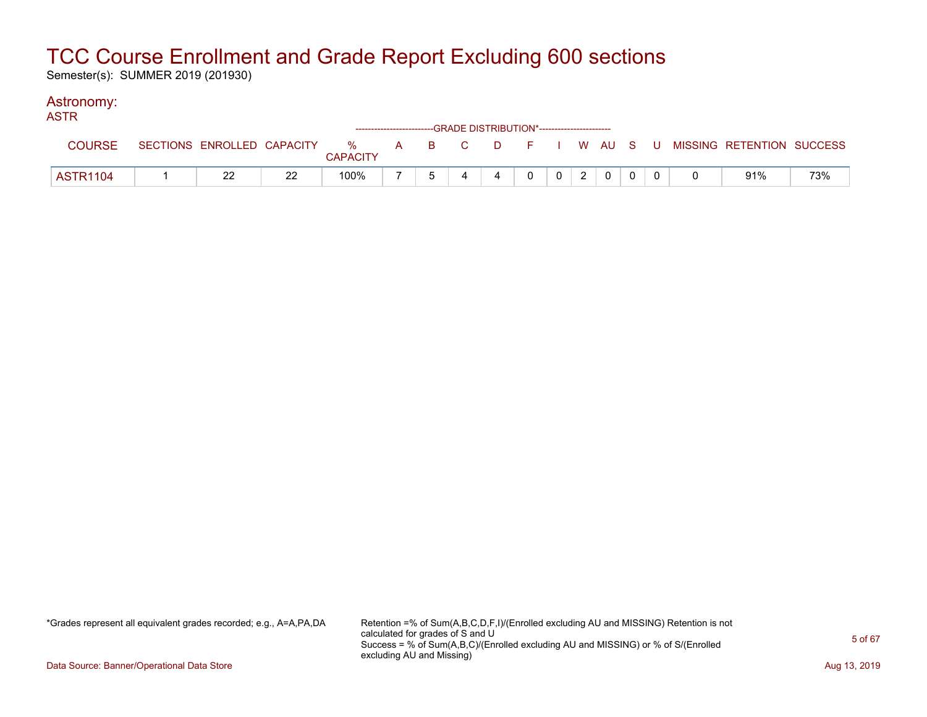Semester(s): SUMMER 2019 (201930)

#### Astronomy: ASTR

| AU LIN   |                            |                     |  | ------------------------GRADE DISTRIBUTION*----------------------- |              |                |  |  |                                          |     |
|----------|----------------------------|---------------------|--|--------------------------------------------------------------------|--------------|----------------|--|--|------------------------------------------|-----|
| COURSE   | SECTIONS ENROLLED CAPACITY | % A B C<br>CAPACITY |  |                                                                    |              |                |  |  | D F I W AU S U MISSING RETENTION SUCCESS |     |
| ASTR1104 | つつ<br>∸∸                   | 100%                |  |                                                                    | $\mathbf{0}$ | 0 <sup>1</sup> |  |  | 91%                                      | 73% |

\*Grades represent all equivalent grades recorded; e.g., A=A,PA,DA Retention =% of Sum(A,B,C,D,F,I)/(Enrolled excluding AU and MISSING) Retention is not calculated for grades of S and U Success = % of Sum(A,B,C)/(Enrolled excluding AU and MISSING) or % of S/(Enrolled excluding AU and Missing)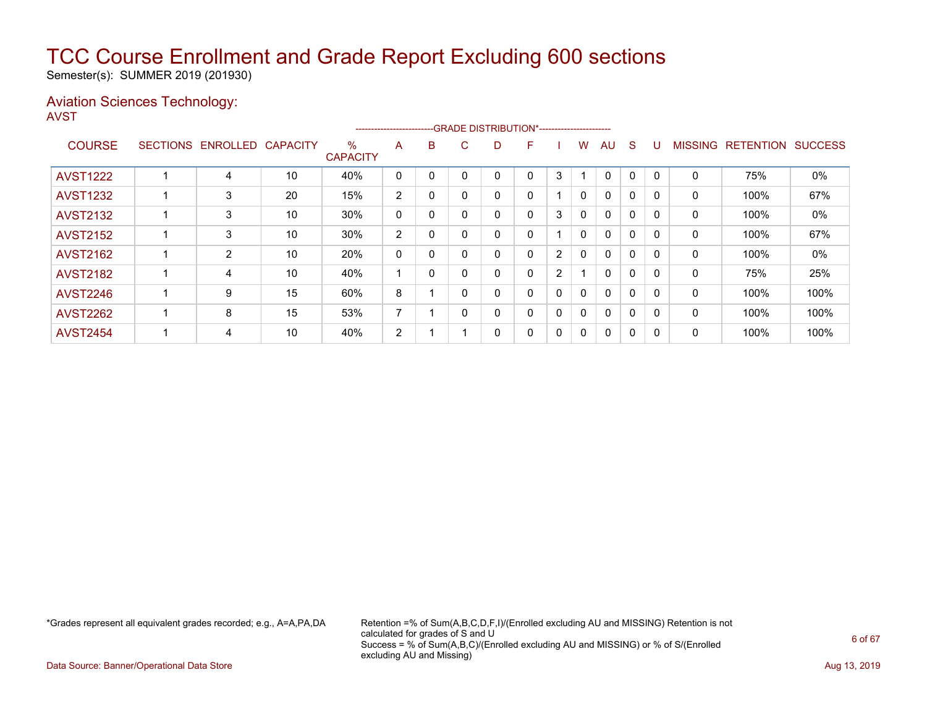Semester(s): SUMMER 2019 (201930)

#### Aviation Sciences Technology: AVST

|                 |                 |                |                 |                      | ----------------------- |          |    |    | --GRADE DISTRIBUTION*----------------------- |                |              |              |   |          |                |                  |                |
|-----------------|-----------------|----------------|-----------------|----------------------|-------------------------|----------|----|----|----------------------------------------------|----------------|--------------|--------------|---|----------|----------------|------------------|----------------|
| <b>COURSE</b>   | <b>SECTIONS</b> | ENROLLED       | <b>CAPACITY</b> | %<br><b>CAPACITY</b> | A                       | B        | C. | D. | F                                            |                | w            | AU           | S |          | <b>MISSING</b> | <b>RETENTION</b> | <b>SUCCESS</b> |
| <b>AVST1222</b> |                 | 4              | 10              | 40%                  | 0                       |          |    |    | 0                                            | 3              |              | 0            | 0 |          | 0              | 75%              | 0%             |
| <b>AVST1232</b> |                 | 3              | 20              | 15%                  | 2                       | 0        |    |    | 0                                            |                | $\mathbf{0}$ | $\mathbf{0}$ | 0 |          | 0              | 100%             | 67%            |
| <b>AVST2132</b> |                 | 3              | 10              | 30%                  | 0                       | 0        |    | 0  | 0                                            | 3              | $\mathbf{0}$ | $\mathbf{0}$ | 0 | $\Omega$ | 0              | 100%             | 0%             |
| <b>AVST2152</b> |                 | 3              | 10              | 30%                  | 2                       | 0        |    |    | 0                                            |                | 0            | 0            | 0 | $\Omega$ | 0              | 100%             | 67%            |
| <b>AVST2162</b> |                 | $\overline{2}$ | 10              | 20%                  | 0                       | 0        |    |    | 0                                            | 2              | $\mathbf{0}$ | $\Omega$     | 0 |          | 0              | 100%             | 0%             |
| <b>AVST2182</b> |                 | 4              | 10              | 40%                  |                         | $\Omega$ |    |    | 0                                            | $\overline{2}$ |              | $\mathbf{0}$ | 0 | $\Omega$ | $\mathbf 0$    | 75%              | 25%            |
| <b>AVST2246</b> |                 | 9              | 15              | 60%                  | 8                       |          |    |    | 0                                            | 0              | 0            | $\mathbf{0}$ | 0 | $\Omega$ | 0              | 100%             | 100%           |
| <b>AVST2262</b> |                 | 8              | 15              | 53%                  | ⇁                       |          |    |    | 0                                            | 0              | 0            | $\mathbf{0}$ | 0 | $\Omega$ | 0              | 100%             | 100%           |
| <b>AVST2454</b> |                 | 4              | 10              | 40%                  | 2                       |          |    |    | 0                                            | 0              | 0            | $\mathbf{0}$ | 0 | 0        | 0              | 100%             | 100%           |

\*Grades represent all equivalent grades recorded; e.g., A=A,PA,DA Retention =% of Sum(A,B,C,D,F,I)/(Enrolled excluding AU and MISSING) Retention is not calculated for grades of S and U Success = % of Sum(A,B,C)/(Enrolled excluding AU and MISSING) or % of S/(Enrolled excluding AU and Missing)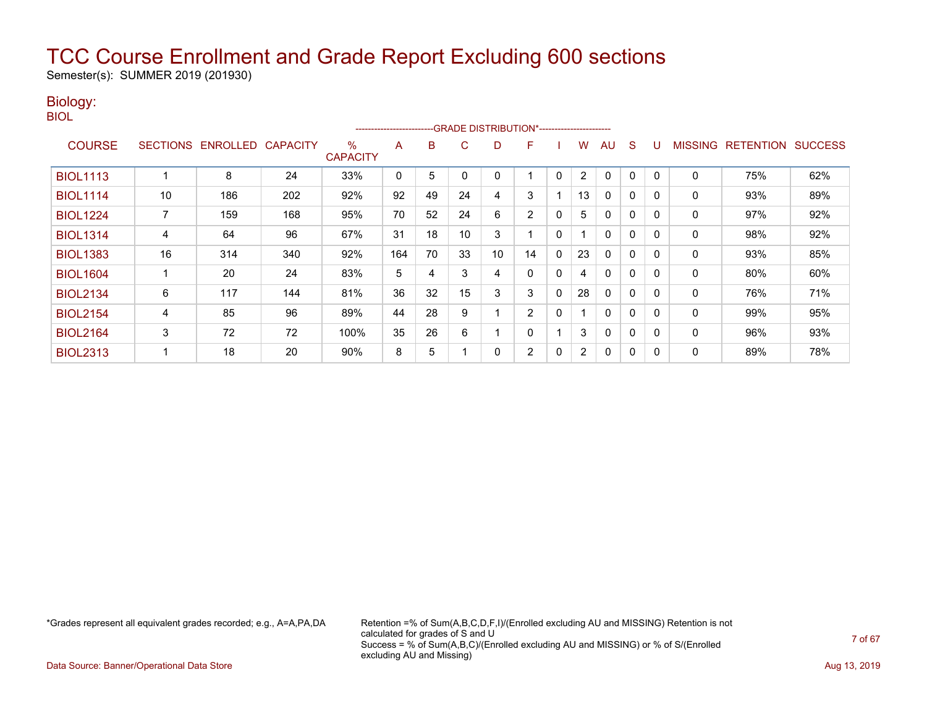Semester(s): SUMMER 2019 (201930)

### Biology:

BIOL

|                 |                 |                 |                 |                         | ---------------------- |    |    |    | -GRADE DISTRIBUTION*----------------------- |          |                |              |              |          |                |                  |                |
|-----------------|-----------------|-----------------|-----------------|-------------------------|------------------------|----|----|----|---------------------------------------------|----------|----------------|--------------|--------------|----------|----------------|------------------|----------------|
| <b>COURSE</b>   | <b>SECTIONS</b> | <b>ENROLLED</b> | <b>CAPACITY</b> | $\%$<br><b>CAPACITY</b> | A                      | B  | C  | D  | F                                           |          | w              | AU           | S            |          | <b>MISSING</b> | <b>RETENTION</b> | <b>SUCCESS</b> |
| <b>BIOL1113</b> |                 | 8               | 24              | 33%                     | 0                      | 5  |    |    |                                             | $\Omega$ | $\overline{2}$ | $\mathbf{0}$ | 0            |          | 0              | 75%              | 62%            |
| <b>BIOL1114</b> | 10              | 186             | 202             | 92%                     | 92                     | 49 | 24 | 4  | 3                                           |          | 13             | $\mathbf{0}$ | 0            | $\Omega$ | 0              | 93%              | 89%            |
| <b>BIOL1224</b> |                 | 159             | 168             | 95%                     | 70                     | 52 | 24 | 6  | 2                                           | 0        | 5              | $\mathbf{0}$ | $\mathbf{0}$ | $\Omega$ | 0              | 97%              | 92%            |
| <b>BIOL1314</b> | 4               | 64              | 96              | 67%                     | 31                     | 18 | 10 | 3  |                                             | 0        |                | $\mathbf{0}$ | 0            | $\Omega$ | 0              | 98%              | 92%            |
| <b>BIOL1383</b> | 16              | 314             | 340             | 92%                     | 164                    | 70 | 33 | 10 | 14                                          | 0        | 23             | $\mathbf{0}$ | 0            | $\Omega$ | 0              | 93%              | 85%            |
| <b>BIOL1604</b> |                 | 20              | 24              | 83%                     | 5                      | 4  | 3  | 4  | 0                                           | 0        | 4              | $\mathbf{0}$ | 0            | $\Omega$ | 0              | 80%              | 60%            |
| <b>BIOL2134</b> | 6               | 117             | 144             | 81%                     | 36                     | 32 | 15 | 3  | 3                                           | 0        | 28             | $\mathbf{0}$ | 0            | 0        | $\Omega$       | 76%              | 71%            |
| <b>BIOL2154</b> | 4               | 85              | 96              | 89%                     | 44                     | 28 | 9  |    | $\overline{2}$                              | 0        |                | $\mathbf{0}$ | 0            |          | 0              | 99%              | 95%            |
| <b>BIOL2164</b> | 3               | 72              | 72              | 100%                    | 35                     | 26 | 6  |    | 0                                           |          | 3              | $\mathbf{0}$ | 0            | $\Omega$ | 0              | 96%              | 93%            |
| <b>BIOL2313</b> |                 | 18              | 20              | 90%                     | 8                      | 5  |    |    | 2                                           | 0        | $\overline{2}$ | 0            | 0            | $\Omega$ | 0              | 89%              | 78%            |

\*Grades represent all equivalent grades recorded; e.g., A=A,PA,DA Retention =% of Sum(A,B,C,D,F,I)/(Enrolled excluding AU and MISSING) Retention is not calculated for grades of S and U Success = % of Sum(A,B,C)/(Enrolled excluding AU and MISSING) or % of S/(Enrolled excluding AU and Missing)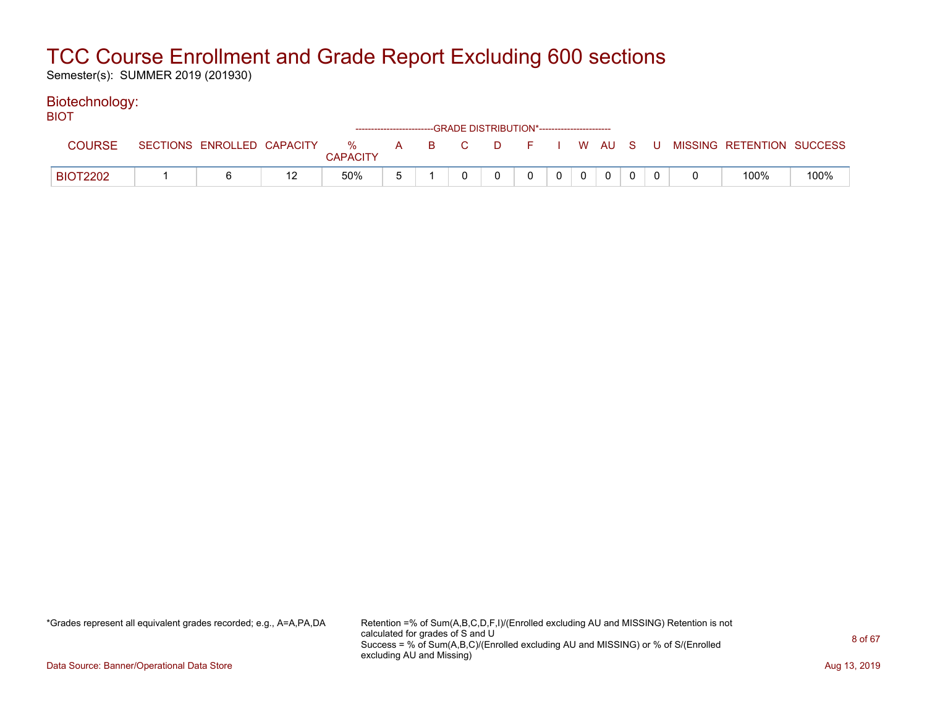Semester(s): SUMMER 2019 (201930)

#### Biotechnology: **BIOT**

| י טוש           |                            |                      |       | ------------------------GRADE DISTRIBUTION*----------------------- |     |              |             |  |                           |      |
|-----------------|----------------------------|----------------------|-------|--------------------------------------------------------------------|-----|--------------|-------------|--|---------------------------|------|
| <b>COURSE</b>   | SECTIONS ENROLLED CAPACITY | %<br><b>CAPACITY</b> | A B C |                                                                    | D F |              | WAUS U      |  | MISSING RETENTION SUCCESS |      |
| <b>BIOT2202</b> |                            | 50%                  |       |                                                                    | 0   | $\mathbf{0}$ | $\mathbf 0$ |  | 100%                      | 100% |

\*Grades represent all equivalent grades recorded; e.g., A=A,PA,DA Retention =% of Sum(A,B,C,D,F,I)/(Enrolled excluding AU and MISSING) Retention is not calculated for grades of S and U Success = % of Sum(A,B,C)/(Enrolled excluding AU and MISSING) or % of S/(Enrolled excluding AU and Missing)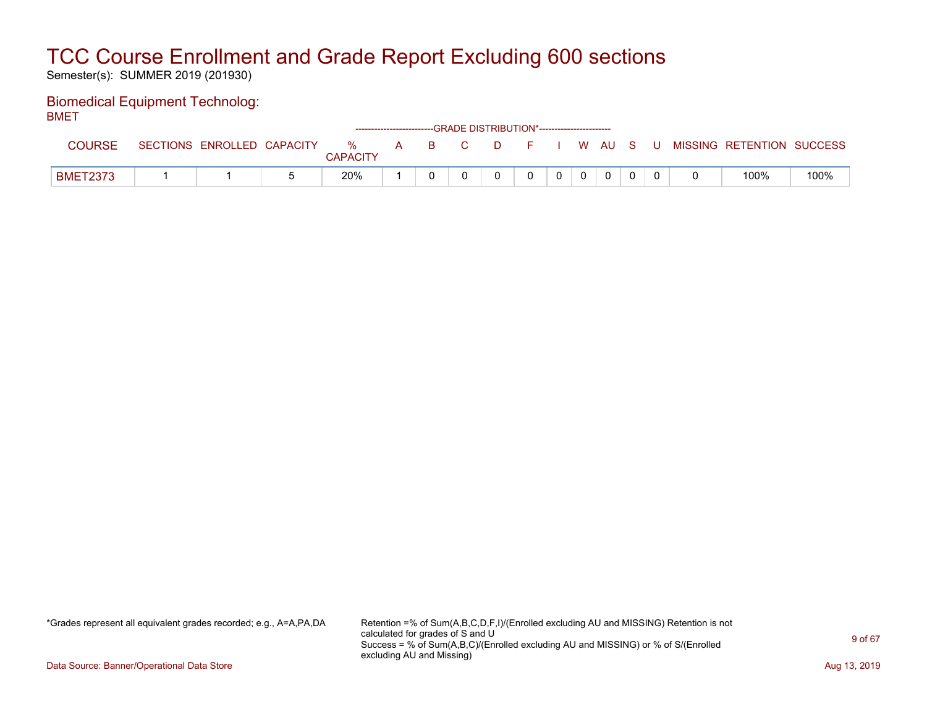Semester(s): SUMMER 2019 (201930)

#### Biomedical Equipment Technolog: BMET

| -------         |                            |                      |  | ------------------------GRADE                DISTRIBUTION*---------------------- |  |  |          |  |                                                |      |
|-----------------|----------------------------|----------------------|--|----------------------------------------------------------------------------------|--|--|----------|--|------------------------------------------------|------|
| COURSE          | SECTIONS ENROLLED CAPACITY | %<br><b>CAPACITY</b> |  |                                                                                  |  |  |          |  | A B C D F I W AU S U MISSING RETENTION SUCCESS |      |
| <b>BMET2373</b> |                            | 20%                  |  |                                                                                  |  |  | $\Omega$ |  | 100%                                           | 100% |

\*Grades represent all equivalent grades recorded; e.g., A=A,PA,DA Retention =% of Sum(A,B,C,D,F,I)/(Enrolled excluding AU and MISSING) Retention is not calculated for grades of S and U Success = % of Sum(A,B,C)/(Enrolled excluding AU and MISSING) or % of S/(Enrolled excluding AU and Missing)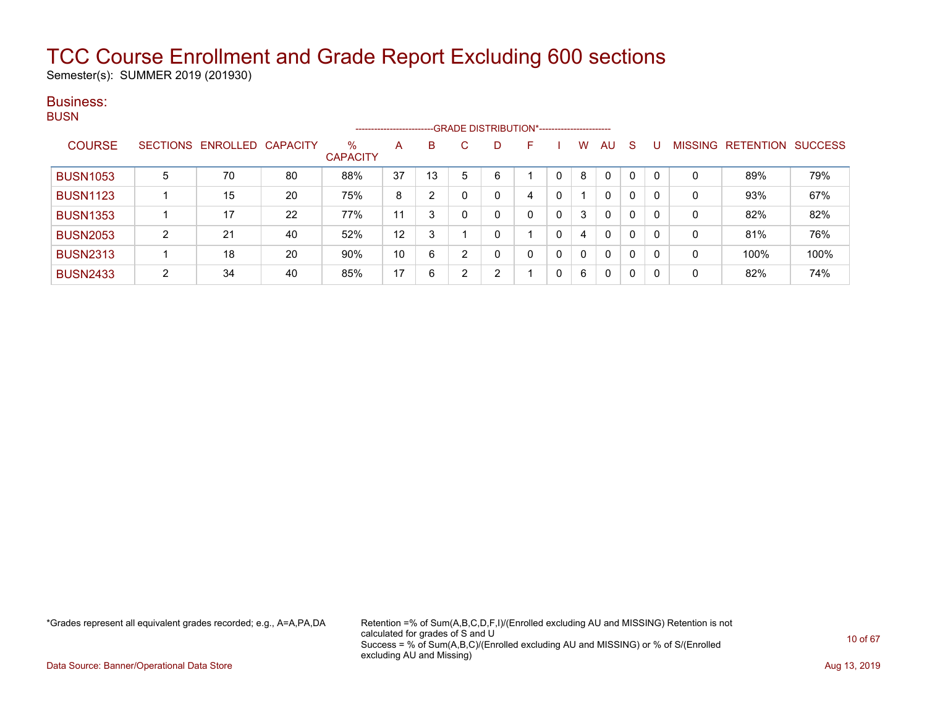Semester(s): SUMMER 2019 (201930)

#### Business: **BUSN**

|                 |                 |          |                 |                         | ----------------------- |    |   | --GRADE DISTRIBUTION*----------------------- |    |   |   |              |              |          |          |                  |                |
|-----------------|-----------------|----------|-----------------|-------------------------|-------------------------|----|---|----------------------------------------------|----|---|---|--------------|--------------|----------|----------|------------------|----------------|
| <b>COURSE</b>   | <b>SECTIONS</b> | ENROLLED | <b>CAPACITY</b> | $\%$<br><b>CAPACITY</b> | A                       | B  |   |                                              | F. |   | w | AU           | S            |          | MISSING  | <b>RETENTION</b> | <b>SUCCESS</b> |
| <b>BUSN1053</b> | 5               | 70       | 80              | 88%                     | 37                      | 13 | 5 | 6                                            |    | 0 | 8 | 0            | 0            | $\Omega$ | $\Omega$ | 89%              | 79%            |
| <b>BUSN1123</b> |                 | 15       | 20              | 75%                     | 8                       | 2  |   |                                              | 4  | 0 |   | 0            | 0            | 0        | 0        | 93%              | 67%            |
| <b>BUSN1353</b> |                 | 17       | 22              | 77%                     | 11                      | 3  | 0 |                                              |    | 0 | 3 | 0            | $\mathbf{0}$ | 0        | 0        | 82%              | 82%            |
| <b>BUSN2053</b> | $\overline{2}$  | 21       | 40              | 52%                     | 12                      | 3  |   |                                              |    | 0 | 4 | $\mathbf{0}$ | 0            | 0        | 0        | 81%              | 76%            |
| <b>BUSN2313</b> |                 | 18       | 20              | 90%                     | 10                      | 6  | 2 |                                              |    | 0 | 0 | 0            | 0            | 0        | 0        | 100%             | 100%           |
| <b>BUSN2433</b> | $\overline{2}$  | 34       | 40              | 85%                     | 17                      | 6  | າ | C                                            |    | 0 | 6 | 0            | 0            | 0        | 0        | 82%              | 74%            |

\*Grades represent all equivalent grades recorded; e.g., A=A,PA,DA Retention =% of Sum(A,B,C,D,F,I)/(Enrolled excluding AU and MISSING) Retention is not calculated for grades of S and U Success = % of Sum(A,B,C)/(Enrolled excluding AU and MISSING) or % of S/(Enrolled excluding AU and Missing)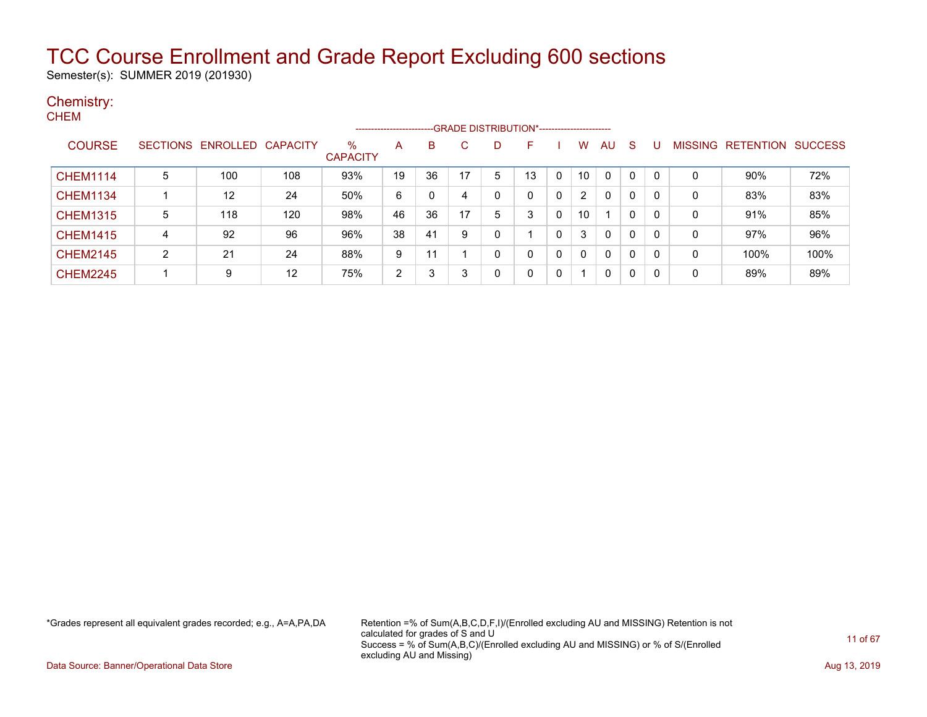Semester(s): SUMMER 2019 (201930)

#### Chemistry: **CHEM**

|                 |   |                   |                 |                         | --------------------- |    |              |   | -- GRADE DISTRIBUTION*------------------------ |              |                |              |              |              |                |                  |                |
|-----------------|---|-------------------|-----------------|-------------------------|-----------------------|----|--------------|---|------------------------------------------------|--------------|----------------|--------------|--------------|--------------|----------------|------------------|----------------|
| <b>COURSE</b>   |   | SECTIONS ENROLLED | <b>CAPACITY</b> | $\%$<br><b>CAPACITY</b> | A                     | B  | $\mathbf{C}$ |   | F                                              |              | w              | AU           | <sub>S</sub> | U            | <b>MISSING</b> | <b>RETENTION</b> | <b>SUCCESS</b> |
| <b>CHEM1114</b> | 5 | 100               | 108             | 93%                     | 19                    | 36 | 17           | 5 | 13                                             | $\Omega$     | 10             | 0            | $\mathbf 0$  | $\mathbf{0}$ | 0              | $90\%$           | 72%            |
| <b>CHEM1134</b> |   | 12                | 24              | 50%                     | 6                     | 0  | 4            |   |                                                | $\mathbf{0}$ | $\overline{2}$ | $\mathbf{0}$ | $\mathbf 0$  | 0            | 0              | 83%              | 83%            |
| <b>CHEM1315</b> | 5 | 118               | 120             | 98%                     | 46                    | 36 | 17           | 5 | 3                                              | 0            | 10             |              | $\mathbf 0$  | 0            | 0              | 91%              | 85%            |
| <b>CHEM1415</b> | 4 | 92                | 96              | 96%                     | 38                    | 41 | 9            |   |                                                | $\Omega$     |                | $\mathbf{0}$ | $\mathbf 0$  | 0            | 0              | 97%              | 96%            |
| <b>CHEM2145</b> | 2 | 21                | 24              | 88%                     | 9                     | 11 |              |   |                                                | $\mathbf 0$  | $\Omega$       | $\mathbf{0}$ | $\mathbf 0$  | 0            | 0              | 100%             | 100%           |
| <b>CHEM2245</b> |   | 9                 | 12              | 75%                     | 2                     | 3  | 3            |   | n                                              | $\mathbf 0$  |                | 0            | 0            | 0            | 0              | 89%              | 89%            |

\*Grades represent all equivalent grades recorded; e.g., A=A,PA,DA Retention =% of Sum(A,B,C,D,F,I)/(Enrolled excluding AU and MISSING) Retention is not calculated for grades of S and U Success = % of Sum(A,B,C)/(Enrolled excluding AU and MISSING) or % of S/(Enrolled excluding AU and Missing)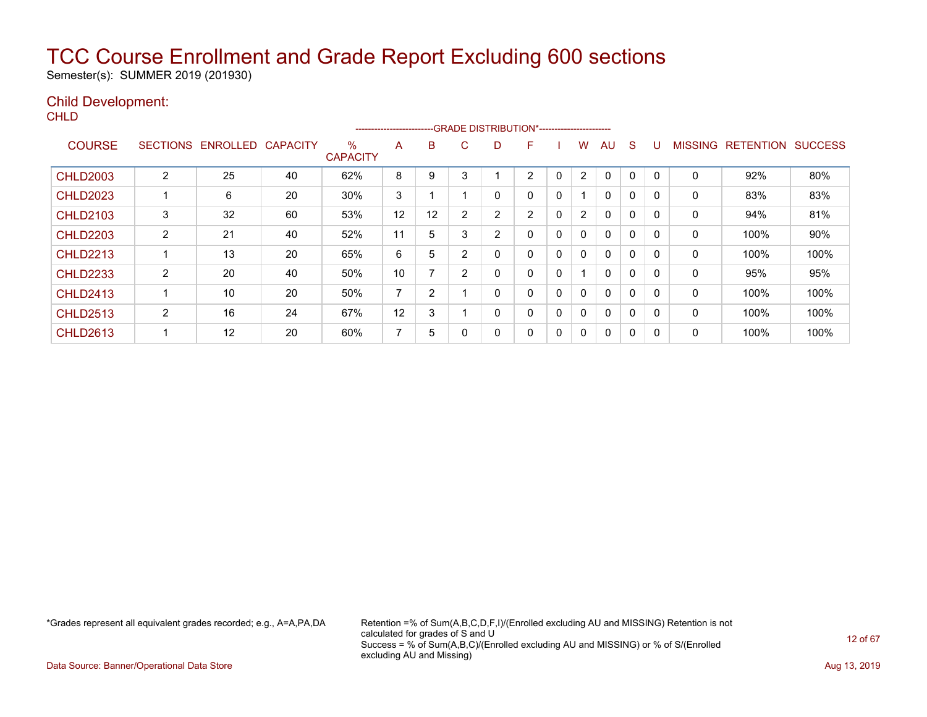Semester(s): SUMMER 2019 (201930)

### Child Development:

**CHLD** 

|                 |                 |          |                 |                         | ----------------------- |                |                | --- GRADE DISTRIBUTION*----------------------- |   |             |                |          |             |              |                |                  |                |
|-----------------|-----------------|----------|-----------------|-------------------------|-------------------------|----------------|----------------|------------------------------------------------|---|-------------|----------------|----------|-------------|--------------|----------------|------------------|----------------|
| <b>COURSE</b>   | <b>SECTIONS</b> | ENROLLED | <b>CAPACITY</b> | $\%$<br><b>CAPACITY</b> | A                       | B              | C              | D                                              | F |             | W              | AU       | S           |              | <b>MISSING</b> | <b>RETENTION</b> | <b>SUCCESS</b> |
| <b>CHLD2003</b> | 2               | 25       | 40              | 62%                     | 8                       | 9              | 3              |                                                | 2 | $\mathbf 0$ | $\overline{2}$ | 0        | 0           | $\Omega$     | 0              | 92%              | 80%            |
| <b>CHLD2023</b> |                 | 6        | 20              | 30%                     | 3                       |                |                | 0                                              | 0 | 0           |                | 0        | 0           | $\Omega$     | 0              | 83%              | 83%            |
| <b>CHLD2103</b> | 3               | 32       | 60              | 53%                     | 12                      | 12             | 2              | 2                                              | 2 | $\Omega$    | $\overline{2}$ | $\Omega$ | $\mathbf 0$ | $\Omega$     | 0              | 94%              | 81%            |
| <b>CHLD2203</b> | $\overline{2}$  | 21       | 40              | 52%                     | 11                      | 5              | 3              | 2                                              | 0 | 0           | 0              | 0        | $\mathbf 0$ | $\Omega$     | 0              | 100%             | 90%            |
| <b>CHLD2213</b> |                 | 13       | 20              | 65%                     | 6                       | 5              | $\overline{2}$ | 0                                              | 0 | 0           | $\mathbf{0}$   | 0        | 0           |              | 0              | 100%             | 100%           |
| <b>CHLD2233</b> | $\overline{2}$  | 20       | 40              | 50%                     | 10                      | $\overline{ }$ | 2              | 0                                              | 0 | $\Omega$    |                | 0        | 0           | 0            | 0              | 95%              | 95%            |
| <b>CHLD2413</b> |                 | 10       | 20              | 50%                     | ⇁                       | 2              |                | 0                                              | 0 | 0           | $\mathbf{0}$   | 0        | $\mathbf 0$ | $\Omega$     | 0              | 100%             | 100%           |
| <b>CHLD2513</b> | 2               | 16       | 24              | 67%                     | 12                      | 3              |                | 0                                              | 0 | 0           | $\mathbf{0}$   | 0        | 0           | <sup>0</sup> | 0              | 100%             | 100%           |
| <b>CHLD2613</b> |                 | 12       | 20              | 60%                     | 7                       | 5              |                | 0                                              | 0 | $\mathbf 0$ | 0              | 0        | 0           | ſ            | 0              | 100%             | 100%           |

\*Grades represent all equivalent grades recorded; e.g., A=A,PA,DA Retention =% of Sum(A,B,C,D,F,I)/(Enrolled excluding AU and MISSING) Retention is not calculated for grades of S and U Success = % of Sum(A,B,C)/(Enrolled excluding AU and MISSING) or % of S/(Enrolled excluding AU and Missing)

Data Source: Banner/Operational Data Store **Aug 13, 2019 Aug 13, 2019 Aug 13, 2019**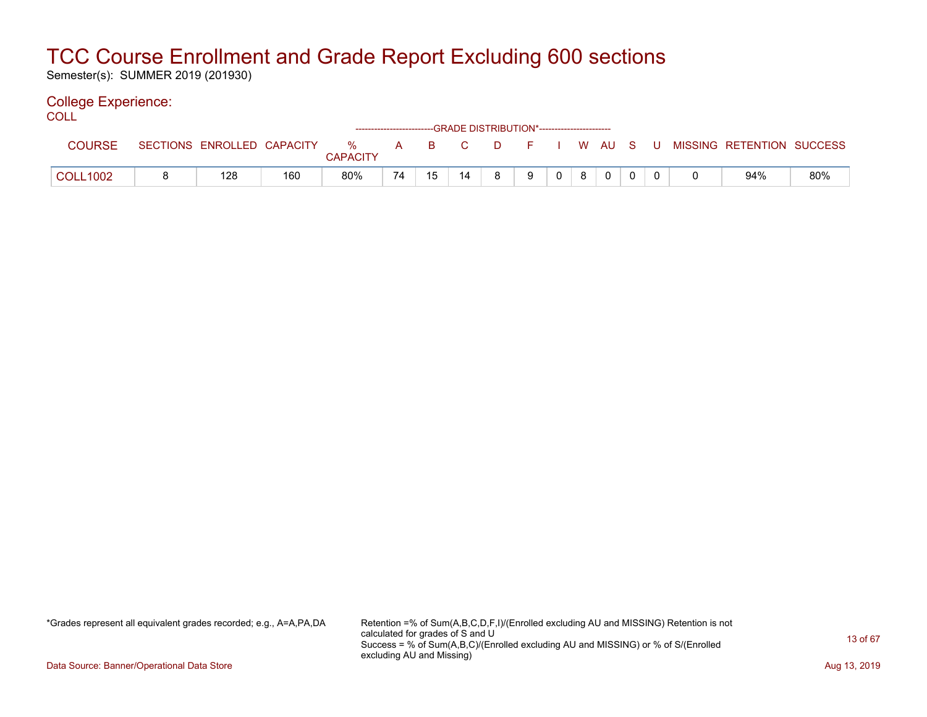Semester(s): SUMMER 2019 (201930)

#### College Experience: COLL

| ◡◡∟∟            |                 |                   |     |                      |    |      |    |    | ------------------------GRADE DISTRIBUTION*----------------------- |          |   |             |  |                           |     |
|-----------------|-----------------|-------------------|-----|----------------------|----|------|----|----|--------------------------------------------------------------------|----------|---|-------------|--|---------------------------|-----|
| <b>COURSE</b>   | <b>SECTIONS</b> | ENROLLED CAPACITY |     | %<br><b>CAPACITY</b> | A  | BC C |    | D. | E.                                                                 |          |   | I WAUS      |  | MISSING RETENTION SUCCESS |     |
| <b>COLL1002</b> |                 | 128               | 160 | 80%                  | 74 | 15   | 14 | 8. | 9                                                                  | $\Omega$ | 8 | $\mathbf 0$ |  | 94%                       | 80% |

\*Grades represent all equivalent grades recorded; e.g., A=A,PA,DA Retention =% of Sum(A,B,C,D,F,I)/(Enrolled excluding AU and MISSING) Retention is not calculated for grades of S and U Success = % of Sum(A,B,C)/(Enrolled excluding AU and MISSING) or % of S/(Enrolled excluding AU and Missing)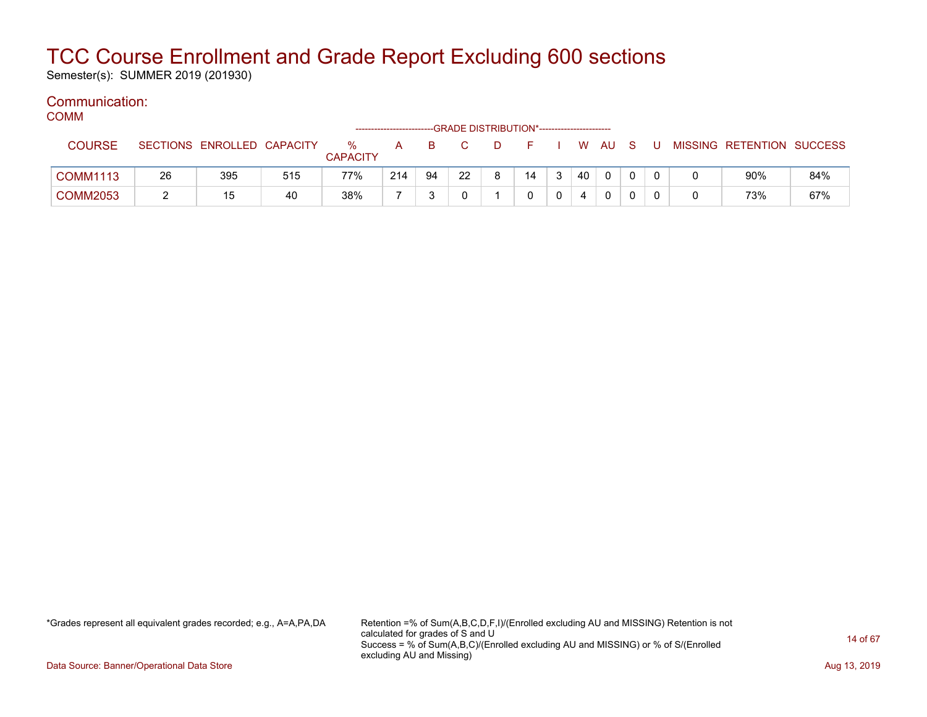Semester(s): SUMMER 2019 (201930)

#### Communication: COMM

| UUIVIIVI        |    |                            |     |                      | ------------------- |    | --GRADE DISTRIBUTION*----------------------- |   |    |    |     |     |    |                           |     |
|-----------------|----|----------------------------|-----|----------------------|---------------------|----|----------------------------------------------|---|----|----|-----|-----|----|---------------------------|-----|
| <b>COURSE</b>   |    | SECTIONS ENROLLED CAPACITY |     | %<br><b>CAPACITY</b> | A                   | B. |                                              |   |    | W  | AU. | - S | -U | MISSING RETENTION SUCCESS |     |
| <b>COMM1113</b> | 26 | 395                        | 515 | 77%                  | 214                 | 94 | 22                                           | 8 | 14 | 40 | 0   |     |    | 90%                       | 84% |
| <b>COMM2053</b> |    |                            | 40  | 38%                  |                     |    |                                              |   |    |    | 0   |     |    | 73%                       | 67% |

\*Grades represent all equivalent grades recorded; e.g., A=A,PA,DA Retention =% of Sum(A,B,C,D,F,I)/(Enrolled excluding AU and MISSING) Retention is not calculated for grades of S and U Success = % of Sum(A,B,C)/(Enrolled excluding AU and MISSING) or % of S/(Enrolled excluding AU and Missing)

Data Source: Banner/Operational Data Store **Aug 13, 2019 Aug 13, 2019 Aug 13, 2019**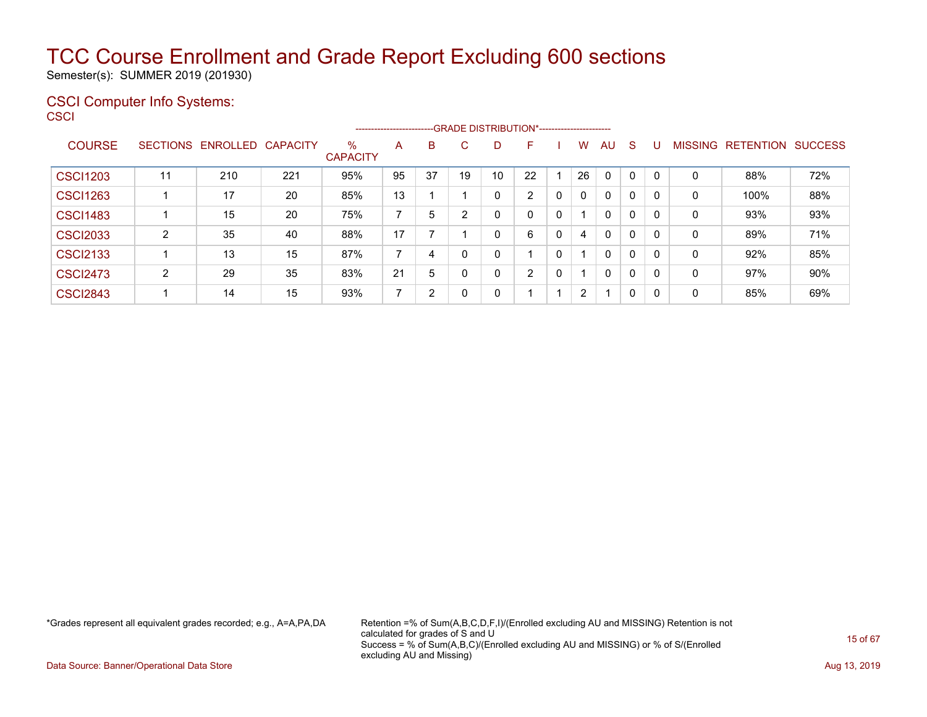Semester(s): SUMMER 2019 (201930)

#### CSCI Computer Info Systems:  $\sim$   $\sim$   $\sim$

| CSCI            |   |                            |     |                         | -------------------- |    |    |    |                |   |    |              |          |   |   |                                  |     |
|-----------------|---|----------------------------|-----|-------------------------|----------------------|----|----|----|----------------|---|----|--------------|----------|---|---|----------------------------------|-----|
| <b>COURSE</b>   |   | SECTIONS ENROLLED CAPACITY |     | $\%$<br><b>CAPACITY</b> | A                    | B  | C  | D  | ь              |   | W  | <b>AU</b>    | -S       | U |   | <b>MISSING RETENTION SUCCESS</b> |     |
| <b>CSCI1203</b> |   | 210                        | 221 | 95%                     | 95                   | 37 | 19 | 10 | 22             |   | 26 | $\Omega$     | 0        |   | 0 | 88%                              | 72% |
| <b>CSCI1263</b> |   | 17                         | 20  | 85%                     | 13                   |    |    | 0  | $\overline{2}$ | 0 | 0  | $\mathbf{0}$ | $\Omega$ |   | 0 | 100%                             | 88% |
| <b>CSCI1483</b> |   | 15                         | 20  | 75%                     |                      | 5  | ົ  | 0  | 0              | 0 |    | $\Omega$     | 0        |   | 0 | 93%                              | 93% |
| <b>CSCI2033</b> | ົ | 35                         | 40  | 88%                     | 17                   |    |    | 0  | 6              | 0 | 4  | $\Omega$     | $\Omega$ |   | 0 | 89%                              | 71% |
| <b>CSCI2133</b> |   | 13                         | 15  | 87%                     |                      | 4  |    | 0  | $\overline{ }$ | 0 |    | 0            | $\Omega$ | 0 | 0 | 92%                              | 85% |
| <b>CSCI2473</b> | າ | 29                         | 35  | 83%                     | 21                   | 5  |    | 0  | 2              | 0 |    | 0            | 0        |   | 0 | 97%                              | 90% |

CSCI2843 | 1 | 14 | 15 | 93% | 7 | 2 | 0 | 0 | 1 | 1 | 2 | 1 | 0 | 0 | 0 | 85% | 69%

\*Grades represent all equivalent grades recorded; e.g., A=A,PA,DA Retention =% of Sum(A,B,C,D,F,I)/(Enrolled excluding AU and MISSING) Retention is not calculated for grades of S and U Success = % of Sum(A,B,C)/(Enrolled excluding AU and MISSING) or % of S/(Enrolled excluding AU and Missing)

Data Source: Banner/Operational Data Store **Aug 13, 2019 Contract Store Aug 13, 2019** Aug 13, 2019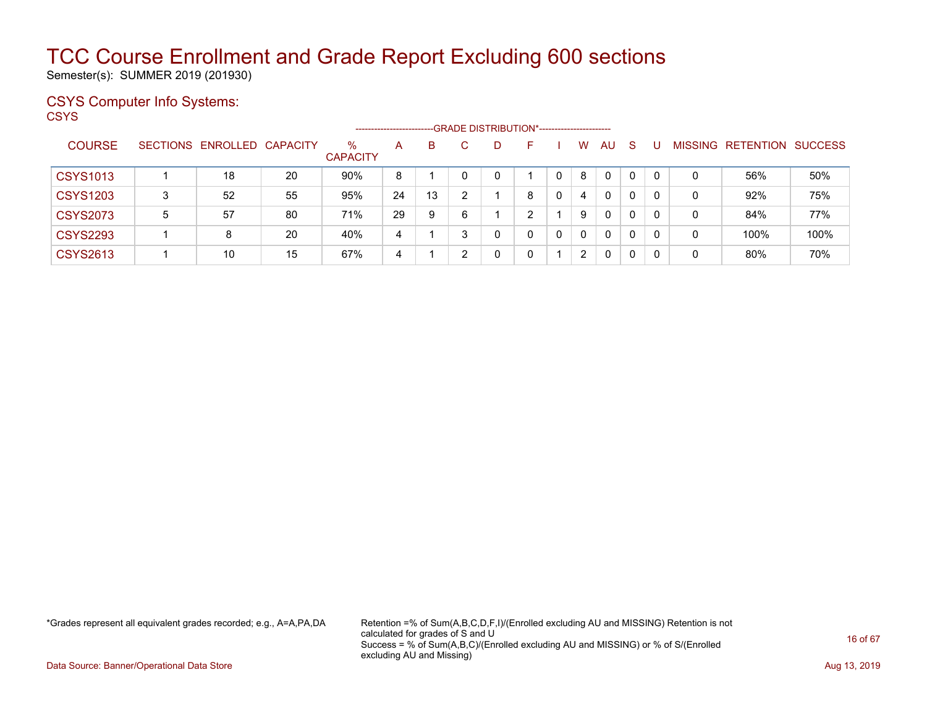Semester(s): SUMMER 2019 (201930)

### CSYS Computer Info Systems:

**CSYS** 

|                 |                 |                   |    |                      | ------------------------ |    |   | --GRADE DISTRIBUTION*----------------------- |   |              |          |              |              |    |         |                  |                |
|-----------------|-----------------|-------------------|----|----------------------|--------------------------|----|---|----------------------------------------------|---|--------------|----------|--------------|--------------|----|---------|------------------|----------------|
| <b>COURSE</b>   | <b>SECTIONS</b> | ENROLLED CAPACITY |    | %<br><b>CAPACITY</b> | A                        | B  |   | D                                            |   |              | W        | <b>AU</b>    | <sub>S</sub> |    | MISSING | <b>RETENTION</b> | <b>SUCCESS</b> |
| <b>CSYS1013</b> |                 | 18                | 20 | 90%                  | 8                        |    |   | 0                                            |   |              | 8        | $\mathbf{0}$ | 0            | 0  | 0       | 56%              | 50%            |
| <b>CSYS1203</b> | 3               | 52                | 55 | 95%                  | 24                       | 13 | ົ |                                              | 8 |              | 4        | 0            | 0            |    | 0       | 92%              | 75%            |
| <b>CSYS2073</b> | 5               | 57                | 80 | 71%                  | 29                       | 9  | 6 |                                              | ົ |              | 9        | $\mathbf{0}$ | 0            |    | 0       | 84%              | 77%            |
| <b>CSYS2293</b> |                 | 8                 | 20 | 40%                  | 4                        |    |   | 0                                            | 0 | $\mathbf{0}$ | $\Omega$ | 0            | 0            | 0  | 0       | 100%             | 100%           |
| <b>CSYS2613</b> |                 | 10                | 15 | 67%                  | 4                        |    |   | 0                                            | 0 |              | 2        | 0            | 0            | -0 | 0       | 80%              | 70%            |

\*Grades represent all equivalent grades recorded; e.g., A=A,PA,DA Retention =% of Sum(A,B,C,D,F,I)/(Enrolled excluding AU and MISSING) Retention is not calculated for grades of S and U Success = % of Sum(A,B,C)/(Enrolled excluding AU and MISSING) or % of S/(Enrolled excluding AU and Missing)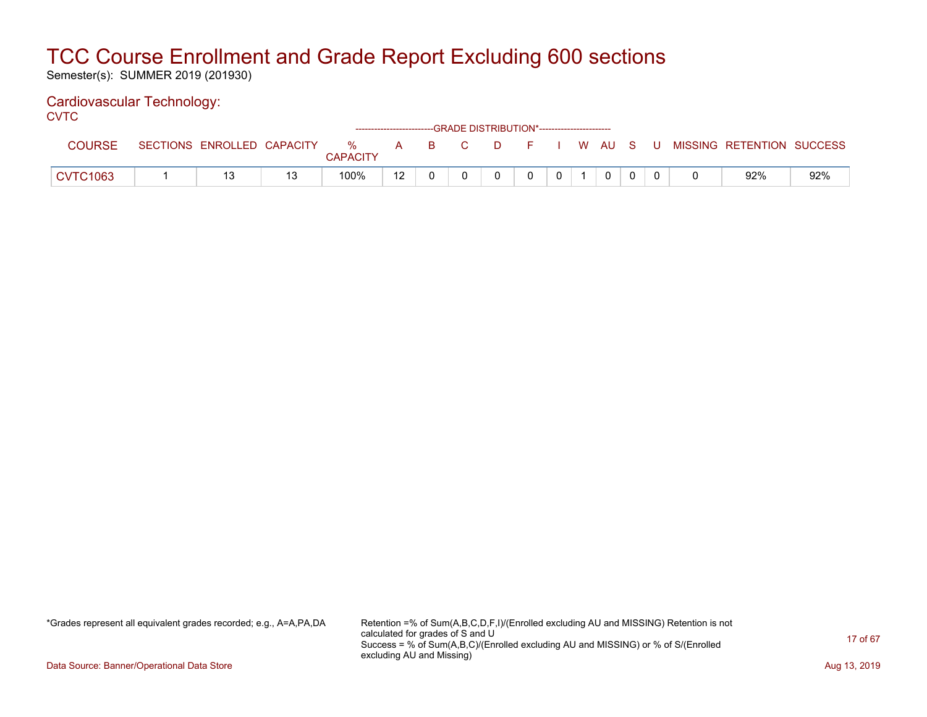Semester(s): SUMMER 2019 (201930)

### Cardiovascular Technology:

**CVTC** 

|                 |                            |                 |    | ------------------------GRADE DISTRIBUTION*----------------------- |     |              |    |  |        |       |                           |     |
|-----------------|----------------------------|-----------------|----|--------------------------------------------------------------------|-----|--------------|----|--|--------|-------|---------------------------|-----|
| COURSE          | SECTIONS ENROLLED CAPACITY | %               | A  |                                                                    | BC. | $\mathbf{D}$ | F. |  | I WAUS | - U - | MISSING RETENTION SUCCESS |     |
|                 |                            | <b>CAPACITY</b> |    |                                                                    |     |              |    |  |        |       |                           |     |
| <b>CVTC1063</b> |                            | 100%            | 12 |                                                                    |     |              |    |  | 0      |       | 92%                       | 92% |

\*Grades represent all equivalent grades recorded; e.g., A=A,PA,DA Retention =% of Sum(A,B,C,D,F,I)/(Enrolled excluding AU and MISSING) Retention is not calculated for grades of S and U Success = % of Sum(A,B,C)/(Enrolled excluding AU and MISSING) or % of S/(Enrolled excluding AU and Missing)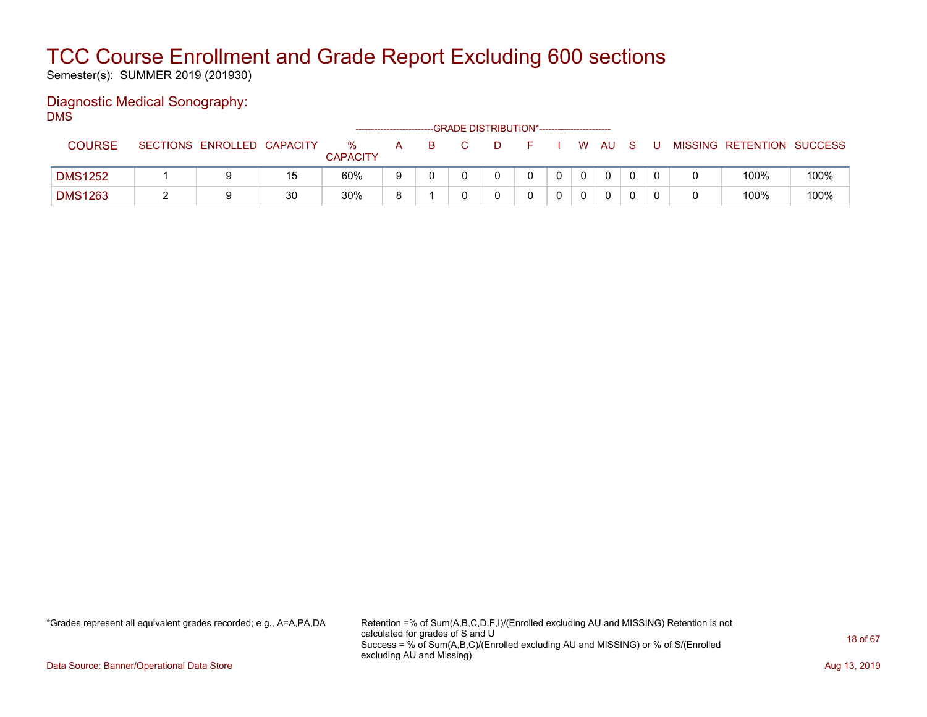Semester(s): SUMMER 2019 (201930)

#### Diagnostic Medical Sonography: DMS

|                |                            |    |                         | --------------------- |   | -GRADE DISTRIBUTION*----------------------- |  |      |  |                           |      |
|----------------|----------------------------|----|-------------------------|-----------------------|---|---------------------------------------------|--|------|--|---------------------------|------|
| <b>COURSE</b>  | SECTIONS ENROLLED CAPACITY |    | $\%$<br><b>CAPACITY</b> | A                     | B | $\Box$                                      |  | W AU |  | MISSING RETENTION SUCCESS |      |
| <b>DMS1252</b> |                            | 15 | 60%                     |                       |   |                                             |  | 0    |  | 100%                      | 100% |
| <b>DMS1263</b> |                            | 30 | 30%                     |                       |   |                                             |  | 0    |  | 100%                      | 100% |

\*Grades represent all equivalent grades recorded; e.g., A=A,PA,DA Retention =% of Sum(A,B,C,D,F,I)/(Enrolled excluding AU and MISSING) Retention is not calculated for grades of S and U Success = % of Sum(A,B,C)/(Enrolled excluding AU and MISSING) or % of S/(Enrolled excluding AU and Missing)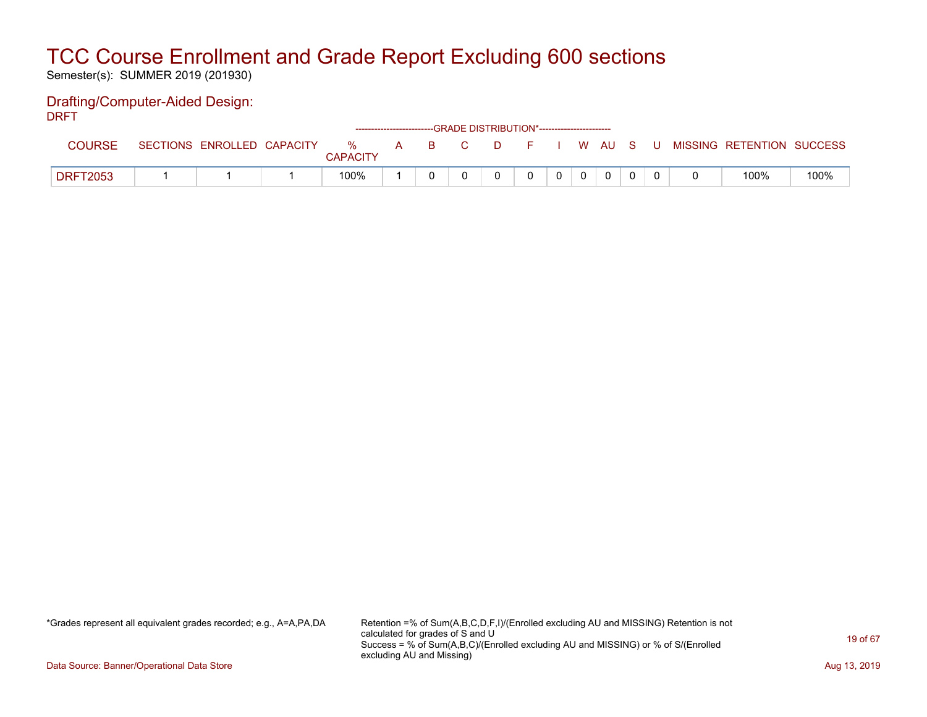Semester(s): SUMMER 2019 (201930)

#### Drafting/Computer-Aided Design: DRFT

| ----            |                            |                         |       | ------------------------GRADE DISTRIBUTION*----------------------- |            |                |          |              |       |                           |      |
|-----------------|----------------------------|-------------------------|-------|--------------------------------------------------------------------|------------|----------------|----------|--------------|-------|---------------------------|------|
| <b>COURSE</b>   | SECTIONS ENROLLED CAPACITY | $\%$<br><b>CAPACITY</b> | A B C |                                                                    | F I W AU S |                |          |              | - U - | MISSING RETENTION SUCCESS |      |
| <b>DRFT2053</b> |                            | 100%                    |       |                                                                    | $\Omega$   | 0 <sup>1</sup> | $\Omega$ | $\mathbf{0}$ |       | 100%                      | 100% |

\*Grades represent all equivalent grades recorded; e.g., A=A,PA,DA Retention =% of Sum(A,B,C,D,F,I)/(Enrolled excluding AU and MISSING) Retention is not calculated for grades of S and U Success = % of Sum(A,B,C)/(Enrolled excluding AU and MISSING) or % of S/(Enrolled excluding AU and Missing)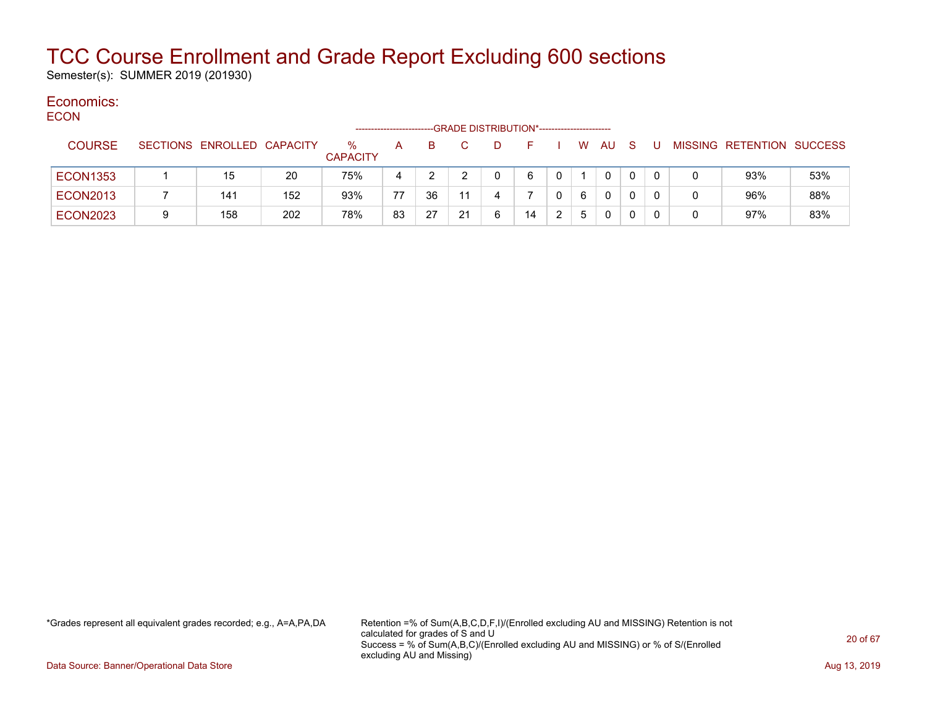Semester(s): SUMMER 2019 (201930)

#### Economics: **ECON**

| ----            |   |                            |     | ------------------      |    |    |    |   | -GRADE DISTRIBUTION*----------------------- |   |    |              |              |  |                           |     |
|-----------------|---|----------------------------|-----|-------------------------|----|----|----|---|---------------------------------------------|---|----|--------------|--------------|--|---------------------------|-----|
| <b>COURSE</b>   |   | SECTIONS ENROLLED CAPACITY |     | $\%$<br><b>CAPACITY</b> | A  | B. |    | D |                                             |   | W. | AU           | <sub>S</sub> |  | MISSING RETENTION SUCCESS |     |
| <b>ECON1353</b> |   | 15                         | 20  | 75%                     | 4  |    |    |   | 6                                           |   |    | $\mathbf{0}$ |              |  | 93%                       | 53% |
| <b>ECON2013</b> |   | 141                        | 152 | 93%                     | 77 | 36 | 11 |   |                                             |   | 6  | 0            |              |  | 96%                       | 88% |
| <b>ECON2023</b> | 9 | 158                        | 202 | 78%                     | 83 | 27 | 21 | 6 | 14                                          | າ | 5  | 0            |              |  | 97%                       | 83% |

\*Grades represent all equivalent grades recorded; e.g., A=A,PA,DA Retention =% of Sum(A,B,C,D,F,I)/(Enrolled excluding AU and MISSING) Retention is not calculated for grades of S and U Success = % of Sum(A,B,C)/(Enrolled excluding AU and MISSING) or % of S/(Enrolled excluding AU and Missing)

Data Source: Banner/Operational Data Store **Aug 13, 2019 Aug 13, 2019 Aug 13, 2019**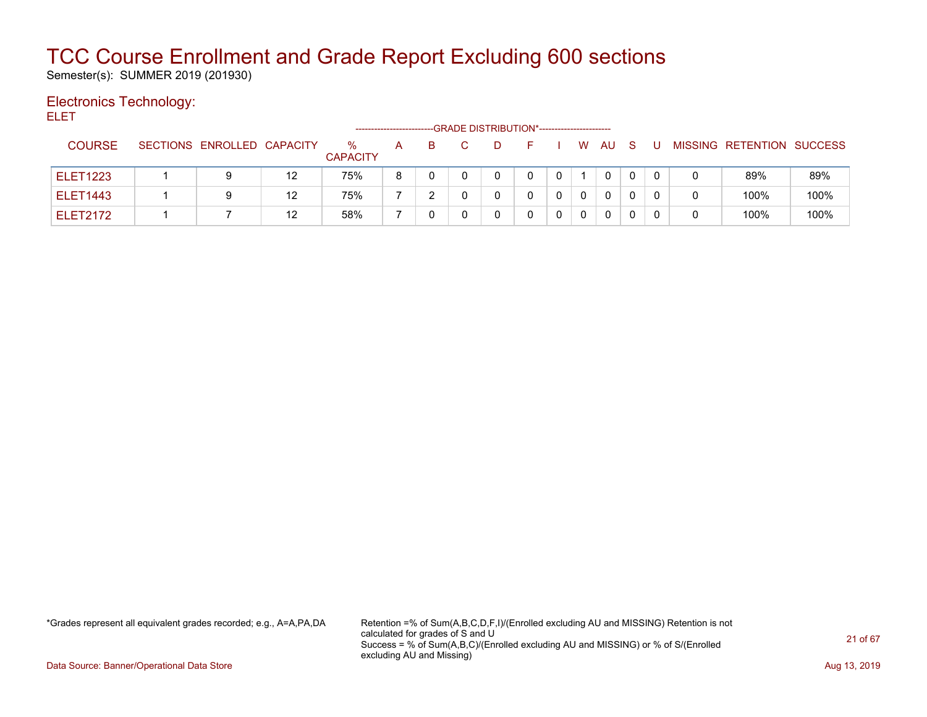Semester(s): SUMMER 2019 (201930)

### Electronics Technology:

ELET

|                 |                            |    |                         |   |    | -GRADE DISTRIBUTION*----------------------- |   |   |   |              |  |                           |      |
|-----------------|----------------------------|----|-------------------------|---|----|---------------------------------------------|---|---|---|--------------|--|---------------------------|------|
| <b>COURSE</b>   | SECTIONS ENROLLED CAPACITY |    | $\%$<br><b>CAPACITY</b> | A | B. |                                             |   |   | W | AU           |  | MISSING RETENTION SUCCESS |      |
| <b>ELET1223</b> |                            | 12 | 75%                     | 8 |    |                                             | 0 | 0 |   | $\mathbf{0}$ |  | 89%                       | 89%  |
| <b>ELET1443</b> | 9                          | 12 | 75%                     |   |    |                                             |   |   | 0 | $\Omega$     |  | 100%                      | 100% |
| <b>ELET2172</b> |                            | 12 | 58%                     |   |    |                                             |   |   | 0 | $\mathbf{0}$ |  | 100%                      | 100% |

\*Grades represent all equivalent grades recorded; e.g., A=A,PA,DA Retention =% of Sum(A,B,C,D,F,I)/(Enrolled excluding AU and MISSING) Retention is not calculated for grades of S and U Success = % of Sum(A,B,C)/(Enrolled excluding AU and MISSING) or % of S/(Enrolled excluding AU and Missing)

Data Source: Banner/Operational Data Store **Aug 13, 2019 Aug 13, 2019 Aug 13, 2019**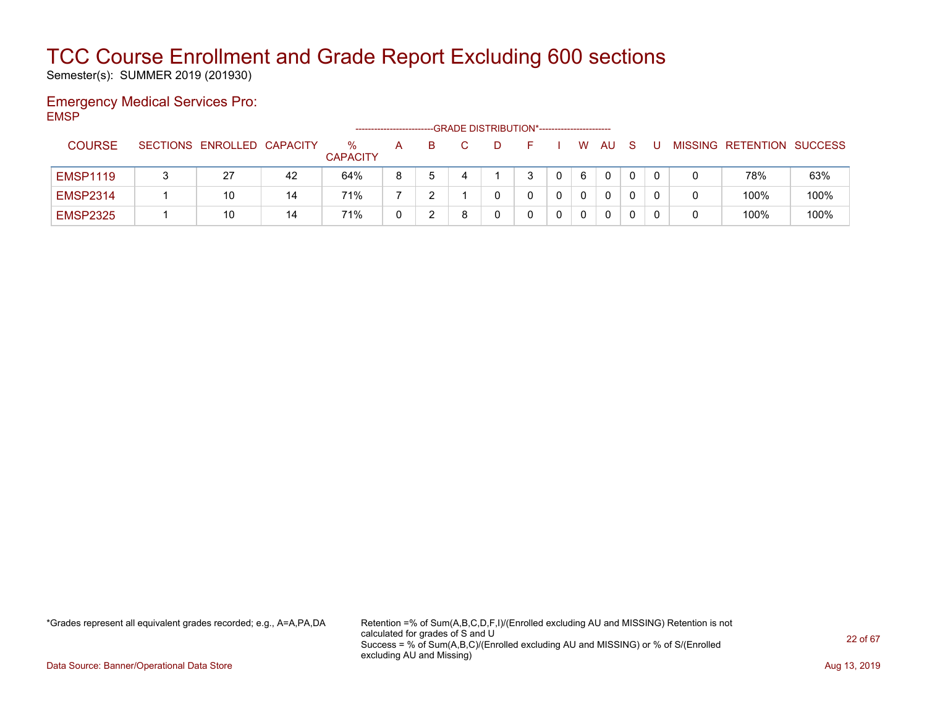Semester(s): SUMMER 2019 (201930)

#### Emergency Medical Services Pro: EMSP

|                 |                            |    |                         | ---------------------- |   |   | -GRADE DISTRIBUTION*----------------------- |   |   |              |   |  |                           |      |
|-----------------|----------------------------|----|-------------------------|------------------------|---|---|---------------------------------------------|---|---|--------------|---|--|---------------------------|------|
| <b>COURSE</b>   | SECTIONS ENROLLED CAPACITY |    | $\%$<br><b>CAPACITY</b> | A                      | B |   |                                             |   | W | AU           | S |  | MISSING RETENTION SUCCESS |      |
| <b>EMSP1119</b> | 27                         | 42 | 64%                     | 8                      | 5 | 4 |                                             | 3 | 6 | $\mathbf{0}$ |   |  | 78%                       | 63%  |
| <b>EMSP2314</b> | 10                         | 14 | 71%                     |                        |   |   |                                             |   |   | $\mathbf{0}$ |   |  | 100%                      | 100% |
| <b>EMSP2325</b> | 10                         | 14 | 71%                     |                        |   | 8 |                                             |   |   | $\mathbf{0}$ |   |  | 100%                      | 100% |

\*Grades represent all equivalent grades recorded; e.g., A=A,PA,DA Retention =% of Sum(A,B,C,D,F,I)/(Enrolled excluding AU and MISSING) Retention is not calculated for grades of S and U Success = % of Sum(A,B,C)/(Enrolled excluding AU and MISSING) or % of S/(Enrolled excluding AU and Missing)

Data Source: Banner/Operational Data Store **Aug 13, 2019 Aug 13, 2019 Aug 13, 2019**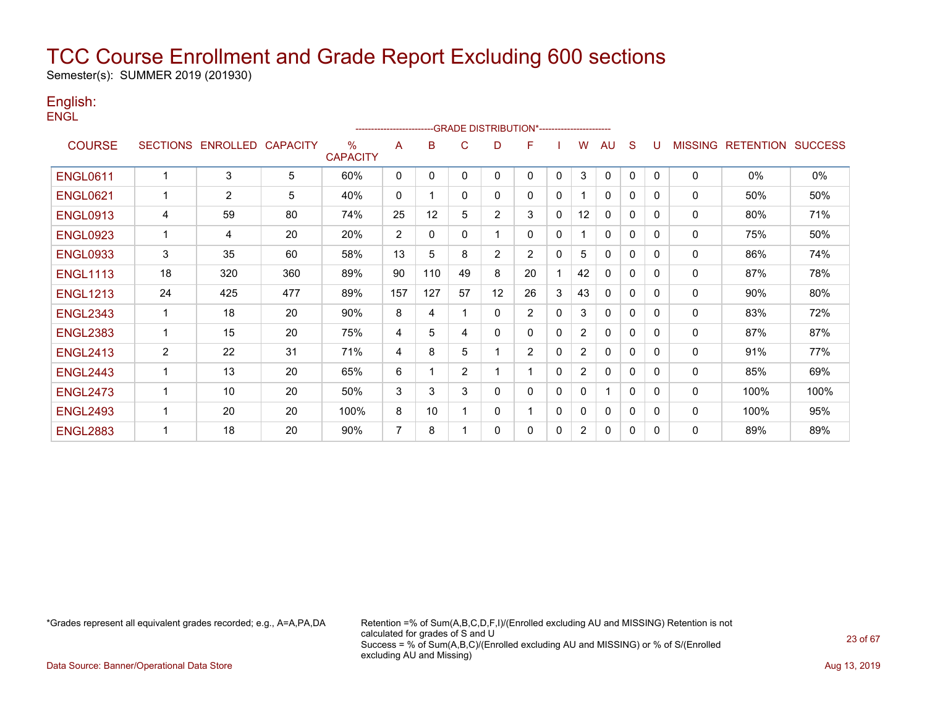Semester(s): SUMMER 2019 (201930)

#### English: **ENGL**

|                 |                 |          |                 |                         |                |              |                |                | --GRADE DISTRIBUTION*----------------------- |              |                       |              |              |              |                |                  |                |
|-----------------|-----------------|----------|-----------------|-------------------------|----------------|--------------|----------------|----------------|----------------------------------------------|--------------|-----------------------|--------------|--------------|--------------|----------------|------------------|----------------|
| <b>COURSE</b>   | <b>SECTIONS</b> | ENROLLED | <b>CAPACITY</b> | $\%$<br><b>CAPACITY</b> | A              | B            | C              | D              | F                                            |              | w                     | AU           | S            |              | <b>MISSING</b> | <b>RETENTION</b> | <b>SUCCESS</b> |
| <b>ENGL0611</b> | 1               | 3        | 5               | 60%                     | $\mathbf 0$    | $\mathbf{0}$ | $\mathbf{0}$   | 0              | 0                                            | $\mathbf{0}$ | 3                     | $\mathbf{0}$ | $\mathbf{0}$ | $\mathbf{0}$ | $\mathbf 0$    | 0%               | 0%             |
| <b>ENGL0621</b> | 1               | 2        | 5               | 40%                     | $\mathbf 0$    |              | $\mathbf{0}$   | 0              | 0                                            | $\Omega$     |                       | $\mathbf{0}$ | 0            | $\Omega$     | $\mathbf 0$    | 50%              | 50%            |
| <b>ENGL0913</b> | 4               | 59       | 80              | 74%                     | 25             | 12           | 5              | $\overline{2}$ | 3                                            | 0            | 12                    | $\mathbf{0}$ | 0            | 0            | 0              | 80%              | 71%            |
| <b>ENGL0923</b> | $\mathbf 1$     | 4        | 20              | 20%                     | $\overline{2}$ | $\mathbf{0}$ | $\mathbf{0}$   |                | 0                                            | 0            |                       | $\mathbf{0}$ | $\mathbf{0}$ | 0            | 0              | 75%              | 50%            |
| <b>ENGL0933</b> | 3               | 35       | 60              | 58%                     | 13             | 5            | 8              | 2              | 2                                            | $\mathbf{0}$ | 5                     | $\Omega$     | 0            | $\Omega$     | 0              | 86%              | 74%            |
| <b>ENGL1113</b> | 18              | 320      | 360             | 89%                     | 90             | 110          | 49             | 8              | 20                                           |              | 42                    | $\mathbf{0}$ | 0            | 0            | 0              | 87%              | 78%            |
| <b>ENGL1213</b> | 24              | 425      | 477             | 89%                     | 157            | 127          | 57             | 12             | 26                                           | 3            | 43                    | 0            | $\mathbf{0}$ | 0            | 0              | 90%              | 80%            |
| <b>ENGL2343</b> | 1               | 18       | 20              | 90%                     | 8              | 4            |                | $\mathbf{0}$   | $\overline{2}$                               | $\Omega$     | 3                     | $\mathbf 0$  | $\mathbf{0}$ | 0            | 0              | 83%              | 72%            |
| <b>ENGL2383</b> | 1               | 15       | 20              | 75%                     | 4              | 5            | 4              | 0              | 0                                            | 0            | $\overline{2}$        | $\mathbf{0}$ | 0            | 0            | 0              | 87%              | 87%            |
| <b>ENGL2413</b> | $\overline{c}$  | 22       | 31              | 71%                     | 4              | 8            | 5              |                | $\overline{2}$                               | 0            | $\overline{2}$        | $\mathbf 0$  | 0            | 0            | 0              | 91%              | 77%            |
| <b>ENGL2443</b> | 1               | 13       | 20              | 65%                     | 6              |              | $\overline{2}$ |                |                                              | 0            | $\overline{2}$        | $\mathbf{0}$ | $\mathbf{0}$ | 0            | 0              | 85%              | 69%            |
| <b>ENGL2473</b> | -1              | 10       | 20              | 50%                     | 3              | 3            | 3              | 0              | 0                                            | 0            | 0                     |              | $\mathbf{0}$ | 0            | 0              | 100%             | 100%           |
| <b>ENGL2493</b> | 1               | 20       | 20              | 100%                    | 8              | 10           |                | 0              |                                              | $\Omega$     | 0                     | 0            | 0            | 0            | 0              | 100%             | 95%            |
| <b>ENGL2883</b> | 1               | 18       | 20              | 90%                     | 7              | 8            |                | 0              | 0                                            | 0            | $\mathbf{2}^{\prime}$ | $\mathbf{0}$ | 0            | 0            | 0              | 89%              | 89%            |

\*Grades represent all equivalent grades recorded; e.g., A=A,PA,DA Retention =% of Sum(A,B,C,D,F,I)/(Enrolled excluding AU and MISSING) Retention is not calculated for grades of S and U Success = % of Sum(A,B,C)/(Enrolled excluding AU and MISSING) or % of S/(Enrolled excluding AU and Missing)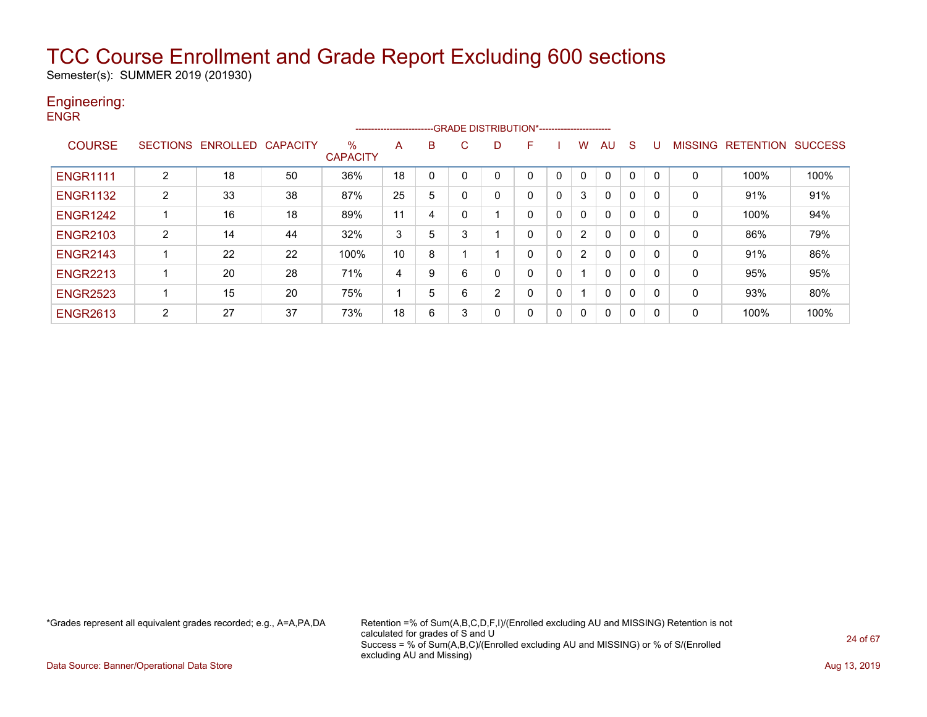Semester(s): SUMMER 2019 (201930)

#### Engineering: ENGR

| <b>ENGR</b>     |   |                            |    |                         |    |   | -GRADE: |
|-----------------|---|----------------------------|----|-------------------------|----|---|---------|
| <b>COURSE</b>   |   | SECTIONS ENROLLED CAPACITY |    | $\%$<br><b>CAPACITY</b> | А  | в | C.      |
| <b>ENGR1111</b> | 2 | 18                         | 50 | 36%                     | 18 | 0 | 0       |
| <b>ENGR1132</b> | 2 | 33                         | 38 | 87%                     | 25 | 5 | 0       |
| <b>ENGR1242</b> |   | 16                         | 18 | 89%                     | 11 | 4 | 0       |

DISTRIBUTION\*------------------------D F I W AU S U MISSING RETENTION SUCCESS ENGR1111 2 18 50 36% 18 0 0 0 0 0 0 0 0 0 0 100% 100% ENGR1132 | 2 | 33 | 38 | 87% |25 | 5 | 0 | 0 | 0 | 3 | 0 | 0 | 0 | 0 | 91% | 91% ENGR1242 1 16 18 89% 11 4 0 1 0 0 0 0 0 0 0 100% 94% ENGR2103 2 14 44 32% 3 5 3 1 0 0 2 0 0 0 0 86% 79% ENGR2143 1 22 22 100% 10 8 1 1 0 0 2 0 0 0 0 91% 86% ENGR2213 1 20 28 71% 4 9 6 0 0 0 1 0 0 0 0 95% 95% ENGR2523 1 15 20 75% 1 5 6 2 0 0 1 0 0 0 0 93% 80% ENGR2613 | 2 | 27 | 37 | 73% |18 | 6 | 3 | 0 | 0 | 0 | 0 | 0 | 0 | 0 | 100% | 100%

\*Grades represent all equivalent grades recorded; e.g., A=A,PA,DA Retention =% of Sum(A,B,C,D,F,I)/(Enrolled excluding AU and MISSING) Retention is not calculated for grades of S and U Success = % of Sum(A,B,C)/(Enrolled excluding AU and MISSING) or % of S/(Enrolled excluding AU and Missing)

Data Source: Banner/Operational Data Store **Aug 13, 2019** Aug 13, 2019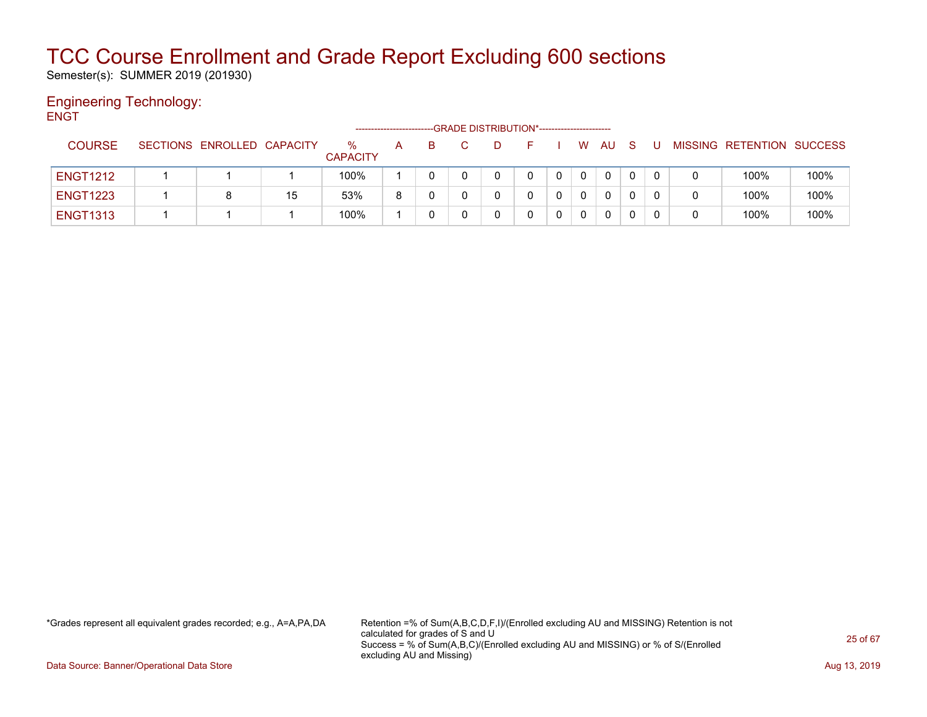Semester(s): SUMMER 2019 (201930)

#### Engineering Technology: **ENGT**

|                 |                            |    |                      | -------------------- |  | --GRADE DISTRIBUTION*----------------------- |              |          |              |    |   |                           |      |
|-----------------|----------------------------|----|----------------------|----------------------|--|----------------------------------------------|--------------|----------|--------------|----|---|---------------------------|------|
| <b>COURSE</b>   | SECTIONS ENROLLED CAPACITY |    | ℅<br><b>CAPACITY</b> | А                    |  |                                              |              | W        | AU           | -S |   | MISSING RETENTION SUCCESS |      |
| <b>ENGT1212</b> |                            |    | 100%                 |                      |  |                                              | $\mathbf{0}$ | 0        | $\mathbf{0}$ |    |   | 100%                      | 100% |
| <b>ENGT1223</b> | 8                          | 15 | 53%                  | 8                    |  |                                              |              | $\Omega$ | 0            |    | 0 | 100%                      | 100% |
| <b>ENGT1313</b> |                            |    | 100%                 |                      |  |                                              |              |          | 0            |    | 0 | 100%                      | 100% |

\*Grades represent all equivalent grades recorded; e.g., A=A,PA,DA Retention =% of Sum(A,B,C,D,F,I)/(Enrolled excluding AU and MISSING) Retention is not calculated for grades of S and U Success = % of Sum(A,B,C)/(Enrolled excluding AU and MISSING) or % of S/(Enrolled excluding AU and Missing)

Data Source: Banner/Operational Data Store **Aug 13, 2019 Aug 13, 2019 Aug 13, 2019**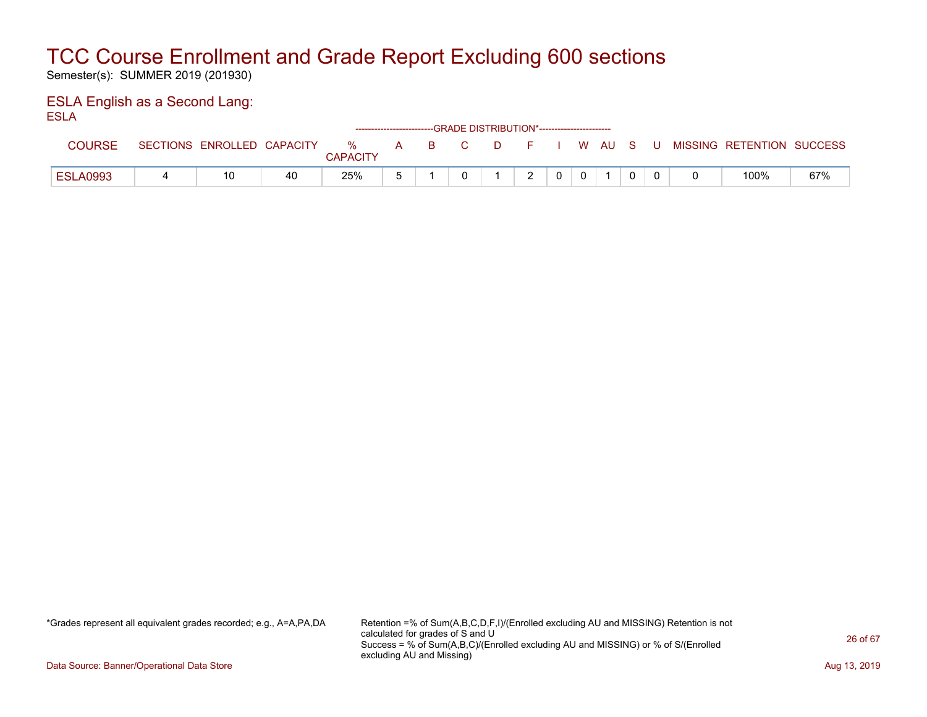Semester(s): SUMMER 2019 (201930)

#### ESLA English as a Second Lang: ESLA

| ___             |   |                            |    |                      |       | ------------------------GRADE DISTRIBUTION*----------------------- |        |  |  |  |                                          |     |
|-----------------|---|----------------------------|----|----------------------|-------|--------------------------------------------------------------------|--------|--|--|--|------------------------------------------|-----|
| COURSE          |   | SECTIONS ENROLLED CAPACITY |    | %<br><b>CAPACITY</b> | A B C |                                                                    |        |  |  |  | D F I W AU S U MISSING RETENTION SUCCESS |     |
| <b>ESLA0993</b> | 4 |                            | 40 | 25%                  |       |                                                                    | $\sim$ |  |  |  | 100%                                     | 67% |

\*Grades represent all equivalent grades recorded; e.g., A=A,PA,DA Retention =% of Sum(A,B,C,D,F,I)/(Enrolled excluding AU and MISSING) Retention is not calculated for grades of S and U Success = % of Sum(A,B,C)/(Enrolled excluding AU and MISSING) or % of S/(Enrolled excluding AU and Missing)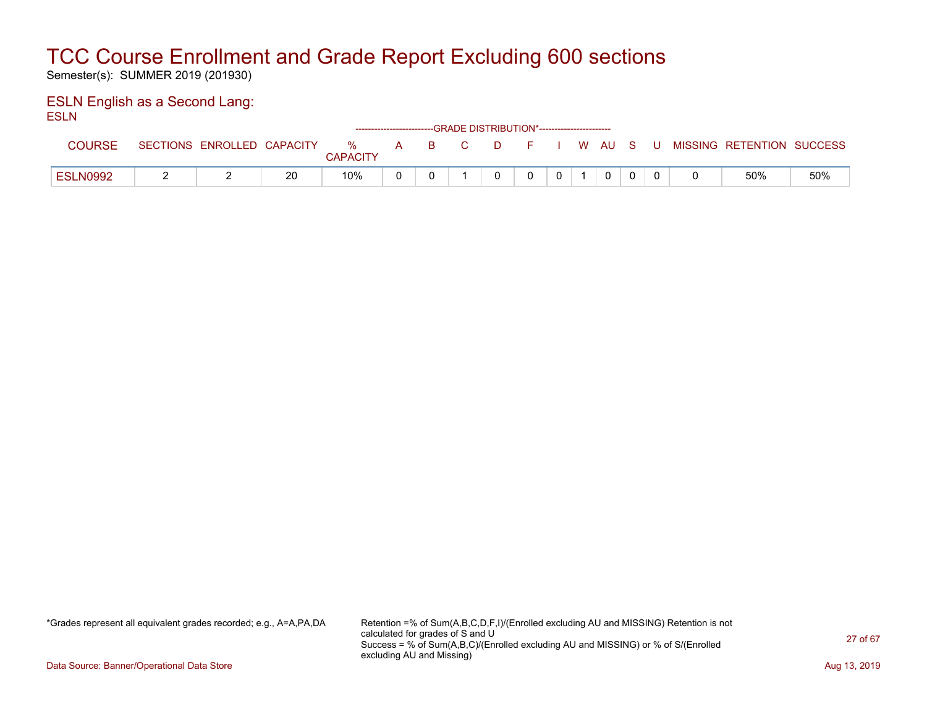Semester(s): SUMMER 2019 (201930)

#### ESLN English as a Second Lang: ESLN

|                 |          |                   |    |                         |              |              |    | ------------------------GRADE DISTRIBUTION*----------------------- |          |  |          |     |                           |     |
|-----------------|----------|-------------------|----|-------------------------|--------------|--------------|----|--------------------------------------------------------------------|----------|--|----------|-----|---------------------------|-----|
| <b>COURSE</b>   | SECTIONS | ENROLLED CAPACITY |    | $\%$<br><b>CAPACITY</b> | $\mathsf{A}$ | $\mathbf{B}$ | C. | . מ                                                                | $\vdash$ |  | I WAUS   | - U | MISSING RETENTION SUCCESS |     |
| <b>ESLN0992</b> |          |                   | 20 | 10%                     |              |              |    |                                                                    |          |  | $\Omega$ |     | 50%                       | 50% |

\*Grades represent all equivalent grades recorded; e.g., A=A,PA,DA Retention =% of Sum(A,B,C,D,F,I)/(Enrolled excluding AU and MISSING) Retention is not calculated for grades of S and U Success = % of Sum(A,B,C)/(Enrolled excluding AU and MISSING) or % of S/(Enrolled excluding AU and Missing)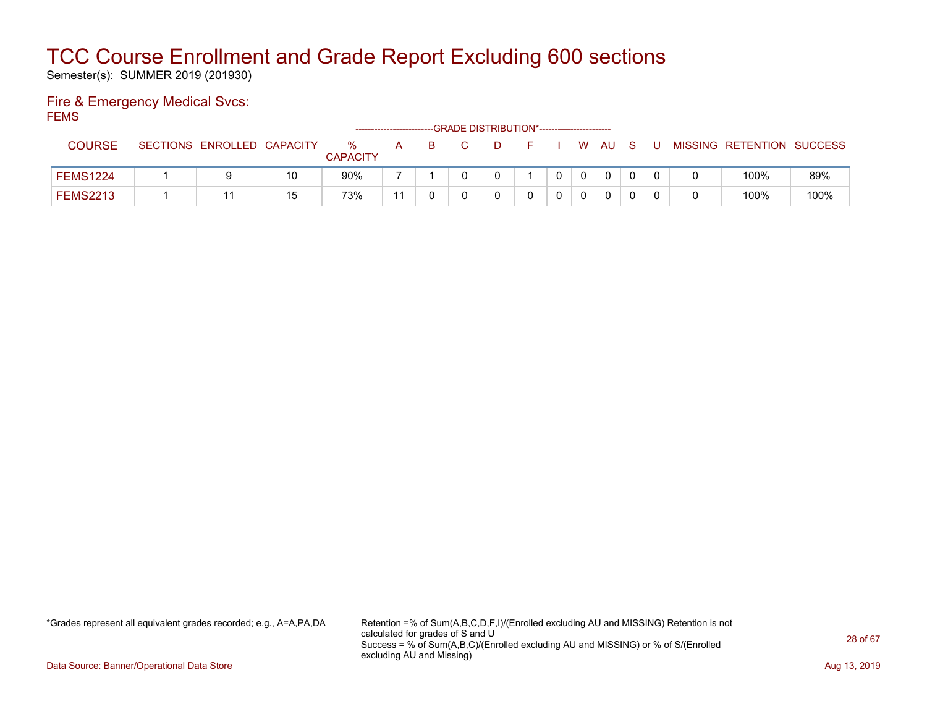Semester(s): SUMMER 2019 (201930)

#### Fire & Emergency Medical Svcs: **FEMS**

| ____            |                            |    |                      |    | --GRADE DISTRIBUTION*----------------------- |  |              |              |              |     |                           |      |
|-----------------|----------------------------|----|----------------------|----|----------------------------------------------|--|--------------|--------------|--------------|-----|---------------------------|------|
| <b>COURSE</b>   | SECTIONS ENROLLED CAPACITY |    | %<br><b>CAPACITY</b> | A  |                                              |  | W.           | AU.          | <sub>S</sub> | U   | MISSING RETENTION SUCCESS |      |
| <b>FEMS1224</b> | 9                          | 10 | 90%                  |    |                                              |  | $\mathbf{0}$ | $\mathbf{0}$ |              | - 0 | 100%                      | 89%  |
| <b>FEMS2213</b> |                            | 15 | 73%                  | 11 |                                              |  |              | 0            |              |     | 100%                      | 100% |

\*Grades represent all equivalent grades recorded; e.g., A=A,PA,DA Retention =% of Sum(A,B,C,D,F,I)/(Enrolled excluding AU and MISSING) Retention is not calculated for grades of S and U Success = % of Sum(A,B,C)/(Enrolled excluding AU and MISSING) or % of S/(Enrolled excluding AU and Missing)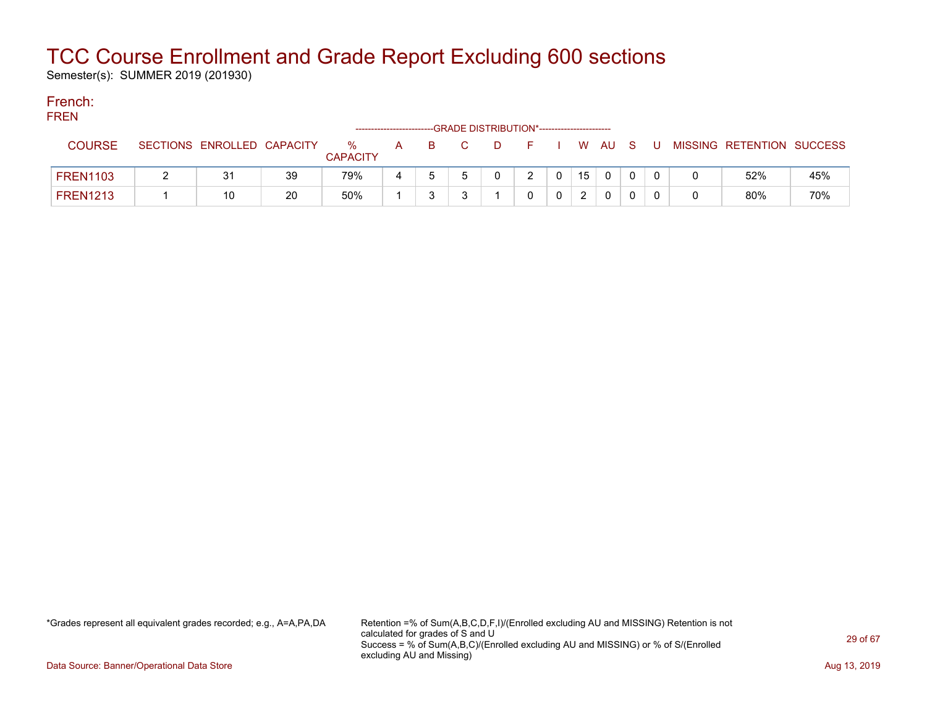Semester(s): SUMMER 2019 (201930)

#### French: **EDEN**

| 1. IN LIV |                 |                            |    |                         | ----------------------- |    | -GRADE DISTRIBUTION*----------------------- |       |               |     |              |       |                           |     |
|-----------|-----------------|----------------------------|----|-------------------------|-------------------------|----|---------------------------------------------|-------|---------------|-----|--------------|-------|---------------------------|-----|
|           | <b>COURSE</b>   | SECTIONS ENROLLED CAPACITY |    | $\%$<br><b>CAPACITY</b> | $\mathsf{A}$            | B. |                                             | - D - | F I W AU S    |     |              | . U . | MISSING RETENTION SUCCESS |     |
|           | <b>FREN1103</b> | 31                         | 39 | 79%                     |                         |    |                                             |       | $\mathcal{D}$ | 15  | $\mathbf{0}$ |       | 52%                       | 45% |
|           | <b>FREN1213</b> |                            | 20 | 50%                     |                         |    |                                             |       | <sup>n</sup>  | - 2 | 0            |       | 80%                       | 70% |

\*Grades represent all equivalent grades recorded; e.g., A=A,PA,DA Retention =% of Sum(A,B,C,D,F,I)/(Enrolled excluding AU and MISSING) Retention is not calculated for grades of S and U Success = % of Sum(A,B,C)/(Enrolled excluding AU and MISSING) or % of S/(Enrolled excluding AU and Missing)

Data Source: Banner/Operational Data Store **Aug 13, 2019 Aug 13, 2019 Aug 13, 2019**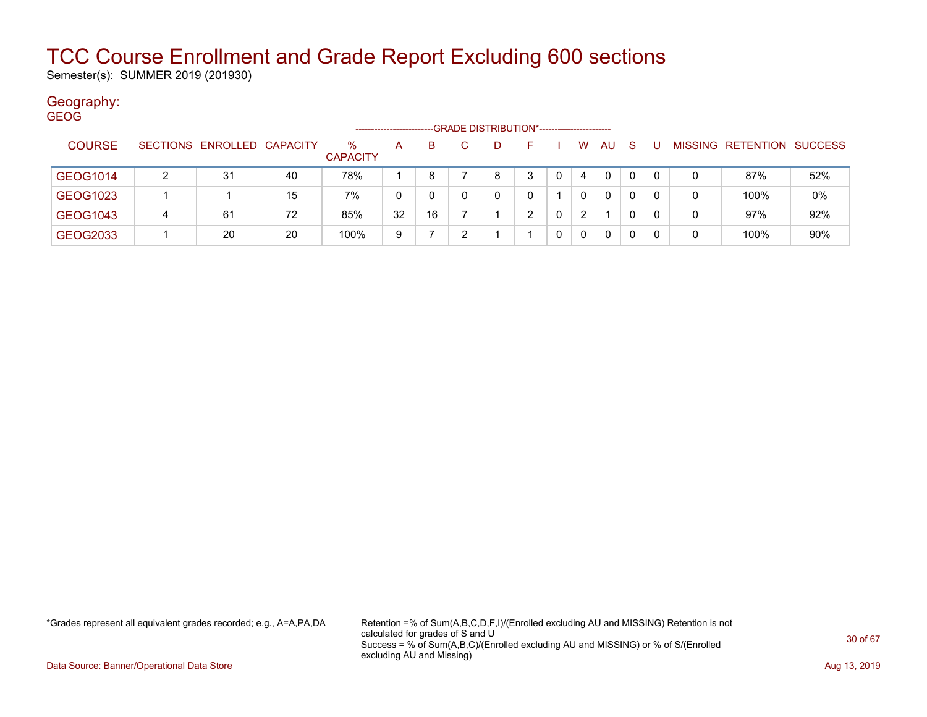Semester(s): SUMMER 2019 (201930)

#### Geography: GEOG

|                 |   |                            |    |                         |    |    |   | -GRADE DISTRIBUTION*----------------------- |   |    |              |          |   |                           |     |
|-----------------|---|----------------------------|----|-------------------------|----|----|---|---------------------------------------------|---|----|--------------|----------|---|---------------------------|-----|
| <b>COURSE</b>   |   | SECTIONS ENROLLED CAPACITY |    | $\%$<br><b>CAPACITY</b> | A  | B. |   | н.                                          | W | AU | S            |          |   | MISSING RETENTION SUCCESS |     |
| GEOG1014        | 2 | 31                         | 40 | 78%                     |    | 8  | 8 | 3                                           | 4 | 0  | $\mathbf{0}$ | $\Omega$ |   | 87%                       | 52% |
| GEOG1023        |   |                            | 15 | 7%                      |    | 0  |   |                                             |   | 0  | 0            | 0        |   | 100%                      | 0%  |
| <b>GEOG1043</b> | 4 | 61                         | 72 | 85%                     | 32 | 16 |   | ົ                                           | 2 |    | 0            | 0        | 0 | 97%                       | 92% |
| GEOG2033        |   | 20                         | 20 | 100%                    | 9  |    |   |                                             |   | 0  | 0            |          |   | 100%                      | 90% |

\*Grades represent all equivalent grades recorded; e.g., A=A,PA,DA Retention =% of Sum(A,B,C,D,F,I)/(Enrolled excluding AU and MISSING) Retention is not calculated for grades of S and U Success = % of Sum(A,B,C)/(Enrolled excluding AU and MISSING) or % of S/(Enrolled excluding AU and Missing)

Data Source: Banner/Operational Data Store **Aug 13, 2019 Aug 13, 2019 Aug 13, 2019**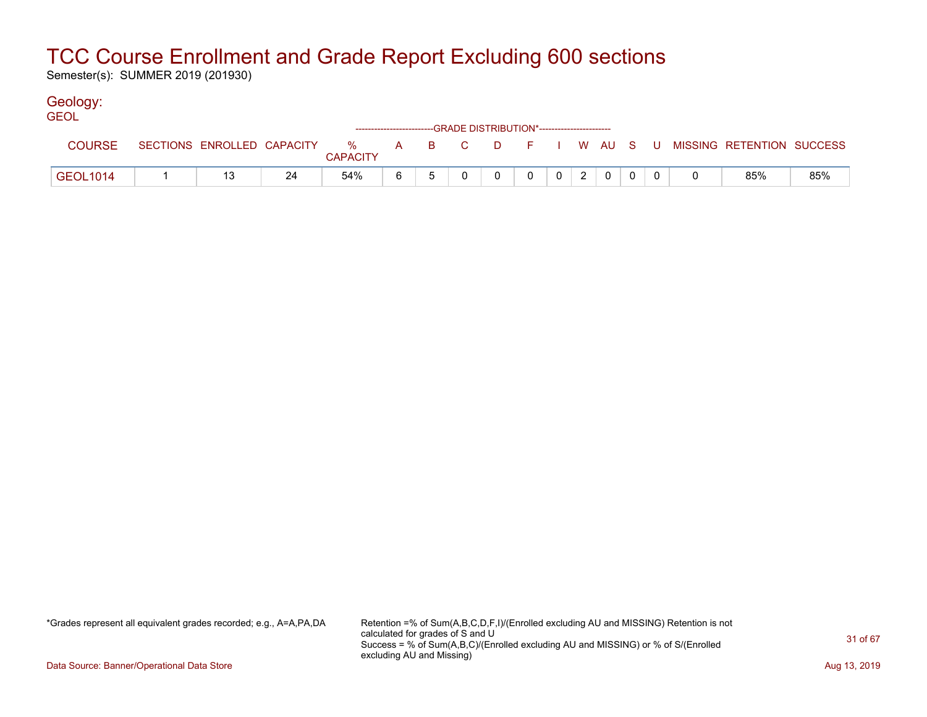Semester(s): SUMMER 2019 (201930)

### Geology:

| <b>GEOL</b>     |  |    |                 |   |  | ------------------------GRADE DISTRIBUTION*----------------------- |              |                 |                |  |                                                                               |     |
|-----------------|--|----|-----------------|---|--|--------------------------------------------------------------------|--------------|-----------------|----------------|--|-------------------------------------------------------------------------------|-----|
| <b>COURSE</b>   |  |    | <b>CAPACITY</b> |   |  |                                                                    |              |                 |                |  | SECTIONS ENROLLED CAPACITY 3 % A B C D F I W AU S U MISSING RETENTION SUCCESS |     |
| <b>GEOL1014</b> |  | 24 | 54%             | 6 |  |                                                                    | $\mathbf{0}$ | $0 \mid 2 \mid$ | $\overline{0}$ |  | 85%                                                                           | 85% |

\*Grades represent all equivalent grades recorded; e.g., A=A,PA,DA Retention =% of Sum(A,B,C,D,F,I)/(Enrolled excluding AU and MISSING) Retention is not calculated for grades of S and U Success = % of Sum(A,B,C)/(Enrolled excluding AU and MISSING) or % of S/(Enrolled excluding AU and Missing)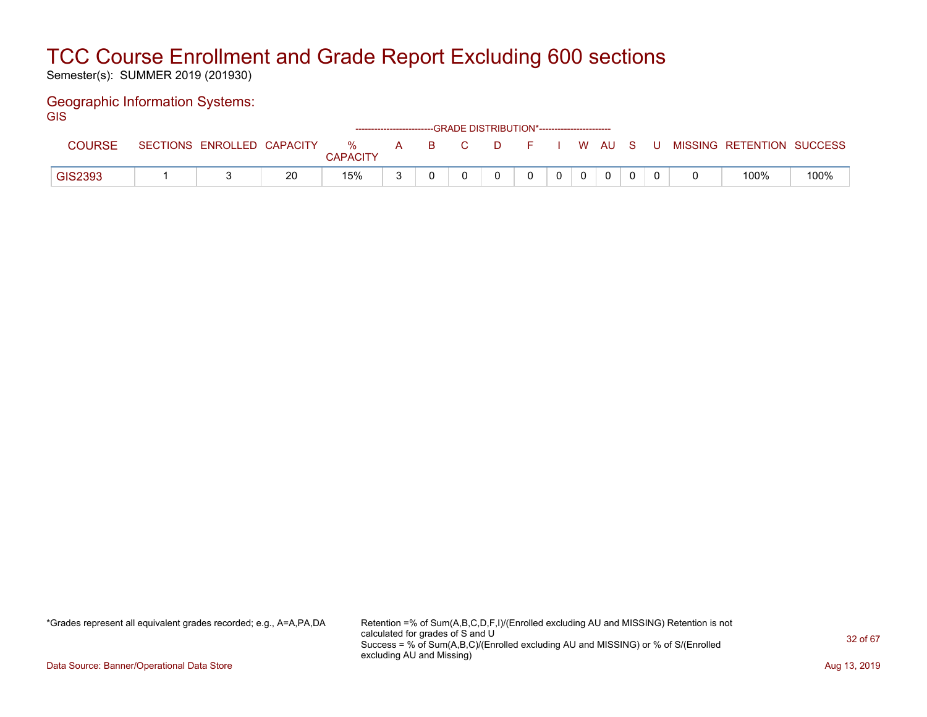Semester(s): SUMMER 2019 (201930)

#### Geographic Information Systems: GIS

| ---           |                 |                   |    |                         |              | ------------------------GRADE DISTRIBUTION*----------------------- |    |    |          |          |      |    |  |                           |      |
|---------------|-----------------|-------------------|----|-------------------------|--------------|--------------------------------------------------------------------|----|----|----------|----------|------|----|--|---------------------------|------|
| <b>COURSE</b> | <b>SECTIONS</b> | ENROLLED CAPACITY |    | $\%$<br><b>CAPACITY</b> | $\mathsf{A}$ | <b>B</b>                                                           | C. | D. |          |          | W AU | S. |  | MISSING RETENTION SUCCESS |      |
| GIS2393       |                 |                   | 20 | 15%                     |              |                                                                    |    |    | $\Omega$ | $\Omega$ | 0    |    |  | 100%                      | 100% |

\*Grades represent all equivalent grades recorded; e.g., A=A,PA,DA Retention =% of Sum(A,B,C,D,F,I)/(Enrolled excluding AU and MISSING) Retention is not calculated for grades of S and U Success = % of Sum(A,B,C)/(Enrolled excluding AU and MISSING) or % of S/(Enrolled excluding AU and Missing)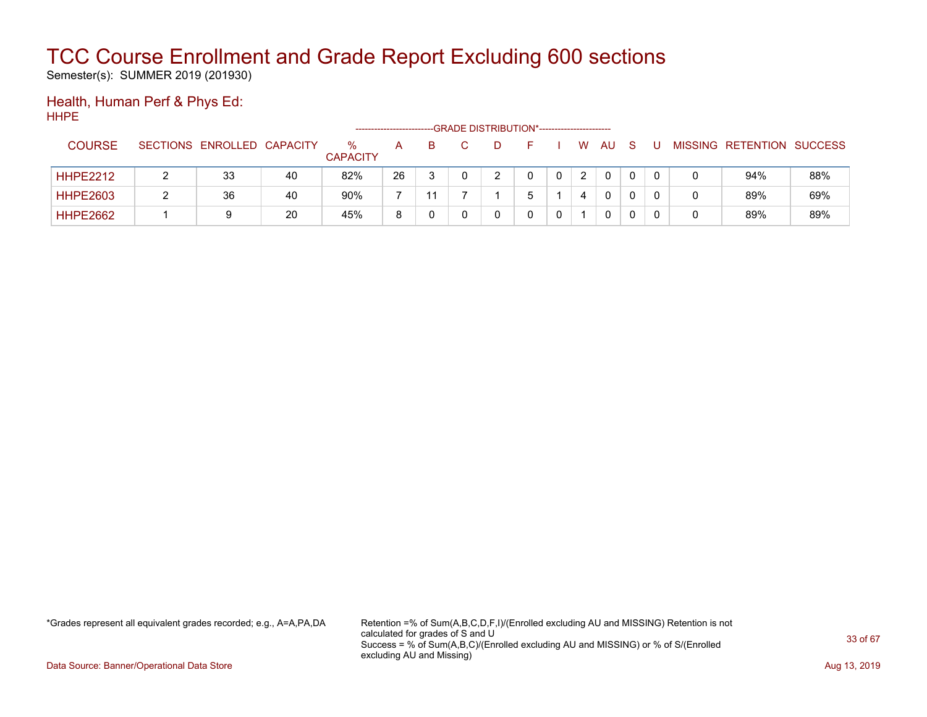Semester(s): SUMMER 2019 (201930)

#### Health, Human Perf & Phys Ed: HHPE

|                 |                            |    |                         |    |   | -GRADE DISTRIBUTION*----------------------- |  |   |              |   |  |                   |                |
|-----------------|----------------------------|----|-------------------------|----|---|---------------------------------------------|--|---|--------------|---|--|-------------------|----------------|
| <b>COURSE</b>   | SECTIONS ENROLLED CAPACITY |    | $\%$<br><b>CAPACITY</b> | A  | B |                                             |  | W | AU           | S |  | MISSING RETENTION | <b>SUCCESS</b> |
| <b>HHPE2212</b> | 33                         | 40 | 82%                     | 26 |   |                                             |  |   | 0            |   |  | 94%               | 88%            |
| <b>HHPE2603</b> | 36                         | 40 | 90%                     |    |   |                                             |  |   | $\mathbf{0}$ |   |  | 89%               | 69%            |
| <b>HHPE2662</b> | 9                          | 20 | 45%                     | 8  |   |                                             |  |   | 0            |   |  | 89%               | 89%            |

\*Grades represent all equivalent grades recorded; e.g., A=A,PA,DA Retention =% of Sum(A,B,C,D,F,I)/(Enrolled excluding AU and MISSING) Retention is not calculated for grades of S and U Success = % of Sum(A,B,C)/(Enrolled excluding AU and MISSING) or % of S/(Enrolled excluding AU and Missing)

Data Source: Banner/Operational Data Store **Aug 13, 2019 Aug 13, 2019 Aug 13, 2019**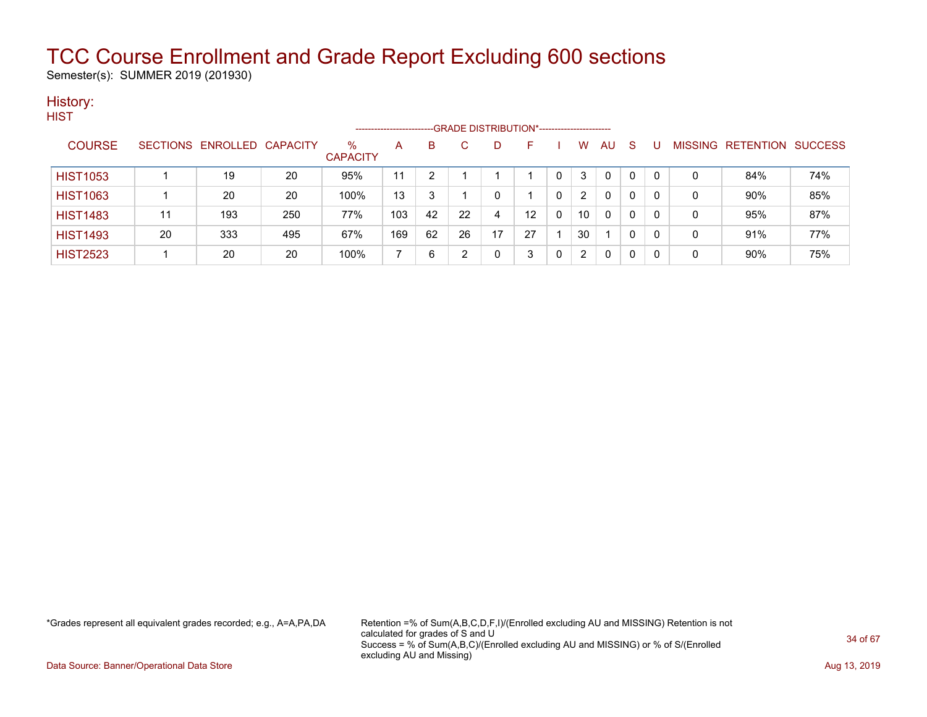Semester(s): SUMMER 2019 (201930)

#### History: **HIST**

|                 |    |                            |     |                         | ----------------------- |    | --GRADE DISTRIBUTION*------------------------ |    |    |          |    |    |    |          |   |                                  |     |
|-----------------|----|----------------------------|-----|-------------------------|-------------------------|----|-----------------------------------------------|----|----|----------|----|----|----|----------|---|----------------------------------|-----|
| <b>COURSE</b>   |    | SECTIONS ENROLLED CAPACITY |     | $\%$<br><b>CAPACITY</b> | A                       | B  |                                               |    | ⊢  |          | w  | AU | -S | U        |   | <b>MISSING RETENTION SUCCESS</b> |     |
| <b>HIST1053</b> |    | 19                         | 20  | 95%                     | 11                      |    |                                               |    |    |          |    | 0  | 0  | 0        | 0 | 84%                              | 74% |
| <b>HIST1063</b> |    | 20                         | 20  | 100%                    | 13                      | 3  |                                               |    |    | 0        |    | 0  | 0  | 0        | 0 | 90%                              | 85% |
| <b>HIST1483</b> | 11 | 193                        | 250 | 77%                     | 103                     | 42 | 22                                            | 4  | 12 | $\Omega$ | 10 | 0  | 0  | 0        | 0 | 95%                              | 87% |
| <b>HIST1493</b> | 20 | 333                        | 495 | 67%                     | 169                     | 62 | 26                                            | 17 | 27 |          | 30 |    | 0  | $\Omega$ | 0 | 91%                              | 77% |
| <b>HIST2523</b> |    | 20                         | 20  | 100%                    |                         | 6  |                                               |    |    | 0        |    | 0  | 0  | 0        | 0 | 90%                              | 75% |

\*Grades represent all equivalent grades recorded; e.g., A=A,PA,DA Retention =% of Sum(A,B,C,D,F,I)/(Enrolled excluding AU and MISSING) Retention is not calculated for grades of S and U Success = % of Sum(A,B,C)/(Enrolled excluding AU and MISSING) or % of S/(Enrolled excluding AU and Missing)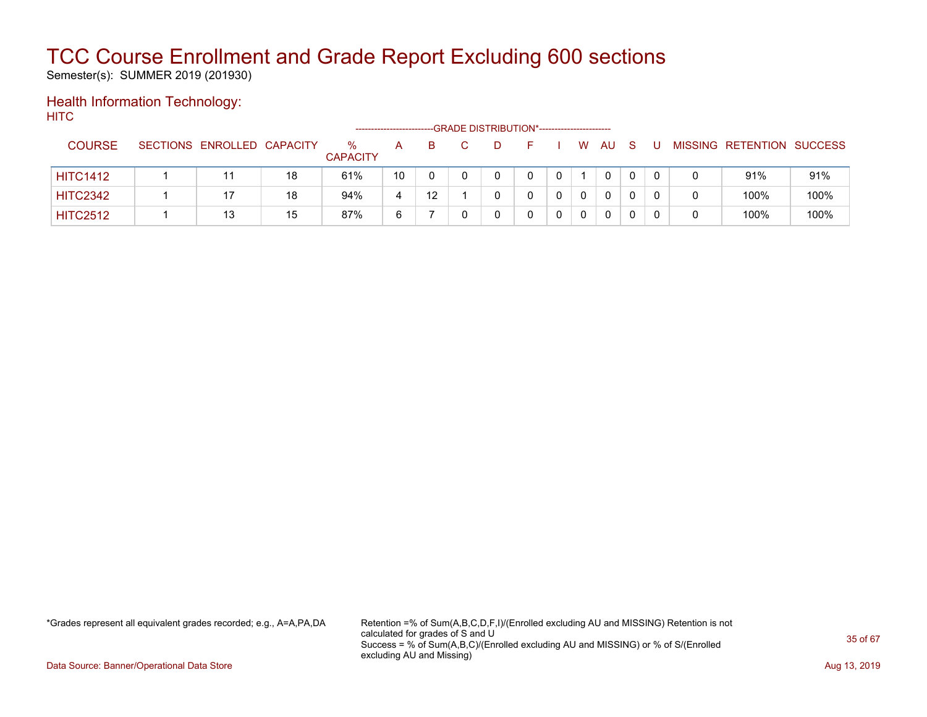Semester(s): SUMMER 2019 (201930)

#### Health Information Technology: **HITC**

|                 |                            |    | ------------------      |    |         |  |  |    |    |   |  |                           |      |
|-----------------|----------------------------|----|-------------------------|----|---------|--|--|----|----|---|--|---------------------------|------|
| <b>COURSE</b>   | SECTIONS ENROLLED CAPACITY |    | $\%$<br><b>CAPACITY</b> | A  | B.      |  |  | W. | AU | S |  | MISSING RETENTION SUCCESS |      |
| <b>HITC1412</b> | 11                         | 18 | 61%                     | 10 |         |  |  |    | 0  |   |  | 91%                       | 91%  |
| <b>HITC2342</b> |                            | 18 | 94%                     | 4  | $12 \,$ |  |  |    | 0  |   |  | 100%                      | 100% |
| <b>HITC2512</b> | 13                         | 15 | 87%                     | 6  |         |  |  |    | 0  |   |  | 100%                      | 100% |

\*Grades represent all equivalent grades recorded; e.g., A=A,PA,DA Retention =% of Sum(A,B,C,D,F,I)/(Enrolled excluding AU and MISSING) Retention is not calculated for grades of S and U Success = % of Sum(A,B,C)/(Enrolled excluding AU and MISSING) or % of S/(Enrolled excluding AU and Missing)

Data Source: Banner/Operational Data Store **Aug 13, 2019 Aug 13, 2019 Aug 13, 2019**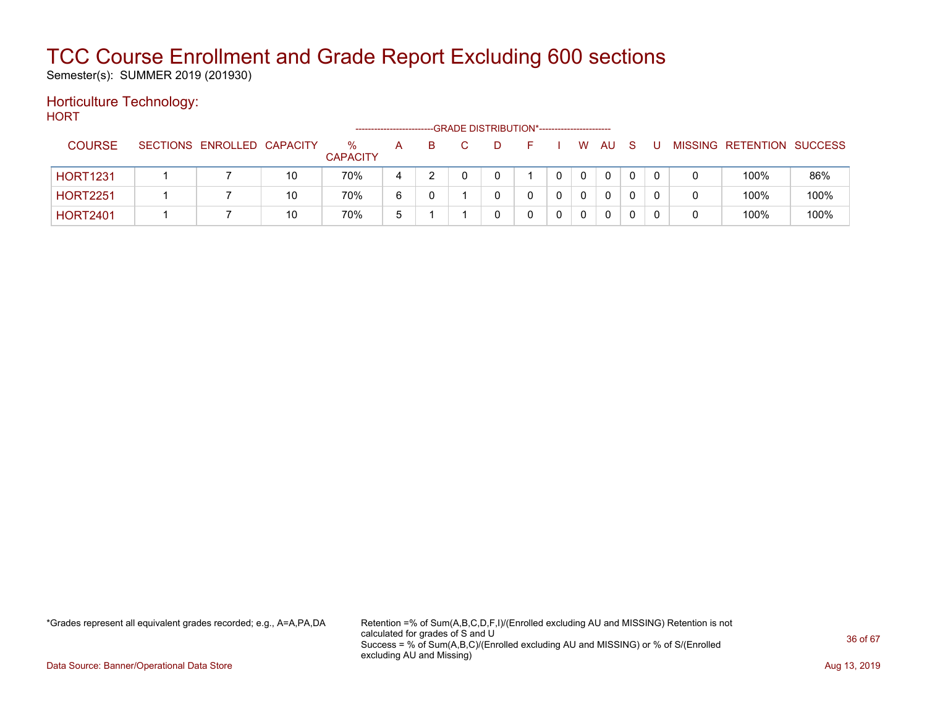Semester(s): SUMMER 2019 (201930)

#### Horticulture Technology: HORT

| .               |                            |    |                      |   |    | -GRADE DISTRIBUTION*---------------------- |  |    |    |              |  |                           |      |
|-----------------|----------------------------|----|----------------------|---|----|--------------------------------------------|--|----|----|--------------|--|---------------------------|------|
| <b>COURSE</b>   | SECTIONS ENROLLED CAPACITY |    | %<br><b>CAPACITY</b> | A | B. |                                            |  | W. | AU | <sub>S</sub> |  | MISSING RETENTION SUCCESS |      |
| <b>HORT1231</b> |                            | 10 | 70%                  | 4 |    |                                            |  |    | 0  |              |  | 100%                      | 86%  |
| <b>HORT2251</b> |                            | 10 | 70%                  | 6 |    |                                            |  |    | 0  |              |  | 100%                      | 100% |
| <b>HORT2401</b> |                            | 10 | 70%                  | 5 |    |                                            |  | 0  | 0  | $\mathbf{0}$ |  | 100%                      | 100% |

\*Grades represent all equivalent grades recorded; e.g., A=A,PA,DA Retention =% of Sum(A,B,C,D,F,I)/(Enrolled excluding AU and MISSING) Retention is not calculated for grades of S and U Success = % of Sum(A,B,C)/(Enrolled excluding AU and MISSING) or % of S/(Enrolled excluding AU and Missing)

Data Source: Banner/Operational Data Store **Aug 13, 2019 Aug 13, 2019 Aug 13, 2019**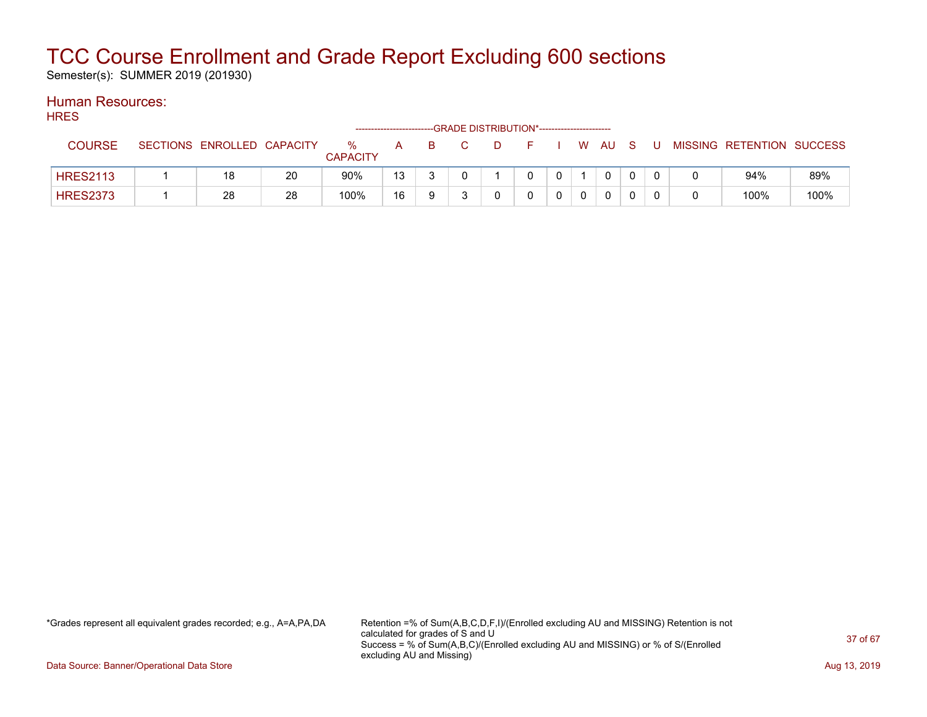Semester(s): SUMMER 2019 (201930)

#### Human Resources: **HRES**

| .               |                            |    |                         |    |     | --GRADE DISTRIBUTION*----------------------- |    |  |      |     |    |                           |      |
|-----------------|----------------------------|----|-------------------------|----|-----|----------------------------------------------|----|--|------|-----|----|---------------------------|------|
| <b>COURSE</b>   | SECTIONS ENROLLED CAPACITY |    | $\%$<br><b>CAPACITY</b> | A  | - B | $\Box$ D                                     | F. |  | W AU | - S | -U | MISSING RETENTION SUCCESS |      |
| <b>HRES2113</b> | 18                         | 20 | 90%                     | 13 |     |                                              |    |  | 0    |     |    | 94%                       | 89%  |
| <b>HRES2373</b> | 28                         | 28 | 100%                    | 16 |     |                                              |    |  | 0    |     |    | 100%                      | 100% |

\*Grades represent all equivalent grades recorded; e.g., A=A,PA,DA Retention =% of Sum(A,B,C,D,F,I)/(Enrolled excluding AU and MISSING) Retention is not calculated for grades of S and U Success = % of Sum(A,B,C)/(Enrolled excluding AU and MISSING) or % of S/(Enrolled excluding AU and Missing)

Data Source: Banner/Operational Data Store **Aug 13, 2019 Aug 13, 2019 Aug 13, 2019**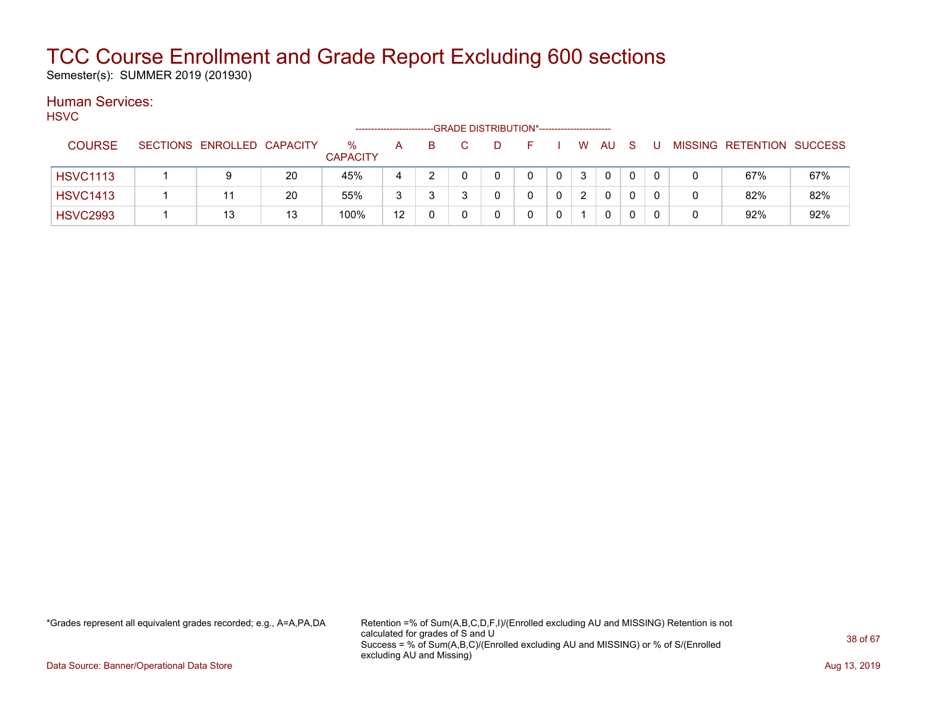Semester(s): SUMMER 2019 (201930)

#### Human Services: HSVC

| .               |                            |    |                         |    |    | -GRADE DISTRIBUTION*----------------------- |      |    |                |    |              |              |   |   |                           |     |
|-----------------|----------------------------|----|-------------------------|----|----|---------------------------------------------|------|----|----------------|----|--------------|--------------|---|---|---------------------------|-----|
| <b>COURSE</b>   | SECTIONS ENROLLED CAPACITY |    | $\%$<br><b>CAPACITY</b> | A  | B. |                                             | - D- | F. |                | W. | AU.          | <sub>S</sub> | U |   | MISSING RETENTION SUCCESS |     |
| <b>HSVC1113</b> | 9                          | 20 | 45%                     |    |    |                                             | 0    | 0  | $\overline{0}$ | 3  | $\mathbf{0}$ |              |   |   | 67%                       | 67% |
| <b>HSVC1413</b> | 11                         | 20 | 55%                     | 3  |    |                                             |      |    | $\Omega$       | 2  | $\mathbf{0}$ |              |   | 0 | 82%                       | 82% |
| <b>HSVC2993</b> | 13                         | 13 | 100%                    | 12 |    |                                             |      |    |                |    | $\mathbf{0}$ |              |   |   | 92%                       | 92% |

\*Grades represent all equivalent grades recorded; e.g., A=A,PA,DA Retention =% of Sum(A,B,C,D,F,I)/(Enrolled excluding AU and MISSING) Retention is not calculated for grades of S and U Success = % of Sum(A,B,C)/(Enrolled excluding AU and MISSING) or % of S/(Enrolled excluding AU and Missing)

Data Source: Banner/Operational Data Store **Aug 13, 2019 Aug 13, 2019 Aug 13, 2019**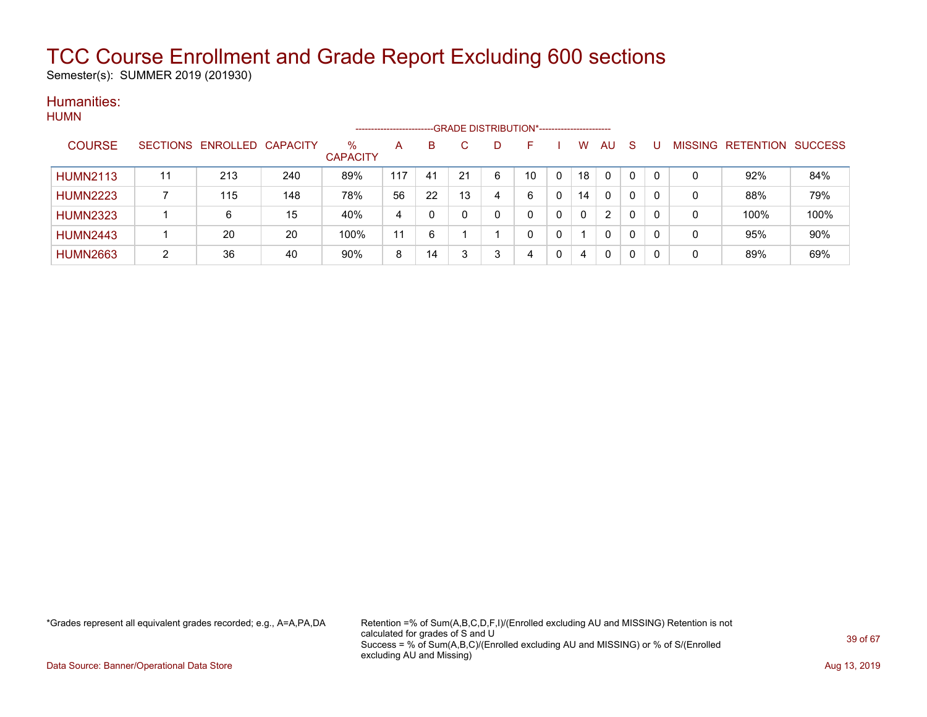Semester(s): SUMMER 2019 (201930)

#### Humanities: **HUMN**

|                 |                 |          |                 |                         | -------------------- |    |    | --GRADE DISTRIBUTION*----------------------- |    |   |    |              |              |    |                |                  |                |
|-----------------|-----------------|----------|-----------------|-------------------------|----------------------|----|----|----------------------------------------------|----|---|----|--------------|--------------|----|----------------|------------------|----------------|
| <b>COURSE</b>   | <b>SECTIONS</b> | ENROLLED | <b>CAPACITY</b> | $\%$<br><b>CAPACITY</b> | A                    | B  |    | D                                            | ⊢  |   | W  | AU           | <sub>S</sub> |    | <b>MISSING</b> | <b>RETENTION</b> | <b>SUCCESS</b> |
| <b>HUMN2113</b> | 11              | 213      | 240             | 89%                     | 117                  | 41 | 21 | 6                                            | 10 |   | 18 | 0            | 0            |    | 0              | 92%              | 84%            |
| <b>HUMN2223</b> |                 | 115      | 148             | 78%                     | 56                   | 22 | 13 | 4                                            | 6  |   | 14 | 0            | 0            |    | 0              | 88%              | 79%            |
| <b>HUMN2323</b> |                 | 6        | 15              | 40%                     | 4                    |    |    | 0                                            | 0  | 0 | 0  | 2            | 0            |    | 0              | 100%             | 100%           |
| <b>HUMN2443</b> |                 | 20       | 20              | 100%                    | 11                   | 6  |    |                                              | 0  |   |    | $\mathbf{0}$ | 0            | -0 | 0              | 95%              | 90%            |
| <b>HUMN2663</b> | ົ               | 36       | 40              | 90%                     | 8                    | 14 |    | 3                                            | 4  |   | 4  | 0            | 0            |    | 0              | 89%              | 69%            |

\*Grades represent all equivalent grades recorded; e.g., A=A,PA,DA Retention =% of Sum(A,B,C,D,F,I)/(Enrolled excluding AU and MISSING) Retention is not calculated for grades of S and U Success = % of Sum(A,B,C)/(Enrolled excluding AU and MISSING) or % of S/(Enrolled excluding AU and Missing)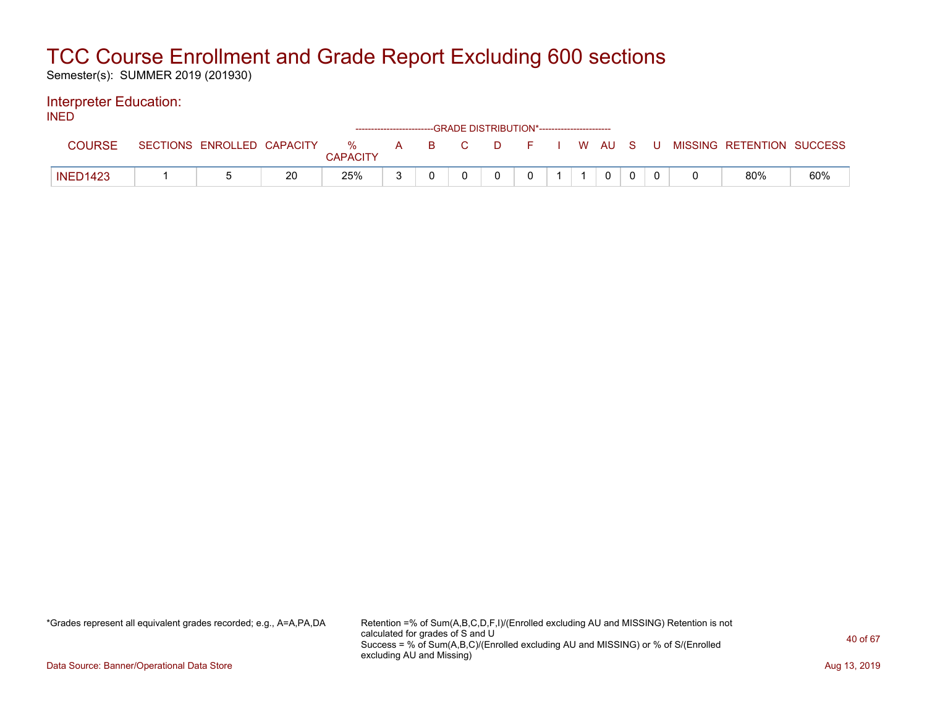Semester(s): SUMMER 2019 (201930)

### Interpreter Education:

| <b>INED</b> |                 |  |    |                 |  | -GRADE DISTRIBUTION*----------------------- |                |  |  |        |                                                                             |     |
|-------------|-----------------|--|----|-----------------|--|---------------------------------------------|----------------|--|--|--------|-----------------------------------------------------------------------------|-----|
|             | <b>COURSE</b>   |  |    | <b>CAPACITY</b> |  |                                             |                |  |  |        | SECTIONS ENROLLED CAPACITY % A B C D F I W AU S U MISSING RETENTION SUCCESS |     |
|             | <b>INED1423</b> |  | 20 | 25%             |  | $\mathbf{0}$                                | $\overline{0}$ |  |  | $\cap$ | 80%                                                                         | 60% |

\*Grades represent all equivalent grades recorded; e.g., A=A,PA,DA Retention =% of Sum(A,B,C,D,F,I)/(Enrolled excluding AU and MISSING) Retention is not calculated for grades of S and U Success = % of Sum(A,B,C)/(Enrolled excluding AU and MISSING) or % of S/(Enrolled excluding AU and Missing)

Data Source: Banner/Operational Data Store **Aug 13, 2019 Aug 13, 2019 Aug 13, 2019**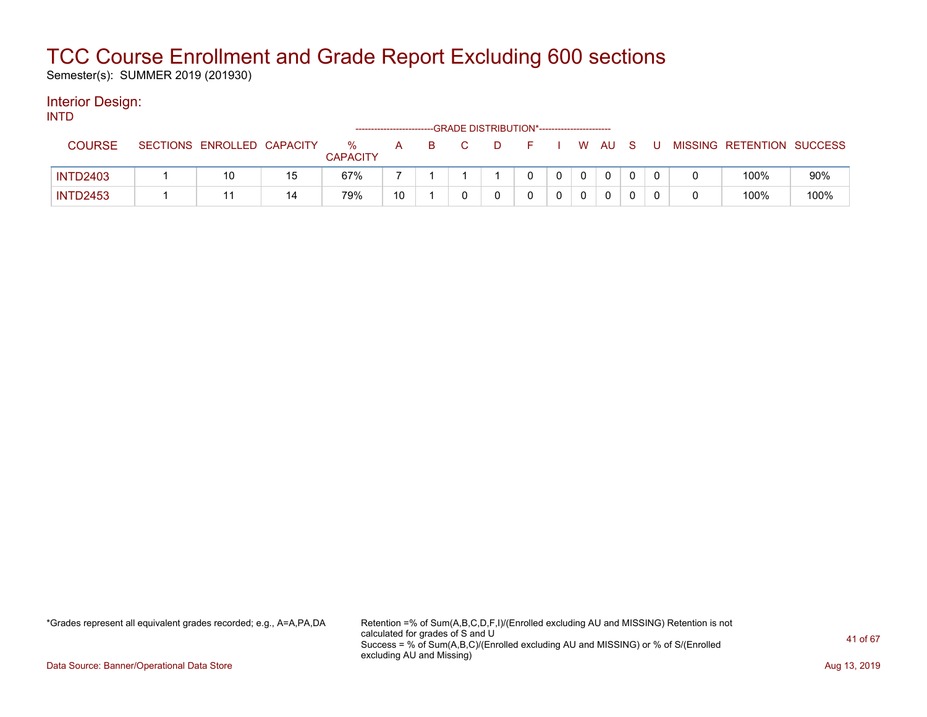Semester(s): SUMMER 2019 (201930)

#### Interior Design: INTD

| .               |                            |    |                      | ----------------------- |  | --GRADE DISTRIBUTION*------------------------ |  |          |      |        |    |                           |      |
|-----------------|----------------------------|----|----------------------|-------------------------|--|-----------------------------------------------|--|----------|------|--------|----|---------------------------|------|
| <b>COURSE</b>   | SECTIONS ENROLLED CAPACITY |    | %<br><b>CAPACITY</b> | A                       |  |                                               |  |          | W AU | - S    | -U | MISSING RETENTION SUCCESS |      |
| <b>INTD2403</b> | 10                         | 15 | 67%                  |                         |  |                                               |  | $\Omega$ | 0    |        |    | 100%                      | 90%  |
| <b>INTD2453</b> |                            | 14 | 79%                  | 10                      |  |                                               |  | $\Omega$ | 0    | $\cap$ |    | 100%                      | 100% |

\*Grades represent all equivalent grades recorded; e.g., A=A,PA,DA Retention =% of Sum(A,B,C,D,F,I)/(Enrolled excluding AU and MISSING) Retention is not calculated for grades of S and U Success = % of Sum(A,B,C)/(Enrolled excluding AU and MISSING) or % of S/(Enrolled excluding AU and Missing)

Data Source: Banner/Operational Data Store **Aug 13, 2019 Aug 13, 2019 Aug 13, 2019**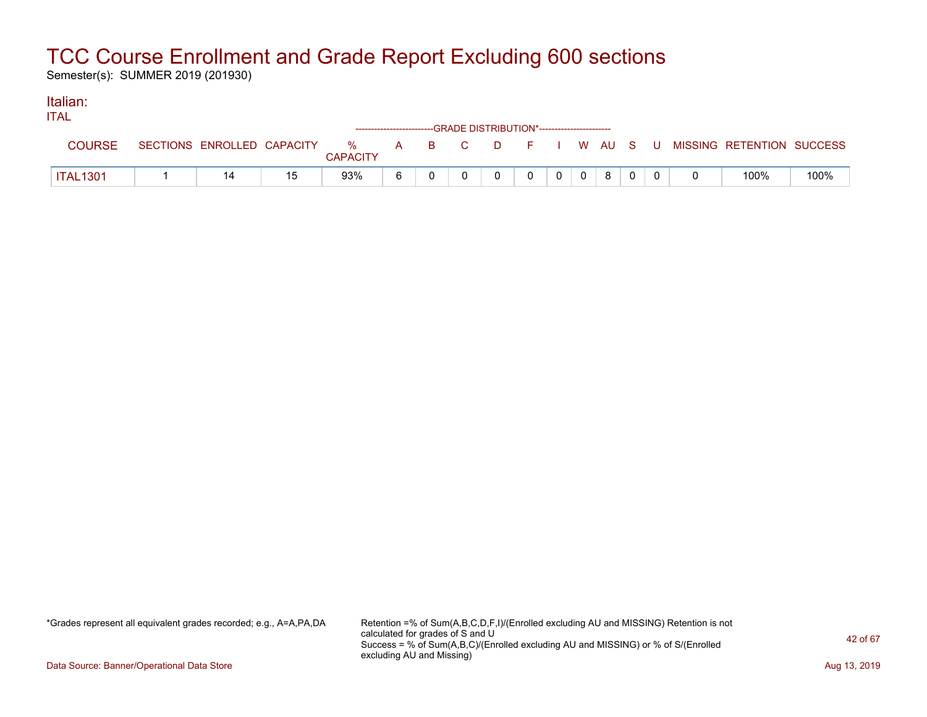Semester(s): SUMMER 2019 (201930)

#### Italian: ITAL

| 11 A L          |                            |                            | ------------------------GRADE DISTRIBUTION*----------------------- |   |              |   |  |                                          |      |
|-----------------|----------------------------|----------------------------|--------------------------------------------------------------------|---|--------------|---|--|------------------------------------------|------|
|                 | SECTIONS ENROLLED CAPACITY | % A B C<br><b>CAPACITY</b> |                                                                    |   |              |   |  | D F I W AU S U MISSING RETENTION SUCCESS |      |
| <b>ITAL1301</b> |                            | 93%                        |                                                                    | 0 | $\mathbf{0}$ | 8 |  | 100%                                     | 100% |

\*Grades represent all equivalent grades recorded; e.g., A=A,PA,DA Retention =% of Sum(A,B,C,D,F,I)/(Enrolled excluding AU and MISSING) Retention is not calculated for grades of S and U Success = % of Sum(A,B,C)/(Enrolled excluding AU and MISSING) or % of S/(Enrolled excluding AU and Missing)

Data Source: Banner/Operational Data Store **Aug 13, 2019 Aug 13, 2019 Aug 13, 2019**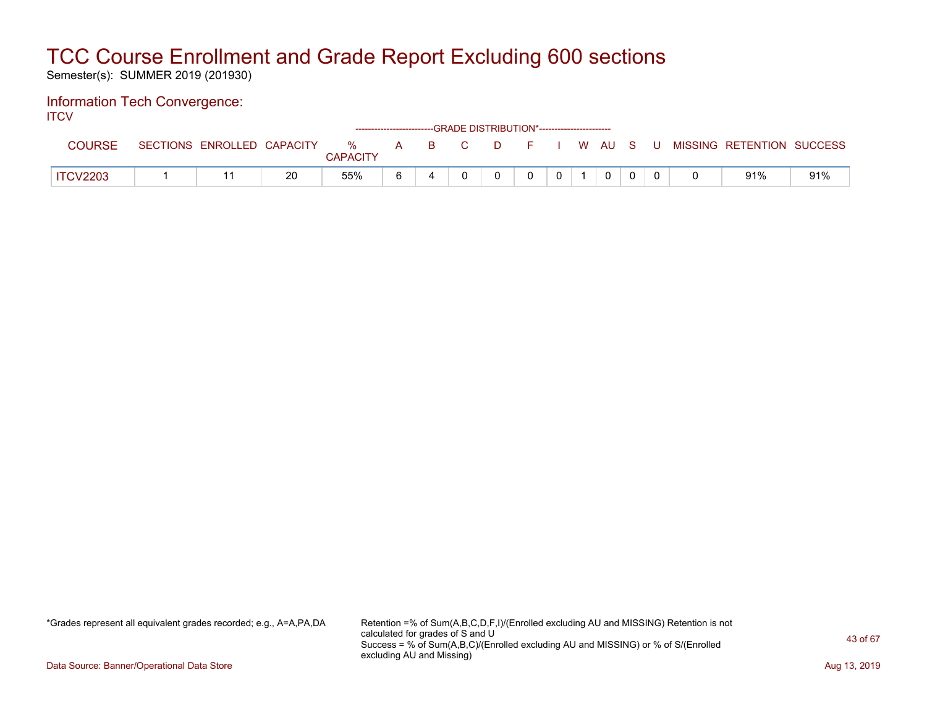Semester(s): SUMMER 2019 (201930)

#### Information Tech Convergence: **ITCV**

| .               |                            |    |                         |       | ------------------------GRADE DISTRIBUTION*----------------------- |  |  |  |                           |     |
|-----------------|----------------------------|----|-------------------------|-------|--------------------------------------------------------------------|--|--|--|---------------------------|-----|
|                 | SECTIONS ENROLLED CAPACITY |    | $\%$<br><b>CAPACITY</b> | A B C | DFIWAUSU                                                           |  |  |  | MISSING RETENTION SUCCESS |     |
| <b>ITCV2203</b> |                            | 20 | 55%                     |       |                                                                    |  |  |  | 91%                       | 91% |

\*Grades represent all equivalent grades recorded; e.g., A=A,PA,DA Retention =% of Sum(A,B,C,D,F,I)/(Enrolled excluding AU and MISSING) Retention is not calculated for grades of S and U Success = % of Sum(A,B,C)/(Enrolled excluding AU and MISSING) or % of S/(Enrolled excluding AU and Missing)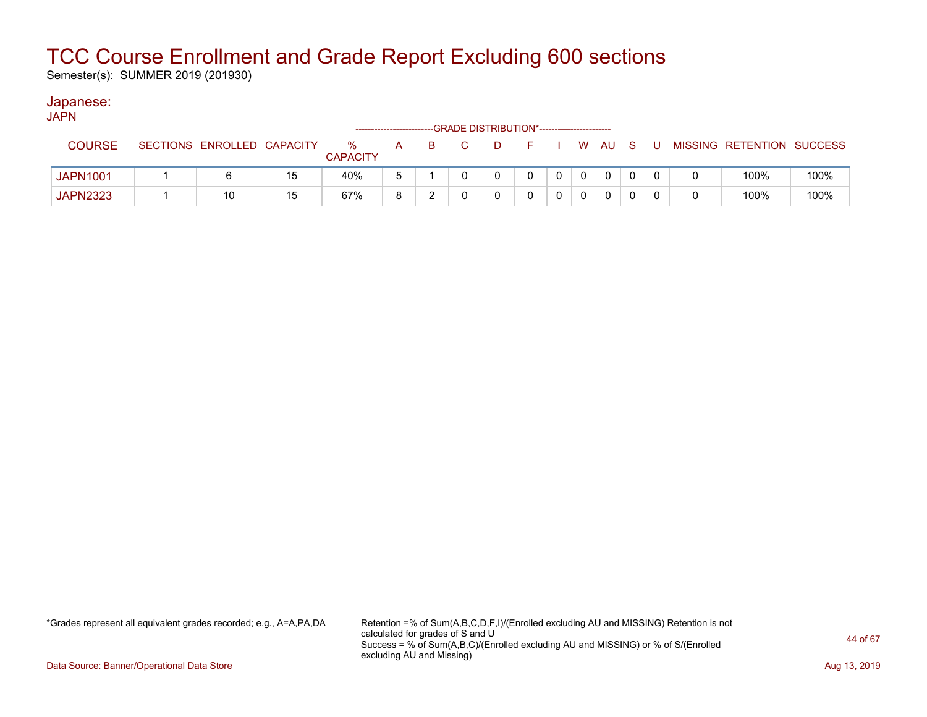Semester(s): SUMMER 2019 (201930)

#### Japanese: JAPN

| ויור ע          |                            |    |                      |   |    | --GRADE DISTRIBUTION*----------------------- |   |          |              |              |  |                           |      |
|-----------------|----------------------------|----|----------------------|---|----|----------------------------------------------|---|----------|--------------|--------------|--|---------------------------|------|
| <b>COURSE</b>   | SECTIONS ENROLLED CAPACITY |    | %<br><b>CAPACITY</b> | A | B. |                                              |   |          |              | W AU S       |  | MISSING RETENTION SUCCESS |      |
| <b>JAPN1001</b> |                            | 15 | 40%                  | b |    |                                              | 0 | $\Omega$ | $\mathbf{0}$ | $\mathbf{0}$ |  | 100%                      | 100% |
| <b>JAPN2323</b> | 10                         | 15 | 67%                  | 8 |    |                                              |   |          |              |              |  | 100%                      | 100% |

\*Grades represent all equivalent grades recorded; e.g., A=A,PA,DA Retention =% of Sum(A,B,C,D,F,I)/(Enrolled excluding AU and MISSING) Retention is not calculated for grades of S and U Success = % of Sum(A,B,C)/(Enrolled excluding AU and MISSING) or % of S/(Enrolled excluding AU and Missing)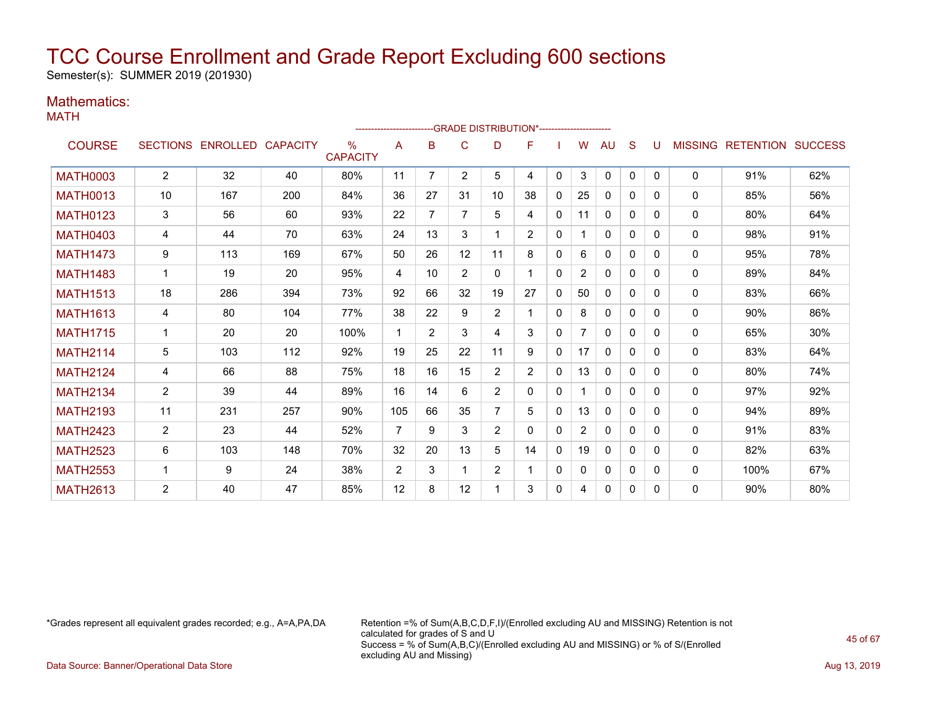Semester(s): SUMMER 2019 (201930)

### Mathematics:

MATH

|                 |                |                   |                 |                                  | ----------------------- |                |                |                | --GRADE DISTRIBUTION*----------------------- |              |                |              |              |          |                |                          |     |
|-----------------|----------------|-------------------|-----------------|----------------------------------|-------------------------|----------------|----------------|----------------|----------------------------------------------|--------------|----------------|--------------|--------------|----------|----------------|--------------------------|-----|
| <b>COURSE</b>   |                | SECTIONS ENROLLED | <b>CAPACITY</b> | $\frac{0}{0}$<br><b>CAPACITY</b> | A                       | в              | C              | D              | F                                            |              | W              | AU           | S            | U        | <b>MISSING</b> | <b>RETENTION SUCCESS</b> |     |
| <b>MATH0003</b> | $\overline{2}$ | 32                | 40              | 80%                              | 11                      | $\overline{7}$ | $\overline{2}$ | 5              | 4                                            | $\mathbf{0}$ | 3              | $\Omega$     | $\Omega$     | $\Omega$ | 0              | 91%                      | 62% |
| <b>MATH0013</b> | 10             | 167               | 200             | 84%                              | 36                      | 27             | 31             | 10             | 38                                           | $\Omega$     | 25             | $\mathbf{0}$ | $\Omega$     | 0        | $\Omega$       | 85%                      | 56% |
| <b>MATH0123</b> | 3              | 56                | 60              | 93%                              | 22                      | 7              | $\overline{7}$ | 5              | 4                                            | $\mathbf 0$  | 11             | $\mathbf{0}$ | $\Omega$     | 0        | 0              | 80%                      | 64% |
| <b>MATH0403</b> | 4              | 44                | 70              | 63%                              | 24                      | 13             | 3              |                | $\overline{2}$                               | $\mathbf{0}$ |                | 0            | $\mathbf{0}$ | $\Omega$ | 0              | 98%                      | 91% |
| <b>MATH1473</b> | 9              | 113               | 169             | 67%                              | 50                      | 26             | 12             | 11             | 8                                            | 0            | 6              | 0            | 0            | 0        | 0              | 95%                      | 78% |
| <b>MATH1483</b> | $\mathbf{1}$   | 19                | 20              | 95%                              | 4                       | 10             | $\overline{2}$ | 0              |                                              | $\Omega$     | $\overline{2}$ | 0            | 0            | 0        | 0              | 89%                      | 84% |
| <b>MATH1513</b> | 18             | 286               | 394             | 73%                              | 92                      | 66             | 32             | 19             | 27                                           | $\mathbf{0}$ | 50             | $\mathbf{0}$ | 0            | 0        | 0              | 83%                      | 66% |
| <b>MATH1613</b> | 4              | 80                | 104             | 77%                              | 38                      | 22             | 9              | $\overline{2}$ |                                              | 0            | 8              | 0            | 0            | 0        | $\mathbf{0}$   | 90%                      | 86% |
| <b>MATH1715</b> |                | 20                | 20              | 100%                             | 1                       | $\overline{2}$ | 3              | 4              | 3                                            | 0            | $\overline{7}$ | $\mathbf{0}$ | $\Omega$     | 0        | 0              | 65%                      | 30% |
| <b>MATH2114</b> | 5              | 103               | 112             | 92%                              | 19                      | 25             | 22             | 11             | 9                                            | $\mathbf{0}$ | 17             | $\mathbf{0}$ | $\Omega$     | $\Omega$ | 0              | 83%                      | 64% |
| <b>MATH2124</b> | 4              | 66                | 88              | 75%                              | 18                      | 16             | 15             | $\overline{2}$ | $\overline{2}$                               | $\Omega$     | 13             | 0            | 0            | 0        | 0              | 80%                      | 74% |
| <b>MATH2134</b> | 2              | 39                | 44              | 89%                              | 16                      | 14             | 6              | $\overline{2}$ | 0                                            | $\mathbf{0}$ |                | $\mathbf{0}$ | $\Omega$     | 0        | 0              | 97%                      | 92% |
| <b>MATH2193</b> | 11             | 231               | 257             | 90%                              | 105                     | 66             | 35             | 7              | 5                                            | 0            | 13             | $\mathbf{0}$ | $\Omega$     | 0        | $\mathbf{0}$   | 94%                      | 89% |
| <b>MATH2423</b> | $\overline{2}$ | 23                | 44              | 52%                              | $\overline{7}$          | 9              | 3              | $\overline{2}$ | 0                                            | $\Omega$     | $\overline{2}$ | $\mathbf{0}$ | $\Omega$     | 0        | $\mathbf{0}$   | 91%                      | 83% |
| <b>MATH2523</b> | 6              | 103               | 148             | 70%                              | 32                      | 20             | 13             | 5              | 14                                           | 0            | 19             | $\mathbf{0}$ | $\Omega$     | 0        | $\Omega$       | 82%                      | 63% |
| <b>MATH2553</b> | 1              | 9                 | 24              | 38%                              | $\overline{2}$          | 3              |                | $\overline{2}$ |                                              | $\mathbf 0$  | 0              | $\mathbf{0}$ | 0            | 0        | $\mathbf{0}$   | 100%                     | 67% |
| <b>MATH2613</b> | $\overline{2}$ | 40                | 47              | 85%                              | 12                      | 8              | 12             |                | 3                                            | 0            | 4              | 0            | 0            | 0        | 0              | 90%                      | 80% |

\*Grades represent all equivalent grades recorded; e.g., A=A,PA,DA Retention =% of Sum(A,B,C,D,F,I)/(Enrolled excluding AU and MISSING) Retention is not calculated for grades of S and U Success = % of Sum(A,B,C)/(Enrolled excluding AU and MISSING) or % of S/(Enrolled excluding AU and Missing)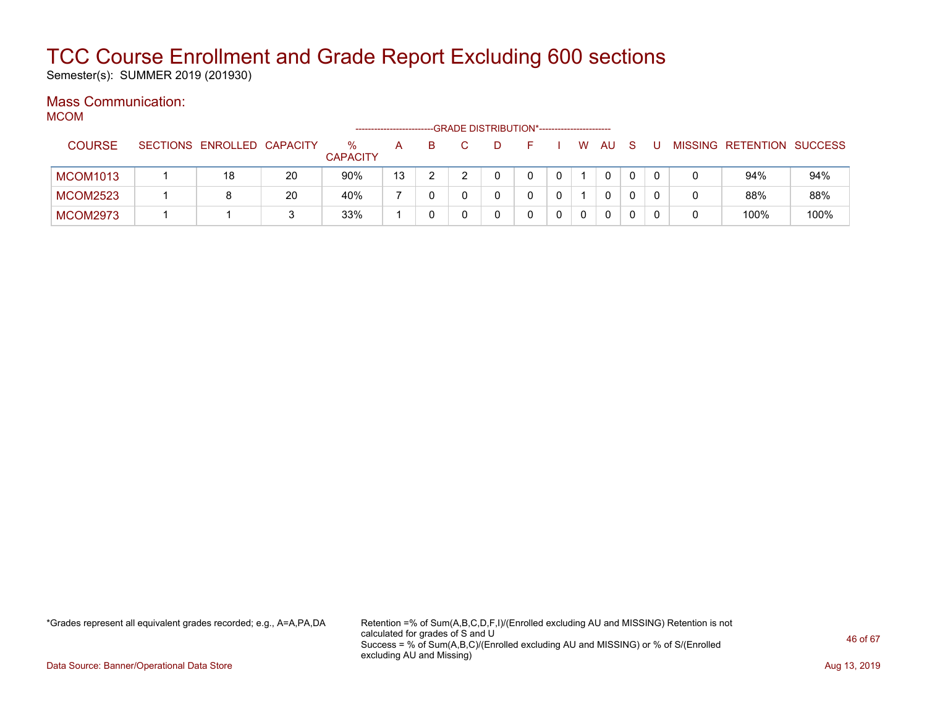Semester(s): SUMMER 2019 (201930)

#### Mass Communication: **MCOM**

| ៴៲៶៸៴៲៴៲        |                            |    |                      |    |   | --GRADE DISTRIBUTION*----------------------- |              |          |    |    |   |                           |      |
|-----------------|----------------------------|----|----------------------|----|---|----------------------------------------------|--------------|----------|----|----|---|---------------------------|------|
| <b>COURSE</b>   | SECTIONS ENROLLED CAPACITY |    | ℅<br><b>CAPACITY</b> | А  | в |                                              |              | W        | AU | -S |   | MISSING RETENTION SUCCESS |      |
| <b>MCOM1013</b> | 18                         | 20 | 90%                  | 13 |   |                                              |              |          | 0  | 0  |   | 94%                       | 94%  |
| <b>MCOM2523</b> | 8                          | 20 | 40%                  |    |   |                                              |              |          | 0  |    |   | 88%                       | 88%  |
| <b>MCOM2973</b> |                            | 3  | 33%                  |    |   |                                              | $\mathbf{0}$ | $\Omega$ | 0  | 0  | 0 | 100%                      | 100% |

\*Grades represent all equivalent grades recorded; e.g., A=A,PA,DA Retention =% of Sum(A,B,C,D,F,I)/(Enrolled excluding AU and MISSING) Retention is not calculated for grades of S and U Success = % of Sum(A,B,C)/(Enrolled excluding AU and MISSING) or % of S/(Enrolled excluding AU and Missing)

Data Source: Banner/Operational Data Store **Aug 13, 2019 Aug 13, 2019 Aug 13, 2019**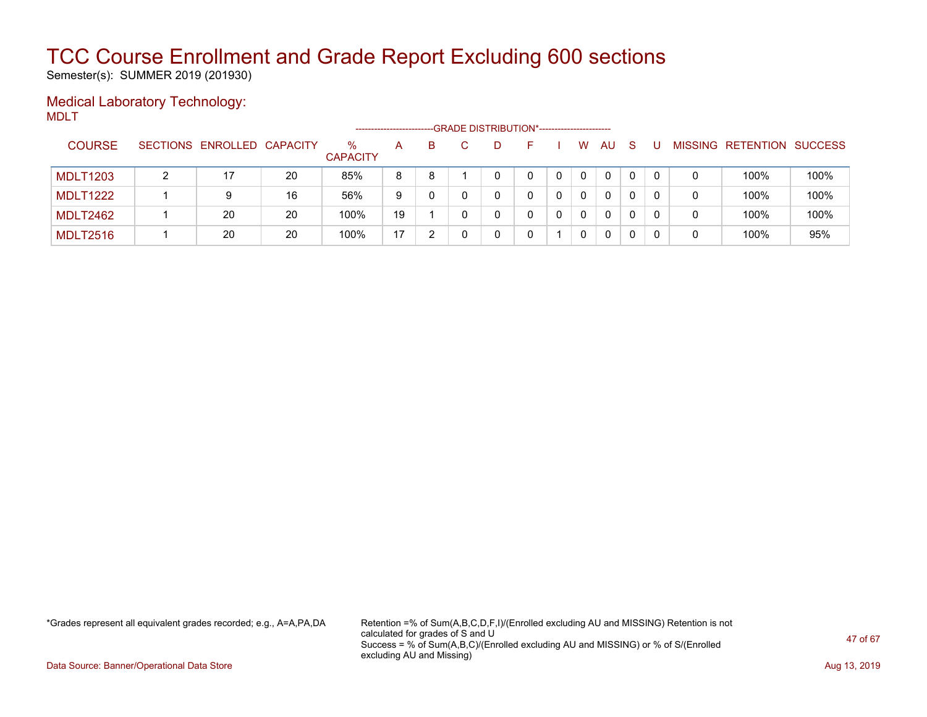Semester(s): SUMMER 2019 (201930)

#### Medical Laboratory Technology: MDLT

|                 |                            |    |                      |    |    |  | -- GRADE DISTRIBUTION*------------------------ |   |              |    |  |                           |      |
|-----------------|----------------------------|----|----------------------|----|----|--|------------------------------------------------|---|--------------|----|--|---------------------------|------|
| <b>COURSE</b>   | SECTIONS ENROLLED CAPACITY |    | %<br><b>CAPACITY</b> | A  | B. |  | н.                                             | W | AU.          | -S |  | MISSING RETENTION SUCCESS |      |
| <b>MDLT1203</b> |                            | 20 | 85%                  | 8  | 8  |  |                                                | 0 | $\mathbf{0}$ | 0  |  | 100%                      | 100% |
| <b>MDLT1222</b> | 9                          | 16 | 56%                  | 9  |    |  |                                                | 0 | 0            | 0  |  | 100%                      | 100% |
| <b>MDLT2462</b> | 20                         | 20 | 100%                 | 19 |    |  |                                                | 0 | $\mathbf{0}$ | 0  |  | 100%                      | 100% |
| <b>MDLT2516</b> | 20                         | 20 | 100%                 | 17 |    |  |                                                | 0 | $\mathbf{0}$ | 0  |  | 100%                      | 95%  |

\*Grades represent all equivalent grades recorded; e.g., A=A,PA,DA Retention =% of Sum(A,B,C,D,F,I)/(Enrolled excluding AU and MISSING) Retention is not calculated for grades of S and U Success = % of Sum(A,B,C)/(Enrolled excluding AU and MISSING) or % of S/(Enrolled excluding AU and Missing)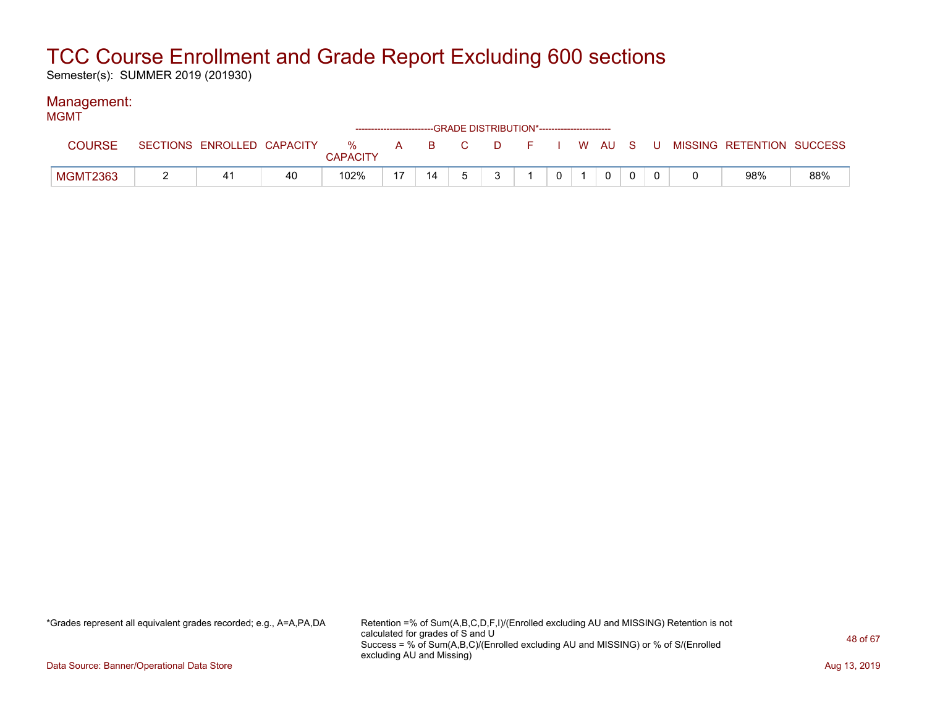Semester(s): SUMMER 2019 (201930)

### Management:

| <b>MGMT</b>   |                            |    |                 |    |    | ------------------------GRADE DISTRIBUTION*----------------------- |  |              |  |                                                  |     |
|---------------|----------------------------|----|-----------------|----|----|--------------------------------------------------------------------|--|--------------|--|--------------------------------------------------|-----|
| <b>COURSE</b> | SECTIONS ENROLLED CAPACITY |    | <b>CAPACITY</b> |    |    |                                                                    |  |              |  | % A B C D F I W AU S U MISSING—RETENTION SUCCESS |     |
| MGMT2363      |                            | 40 | 102%            | 17 | 14 | $\mathbf{3}$                                                       |  | $\mathbf{0}$ |  | 98%                                              | 88% |

\*Grades represent all equivalent grades recorded; e.g., A=A,PA,DA Retention =% of Sum(A,B,C,D,F,I)/(Enrolled excluding AU and MISSING) Retention is not calculated for grades of S and U Success = % of Sum(A,B,C)/(Enrolled excluding AU and MISSING) or % of S/(Enrolled excluding AU and Missing)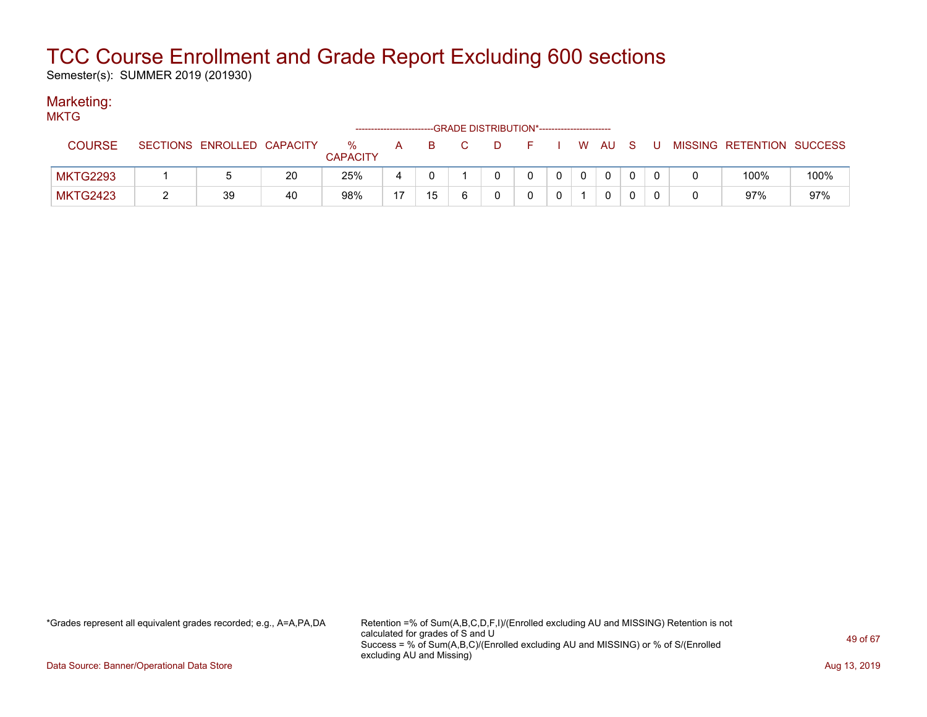Semester(s): SUMMER 2019 (201930)

#### Marketing: MKT<sub>C</sub>

| <b>טוועו</b>    |                            |    |                         | ------------------------ |    |    |  |              |     |     |                           |      |
|-----------------|----------------------------|----|-------------------------|--------------------------|----|----|--|--------------|-----|-----|---------------------------|------|
| <b>COURSE</b>   | SECTIONS ENROLLED CAPACITY |    | $\%$<br><b>CAPACITY</b> | A                        | B. | D. |  | W AU         | - S | . U | MISSING RETENTION SUCCESS |      |
| <b>MKTG2293</b> |                            | 20 | 25%                     | 4                        |    |    |  | $\mathbf{0}$ |     |     | 100%                      | 100% |
| <b>MKTG2423</b> | 39                         | 40 | 98%                     | 17                       | 15 |    |  | 0            |     |     | 97%                       | 97%  |

\*Grades represent all equivalent grades recorded; e.g., A=A,PA,DA Retention =% of Sum(A,B,C,D,F,I)/(Enrolled excluding AU and MISSING) Retention is not calculated for grades of S and U Success = % of Sum(A,B,C)/(Enrolled excluding AU and MISSING) or % of S/(Enrolled excluding AU and Missing)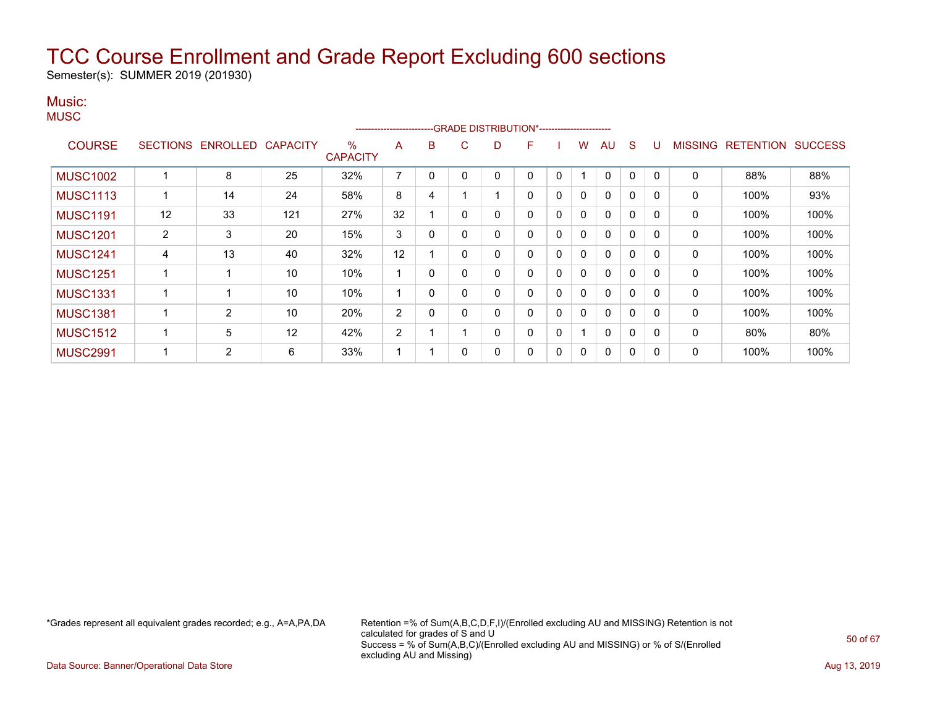Semester(s): SUMMER 2019 (201930)

### Music:

|                 |                |                            |     |                         | ----------------------- |             | -GRADE DISTRIBUTION*----------------------- |          |          |              |          |    |              |   |                |                  |                |
|-----------------|----------------|----------------------------|-----|-------------------------|-------------------------|-------------|---------------------------------------------|----------|----------|--------------|----------|----|--------------|---|----------------|------------------|----------------|
| <b>COURSE</b>   |                | SECTIONS ENROLLED CAPACITY |     | $\%$<br><b>CAPACITY</b> | A                       | B           | C                                           | D        | F        |              | w        | AU | S            | U | <b>MISSING</b> | <b>RETENTION</b> | <b>SUCCESS</b> |
| <b>MUSC1002</b> |                | 8                          | 25  | 32%                     | 7                       | $\Omega$    | 0                                           | $\Omega$ |          | 0            |          | 0  | 0            | 0 | $\mathbf{0}$   | 88%              | 88%            |
| <b>MUSC1113</b> |                | 14                         | 24  | 58%                     | 8                       | 4           |                                             |          | $\Omega$ | $\mathbf{0}$ | $\Omega$ | 0  | $\mathbf{0}$ | 0 | 0              | 100%             | 93%            |
| <b>MUSC1191</b> | 12             | 33                         | 121 | 27%                     | 32                      |             | $\mathbf{0}$                                | 0        | 0        | $\mathbf 0$  |          | 0  | $\mathbf{0}$ | 0 | 0              | 100%             | 100%           |
| <b>MUSC1201</b> | $\overline{2}$ | 3                          | 20  | 15%                     | 3                       | 0           | $\mathbf{0}$                                | 0        | 0        | $\mathbf{0}$ |          | 0  | 0            | 0 | 0              | 100%             | 100%           |
| <b>MUSC1241</b> | 4              | 13                         | 40  | 32%                     | 12                      |             | 0                                           | 0        | 0        | $\mathbf{0}$ |          | 0  | 0            | 0 | 0              | 100%             | 100%           |
| <b>MUSC1251</b> |                |                            | 10  | 10%                     | -4                      | 0           | $\mathbf{0}$                                | $\Omega$ | $\Omega$ | $\mathbf{0}$ |          | 0  | $\mathbf{0}$ | 0 | 0              | 100%             | 100%           |
| <b>MUSC1331</b> |                |                            | 10  | 10%                     | ٠                       | $\mathbf 0$ | 0                                           | 0        | $\Omega$ | $\mathbf{0}$ |          | 0  | 0            | 0 | 0              | 100%             | 100%           |
| <b>MUSC1381</b> |                | 2                          | 10  | 20%                     | 2                       | 0           | 0                                           | 0        | 0        | $\mathbf{0}$ | $\Omega$ | 0  | $\mathbf{0}$ | 0 | $\mathbf{0}$   | 100%             | 100%           |
| <b>MUSC1512</b> |                | 5                          | 12  | 42%                     | 2                       |             |                                             | 0        |          | $\mathbf 0$  |          | 0  | 0            | 0 | 0              | 80%              | 80%            |
| <b>MUSC2991</b> |                | 2                          | 6   | 33%                     | ٠                       |             | 0                                           | 0        | 0        | 0            |          | 0  | 0            | 0 | 0              | 100%             | 100%           |

\*Grades represent all equivalent grades recorded; e.g., A=A,PA,DA Retention =% of Sum(A,B,C,D,F,I)/(Enrolled excluding AU and MISSING) Retention is not calculated for grades of S and U Success = % of Sum(A,B,C)/(Enrolled excluding AU and MISSING) or % of S/(Enrolled excluding AU and Missing)

Data Source: Banner/Operational Data Store **Aug 13, 2019 Aug 13, 2019 Aug 13, 2019**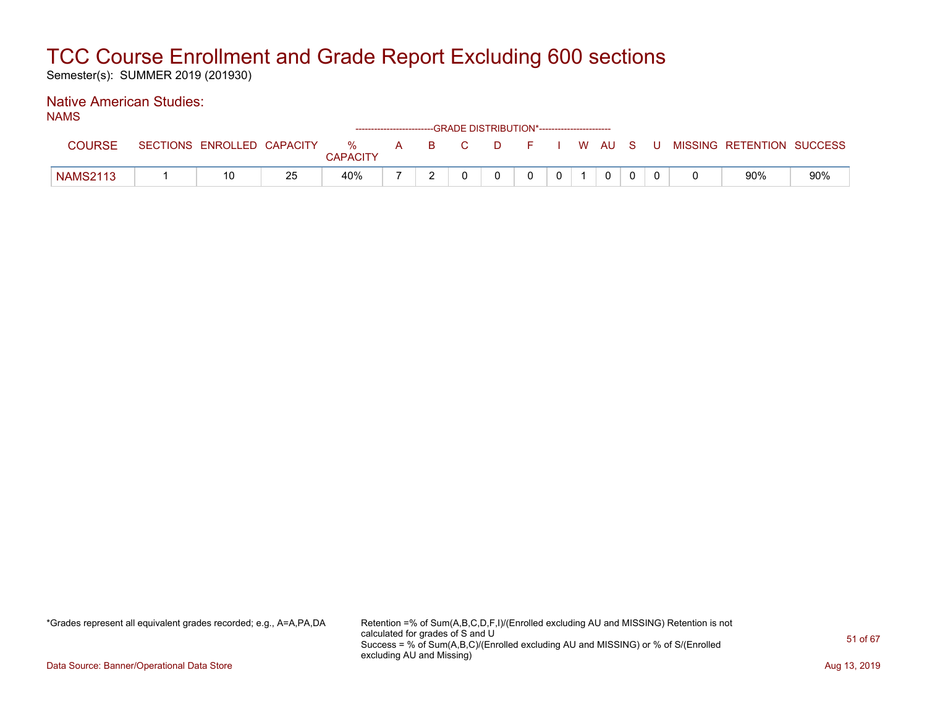Semester(s): SUMMER 2019 (201930)

### Native American Studies:

NAMS

|                 |                            |    |          |   |    | ------------------------GRADE            DISTRIBUTION*------------------------- |  |    |              |     |   |                           |     |
|-----------------|----------------------------|----|----------|---|----|---------------------------------------------------------------------------------|--|----|--------------|-----|---|---------------------------|-----|
| COURSE          | SECTIONS ENROLLED CAPACITY |    | %        | A | B. |                                                                                 |  | W. | – AU         | - S | U | MISSING RETENTION SUCCESS |     |
|                 |                            |    | CAPACITY |   |    |                                                                                 |  |    |              |     |   |                           |     |
| <b>NAMS2113</b> | 10                         | 25 | 40%      |   |    |                                                                                 |  |    | $\mathbf{0}$ |     |   | 90%                       | 90% |

\*Grades represent all equivalent grades recorded; e.g., A=A,PA,DA Retention =% of Sum(A,B,C,D,F,I)/(Enrolled excluding AU and MISSING) Retention is not calculated for grades of S and U Success = % of Sum(A,B,C)/(Enrolled excluding AU and MISSING) or % of S/(Enrolled excluding AU and Missing)

Data Source: Banner/Operational Data Store **Aug 13, 2019 Contract Store Aug 13, 2019** Aug 13, 2019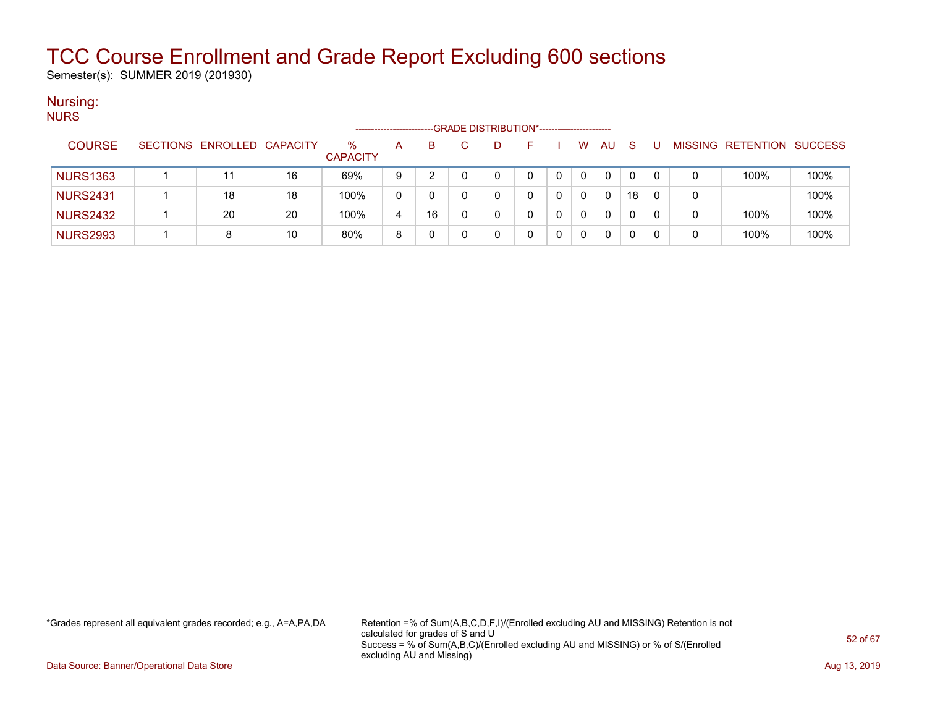Semester(s): SUMMER 2019 (201930)

#### Nursing: **NURS**

| .               |                            |    | -------------------     |   |    |    | -GRADE DISTRIBUTION*----------------------- |              |          |    |   |                           |      |
|-----------------|----------------------------|----|-------------------------|---|----|----|---------------------------------------------|--------------|----------|----|---|---------------------------|------|
| <b>COURSE</b>   | SECTIONS ENROLLED CAPACITY |    | $\%$<br><b>CAPACITY</b> | A | B. | D. |                                             | W.           | AU       | -S |   | MISSING RETENTION SUCCESS |      |
| <b>NURS1363</b> | 11                         | 16 | 69%                     | 9 |    |    |                                             | $\mathbf{0}$ | 0        | 0  |   | 100%                      | 100% |
| <b>NURS2431</b> | 18                         | 18 | 100%                    | 0 |    |    |                                             | 0            | 0        | 18 | 0 |                           | 100% |
| <b>NURS2432</b> | 20                         | 20 | 100%                    | 4 | 16 |    |                                             | 0            | 0        |    | 0 | 100%                      | 100% |
| <b>NURS2993</b> | 8                          | 10 | 80%                     | 8 |    |    |                                             | 0            | $\Omega$ |    |   | 100%                      | 100% |

\*Grades represent all equivalent grades recorded; e.g., A=A,PA,DA Retention =% of Sum(A,B,C,D,F,I)/(Enrolled excluding AU and MISSING) Retention is not calculated for grades of S and U Success = % of Sum(A,B,C)/(Enrolled excluding AU and MISSING) or % of S/(Enrolled excluding AU and Missing)

Data Source: Banner/Operational Data Store **Aug 13, 2019 Aug 13, 2019 Aug 13, 2019**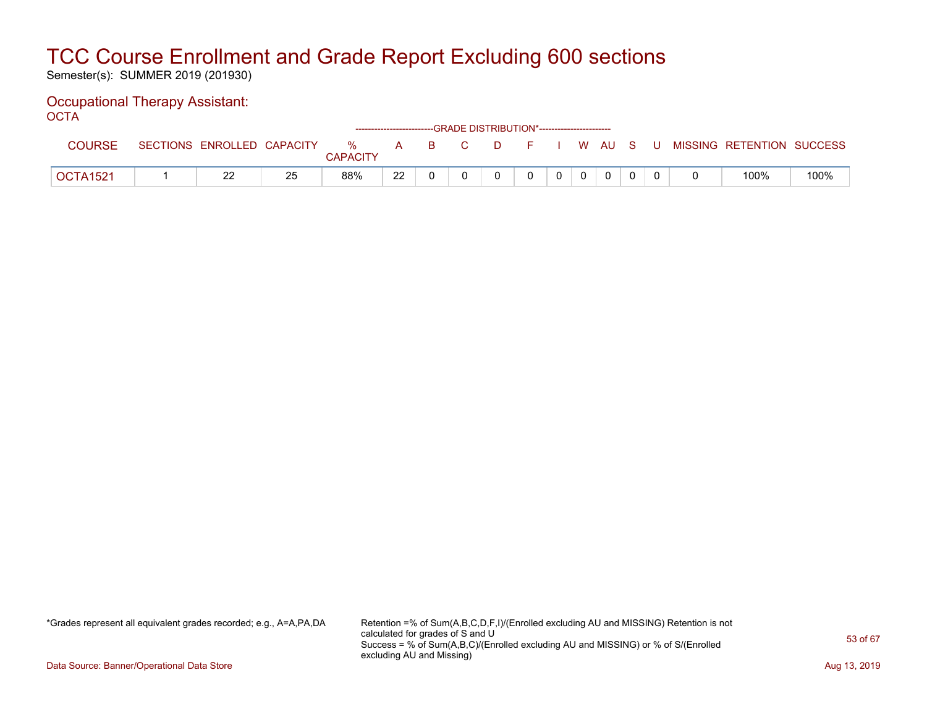Semester(s): SUMMER 2019 (201930)

#### Occupational Therapy Assistant: OCTA

| -----           |                            |    |                      |    |                  | ------------------------GRADE                DISTRIBUTION*---------------------- |                |          |          |       |                           |      |
|-----------------|----------------------------|----|----------------------|----|------------------|----------------------------------------------------------------------------------|----------------|----------|----------|-------|---------------------------|------|
| <b>COURSE</b>   | SECTIONS ENROLLED CAPACITY |    | %<br><b>CAPACITY</b> | A  | $\overline{B}$ C | . D.                                                                             | F I W AU S     |          |          | - U - | MISSING RETENTION SUCCESS |      |
| <b>OCTA1521</b> | າາ                         | 25 | 88%                  | 22 |                  |                                                                                  | 0 <sup>1</sup> | $\Omega$ | $\Omega$ |       | 100%                      | 100% |

\*Grades represent all equivalent grades recorded; e.g., A=A,PA,DA Retention =% of Sum(A,B,C,D,F,I)/(Enrolled excluding AU and MISSING) Retention is not calculated for grades of S and U Success = % of Sum(A,B,C)/(Enrolled excluding AU and MISSING) or % of S/(Enrolled excluding AU and Missing)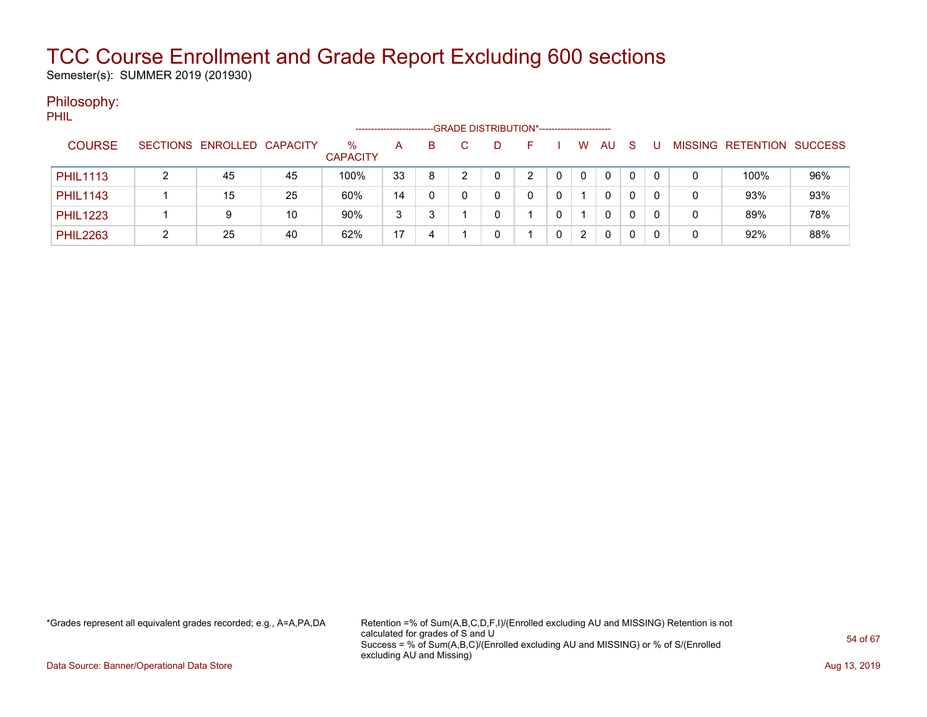Semester(s): SUMMER 2019 (201930)

### Philosophy:

PHIL

|                 |                            |    |                      |    |    |    | -GRADE DISTRIBUTION*---------------------- |                       |              |              |                |                  |                |
|-----------------|----------------------------|----|----------------------|----|----|----|--------------------------------------------|-----------------------|--------------|--------------|----------------|------------------|----------------|
| <b>COURSE</b>   | SECTIONS ENROLLED CAPACITY |    | %<br><b>CAPACITY</b> | A  | B. | D. |                                            | W                     | <b>AU</b>    | <sub>S</sub> | <b>MISSING</b> | <b>RETENTION</b> | <b>SUCCESS</b> |
| <b>PHIL1113</b> | 45                         | 45 | 100%                 | 33 | 8  |    | ົ                                          | $\Omega$              | $\mathbf{0}$ | 0            | 0              | 100%             | 96%            |
| <b>PHIL1143</b> | 15                         | 25 | 60%                  | 14 |    |    |                                            |                       | 0            | 0            | 0              | 93%              | 93%            |
| <b>PHIL1223</b> | 9                          | 10 | 90%                  | 3  |    |    |                                            |                       | $\mathbf{0}$ | 0            | 0              | 89%              | 78%            |
| <b>PHIL2263</b> | 25                         | 40 | 62%                  | 17 | 4  |    |                                            | $\mathbf{2}^{\prime}$ | 0            |              | 0              | 92%              | 88%            |

\*Grades represent all equivalent grades recorded; e.g., A=A,PA,DA Retention =% of Sum(A,B,C,D,F,I)/(Enrolled excluding AU and MISSING) Retention is not calculated for grades of S and U Success = % of Sum(A,B,C)/(Enrolled excluding AU and MISSING) or % of S/(Enrolled excluding AU and Missing)

Data Source: Banner/Operational Data Store **Aug 13, 2019 Aug 13, 2019 Aug 13, 2019**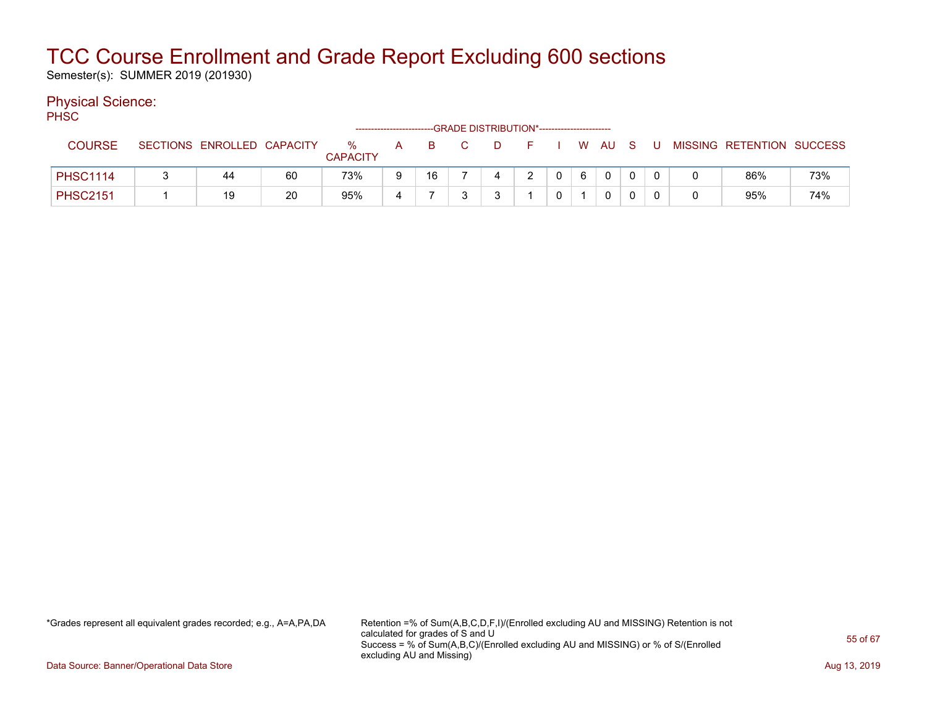Semester(s): SUMMER 2019 (201930)

### Physical Science:

PH<sub>SC</sub>

|                 |                            |    |                      | ------------------------- |    |   | --GRADE DISTRIBUTION*----------------------- |                |   |                |  |                           |     |
|-----------------|----------------------------|----|----------------------|---------------------------|----|---|----------------------------------------------|----------------|---|----------------|--|---------------------------|-----|
| <b>COURSE</b>   | SECTIONS ENROLLED CAPACITY |    | %<br><b>CAPACITY</b> | A                         | в  | D |                                              |                |   | W AU S         |  | MISSING RETENTION SUCCESS |     |
| <b>PHSC1114</b> | 44                         | 60 | 73%                  | 9                         | 16 | 4 |                                              | $\overline{0}$ | 6 | $\overline{0}$ |  | 86%                       | 73% |
| <b>PHSC2151</b> | 19                         | 20 | 95%                  |                           |    |   |                                              |                |   |                |  | 95%                       | 74% |

\*Grades represent all equivalent grades recorded; e.g., A=A,PA,DA Retention =% of Sum(A,B,C,D,F,I)/(Enrolled excluding AU and MISSING) Retention is not calculated for grades of S and U Success = % of Sum(A,B,C)/(Enrolled excluding AU and MISSING) or % of S/(Enrolled excluding AU and Missing)

Data Source: Banner/Operational Data Store **Aug 13, 2019 Aug 13, 2019 Aug 13, 2019**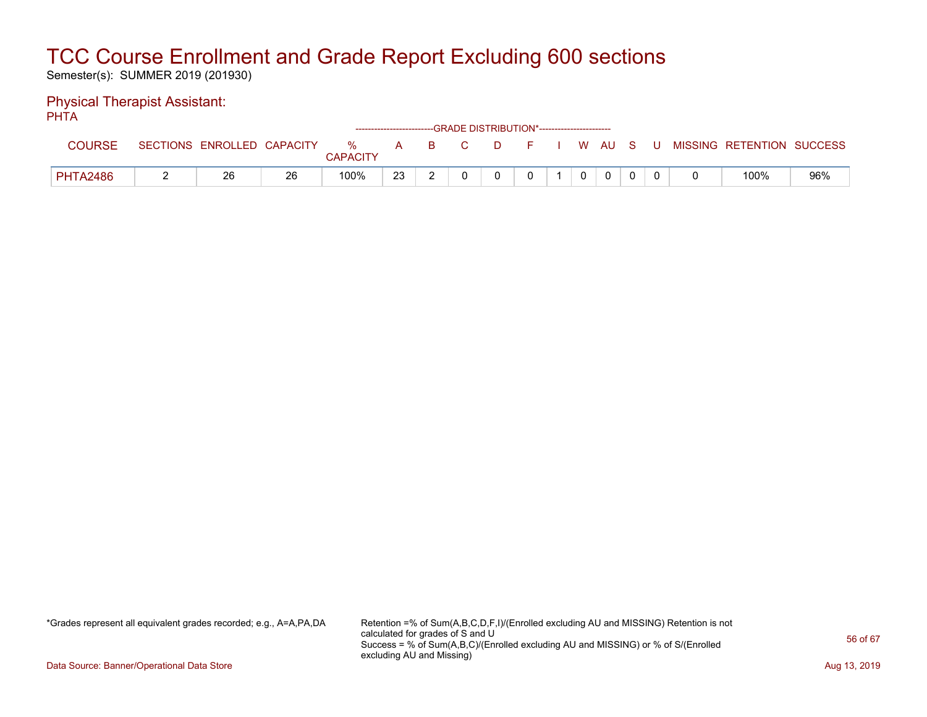Semester(s): SUMMER 2019 (201930)

#### Physical Therapist Assistant: PHTA

| .               |                            |    |                      |     |          | ------------------------GRADE DISTRIBUTION*----------------------- |               |  |          |  |                           |     |
|-----------------|----------------------------|----|----------------------|-----|----------|--------------------------------------------------------------------|---------------|--|----------|--|---------------------------|-----|
| <b>COURSE</b>   | SECTIONS ENROLLED CAPACITY |    | %<br><b>CAPACITY</b> | A   | <b>B</b> | C.                                                                 | <b>Figure</b> |  | I WAUSU  |  | MISSING RETENTION SUCCESS |     |
| <b>PHTA2486</b> | 26                         | 26 | 100%                 | -23 |          |                                                                    |               |  | $\Omega$ |  | 100%                      | 96% |

\*Grades represent all equivalent grades recorded; e.g., A=A,PA,DA Retention =% of Sum(A,B,C,D,F,I)/(Enrolled excluding AU and MISSING) Retention is not calculated for grades of S and U Success = % of Sum(A,B,C)/(Enrolled excluding AU and MISSING) or % of S/(Enrolled excluding AU and Missing)

Data Source: Banner/Operational Data Store **Aug 13, 2019 Aug 13, 2019 Aug 13, 2019**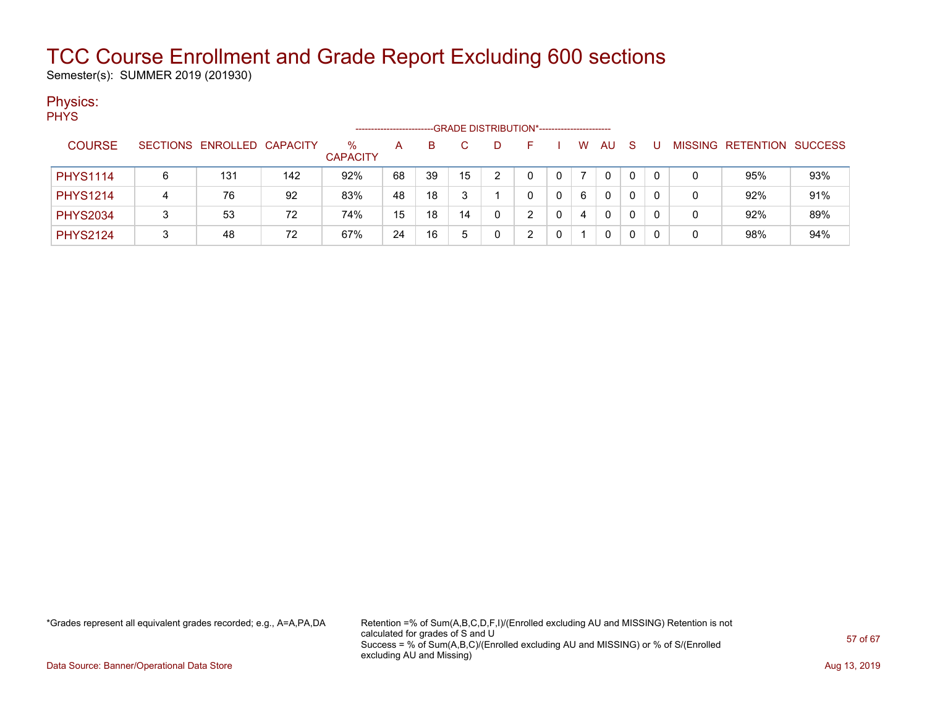Semester(s): SUMMER 2019 (201930)

### Physics:

|                 |   |                            |     |                         | ------------------- |    |              |   | -GRADE DISTRIBUTION*----------------------- |   |    |              |    |   |   |                           |     |
|-----------------|---|----------------------------|-----|-------------------------|---------------------|----|--------------|---|---------------------------------------------|---|----|--------------|----|---|---|---------------------------|-----|
| <b>COURSE</b>   |   | SECTIONS ENROLLED CAPACITY |     | $\%$<br><b>CAPACITY</b> | А                   | B  | $\mathbf{C}$ |   |                                             |   | W  | AU           | -S | U |   | MISSING RETENTION SUCCESS |     |
| <b>PHYS1114</b> | 6 | 131                        | 142 | 92%                     | 68                  | 39 | 15           |   |                                             | 0 |    | $\mathbf{0}$ | 0  |   | 0 | 95%                       | 93% |
| <b>PHYS1214</b> | 4 | 76                         | 92  | 83%                     | 48                  | 18 | 3            |   |                                             | 0 | -6 | $\Omega$     |    |   | 0 | 92%                       | 91% |
| <b>PHYS2034</b> |   | 53                         | 72  | 74%                     | 15                  | 18 | 14           | 0 |                                             | 0 | 4  | 0            |    |   | 0 | 92%                       | 89% |
| <b>PHYS2124</b> | 3 | 48                         | 72  | 67%                     | 24                  | 16 | 5            |   |                                             |   |    | 0            |    |   | 0 | 98%                       | 94% |

\*Grades represent all equivalent grades recorded; e.g., A=A,PA,DA Retention =% of Sum(A,B,C,D,F,I)/(Enrolled excluding AU and MISSING) Retention is not calculated for grades of S and U Success = % of Sum(A,B,C)/(Enrolled excluding AU and MISSING) or % of S/(Enrolled excluding AU and Missing)

Data Source: Banner/Operational Data Store **Aug 13, 2019 Aug 13, 2019 Aug 13, 2019**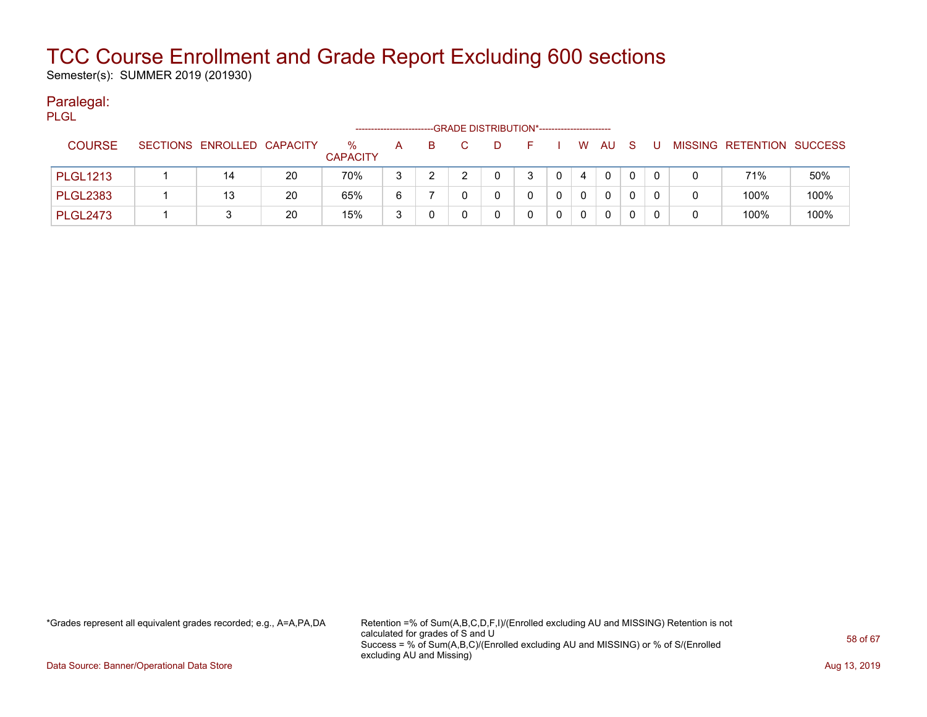Semester(s): SUMMER 2019 (201930)

#### Paralegal: PLGL

| ----            |                            |    | -------------------     |   |    | -GRADE DISTRIBUTION*---------------------- |    |              |          |              |     |   |   |                           |      |
|-----------------|----------------------------|----|-------------------------|---|----|--------------------------------------------|----|--------------|----------|--------------|-----|---|---|---------------------------|------|
| <b>COURSE</b>   | SECTIONS ENROLLED CAPACITY |    | $\%$<br><b>CAPACITY</b> | A | B. | D                                          | н. |              | W.       | AU           | - S | U |   | MISSING RETENTION SUCCESS |      |
| <b>PLGL1213</b> | 14                         | 20 | 70%                     | 3 |    |                                            | 3  | $\mathbf{0}$ |          | $\mathbf{0}$ |     |   | 0 | 71%                       | 50%  |
| <b>PLGL2383</b> | 13                         | 20 | 65%                     | 6 |    |                                            |    |              | $\Omega$ | 0            |     |   | 0 | 100%                      | 100% |
| <b>PLGL2473</b> |                            | 20 | 15%                     | 3 |    |                                            |    |              | 0        | 0            |     |   | 0 | 100%                      | 100% |

\*Grades represent all equivalent grades recorded; e.g., A=A,PA,DA Retention =% of Sum(A,B,C,D,F,I)/(Enrolled excluding AU and MISSING) Retention is not calculated for grades of S and U Success = % of Sum(A,B,C)/(Enrolled excluding AU and MISSING) or % of S/(Enrolled excluding AU and Missing)

Data Source: Banner/Operational Data Store **Aug 13, 2019 Aug 13, 2019 Aug 13, 2019**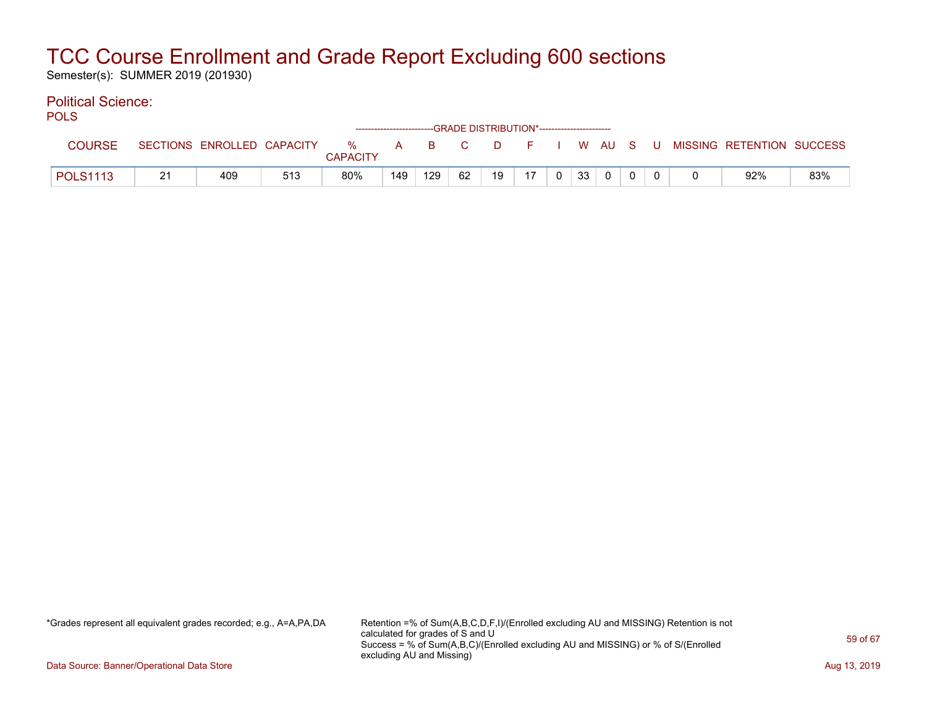Semester(s): SUMMER 2019 (201930)

#### Political Science: POLS

| ◡∟◡             |    |                            |     |                      |     | ------------------------GRADE DISTRIBUTION*----------------------- |    |    |    |                |                 |          |  |                                          |     |
|-----------------|----|----------------------------|-----|----------------------|-----|--------------------------------------------------------------------|----|----|----|----------------|-----------------|----------|--|------------------------------------------|-----|
| <b>COURSE</b>   |    | SECTIONS ENROLLED CAPACITY |     | %<br><b>CAPACITY</b> |     | A B C                                                              |    |    |    |                |                 |          |  | D F I W AU S U MISSING RETENTION SUCCESS |     |
| <b>POLS1113</b> | 21 | 409                        | 513 | 80%                  | 149 | 129                                                                | 62 | 19 | 17 | 0 <sup>1</sup> | 33 <sup>1</sup> | $\Omega$ |  | 92%                                      | 83% |

\*Grades represent all equivalent grades recorded; e.g., A=A,PA,DA Retention =% of Sum(A,B,C,D,F,I)/(Enrolled excluding AU and MISSING) Retention is not calculated for grades of S and U Success = % of Sum(A,B,C)/(Enrolled excluding AU and MISSING) or % of S/(Enrolled excluding AU and Missing)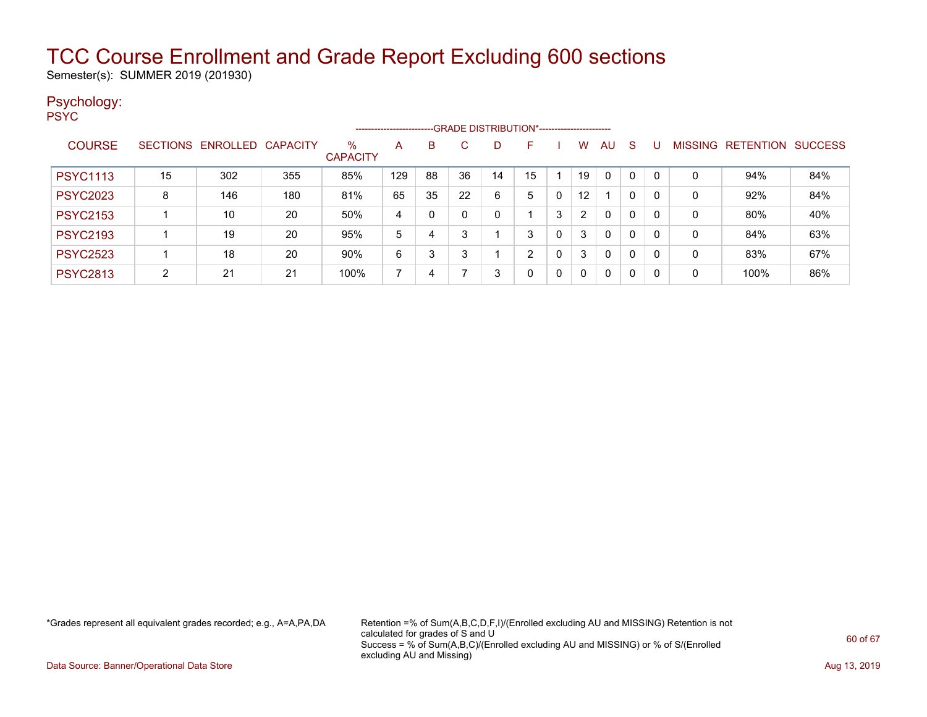Semester(s): SUMMER 2019 (201930)

#### Psychology: PSYC

|                 |    |                            |     |                         | ---------------------- |    |    |    |    |   |                |          |              |   |                |           |                |
|-----------------|----|----------------------------|-----|-------------------------|------------------------|----|----|----|----|---|----------------|----------|--------------|---|----------------|-----------|----------------|
| <b>COURSE</b>   |    | SECTIONS ENROLLED CAPACITY |     | $\%$<br><b>CAPACITY</b> | A                      | B  | C. | D  |    |   | W              | AU.      | <sub>S</sub> | U | <b>MISSING</b> | RETENTION | <b>SUCCESS</b> |
| <b>PSYC1113</b> | 15 | 302                        | 355 | 85%                     | 129                    | 88 | 36 | 14 | 15 |   | 19             | $\Omega$ | $\Omega$     |   | 0              | 94%       | 84%            |
| <b>PSYC2023</b> | 8  | 146                        | 180 | 81%                     | 65                     | 35 | 22 | 6  | 5  | 0 | 12             |          | 0            | 0 | 0              | 92%       | 84%            |
| <b>PSYC2153</b> |    | 10                         | 20  | 50%                     | 4                      | 0  |    | 0  |    | 3 | $\overline{2}$ | $\Omega$ | 0            | 0 | 0              | 80%       | 40%            |
| <b>PSYC2193</b> |    | 19                         | 20  | 95%                     | 5                      | 4  |    |    | 3  | 0 | 3              | $\Omega$ | $\mathbf{0}$ | 0 | 0              | 84%       | 63%            |
| <b>PSYC2523</b> |    | 18                         | 20  | 90%                     | 6                      | 3  |    |    | າ  | 0 | 3              | 0        | 0            | 0 | 0              | 83%       | 67%            |
| <b>PSYC2813</b> | 2  | 21                         | 21  | 100%                    |                        | 4  |    | 3  | 0  | 0 | 0              | 0        | 0            | 0 | 0              | 100%      | 86%            |

\*Grades represent all equivalent grades recorded; e.g., A=A,PA,DA Retention =% of Sum(A,B,C,D,F,I)/(Enrolled excluding AU and MISSING) Retention is not calculated for grades of S and U Success = % of Sum(A,B,C)/(Enrolled excluding AU and MISSING) or % of S/(Enrolled excluding AU and Missing)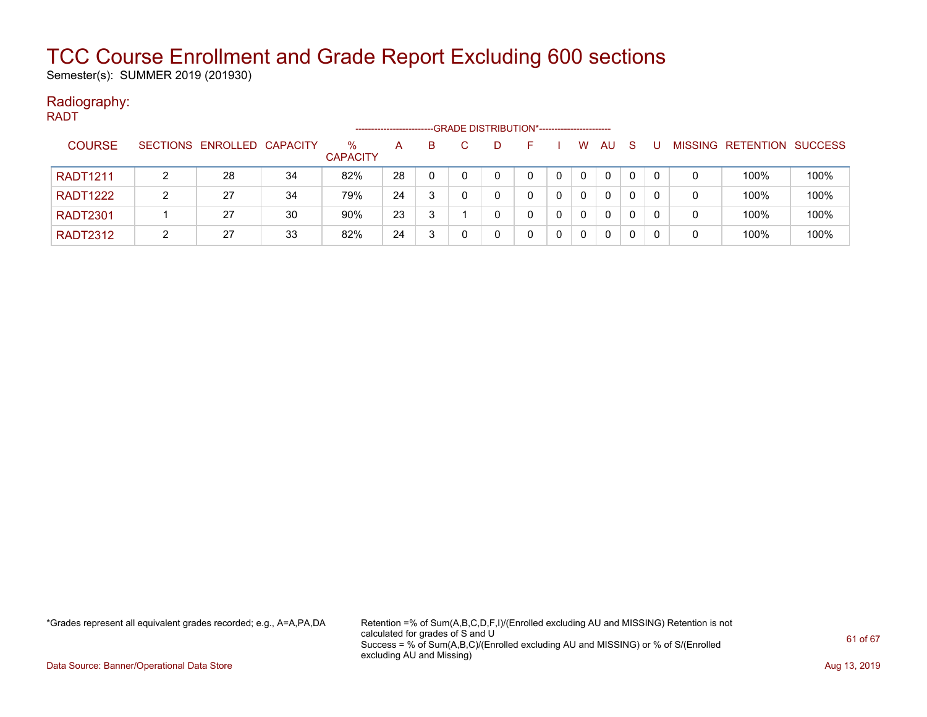Semester(s): SUMMER 2019 (201930)

#### Radiography: RADT

|                 |                            |    |                         |    |    |    | -GRADE DISTRIBUTION*---------------------- |          |    |   |                |                          |      |
|-----------------|----------------------------|----|-------------------------|----|----|----|--------------------------------------------|----------|----|---|----------------|--------------------------|------|
| <b>COURSE</b>   | SECTIONS ENROLLED CAPACITY |    | $\%$<br><b>CAPACITY</b> | A  | B. | D. |                                            | W        | AU | S | <b>MISSING</b> | <b>RETENTION SUCCESS</b> |      |
| <b>RADT1211</b> | 28                         | 34 | 82%                     | 28 | 0  |    |                                            | 0        | 0  | 0 | 0              | 100%                     | 100% |
| <b>RADT1222</b> | 27                         | 34 | 79%                     | 24 |    |    |                                            | 0        | 0  | 0 |                | 100%                     | 100% |
| <b>RADT2301</b> | 27                         | 30 | 90%                     | 23 | 3  |    |                                            | $\Omega$ | 0  | 0 |                | 100%                     | 100% |
| <b>RADT2312</b> | 27                         | 33 | 82%                     | 24 |    |    |                                            |          | 0  | 0 |                | 100%                     | 100% |

\*Grades represent all equivalent grades recorded; e.g., A=A,PA,DA Retention =% of Sum(A,B,C,D,F,I)/(Enrolled excluding AU and MISSING) Retention is not calculated for grades of S and U Success = % of Sum(A,B,C)/(Enrolled excluding AU and MISSING) or % of S/(Enrolled excluding AU and Missing)

Data Source: Banner/Operational Data Store **Aug 13, 2019 Aug 13, 2019 Aug 13, 2019**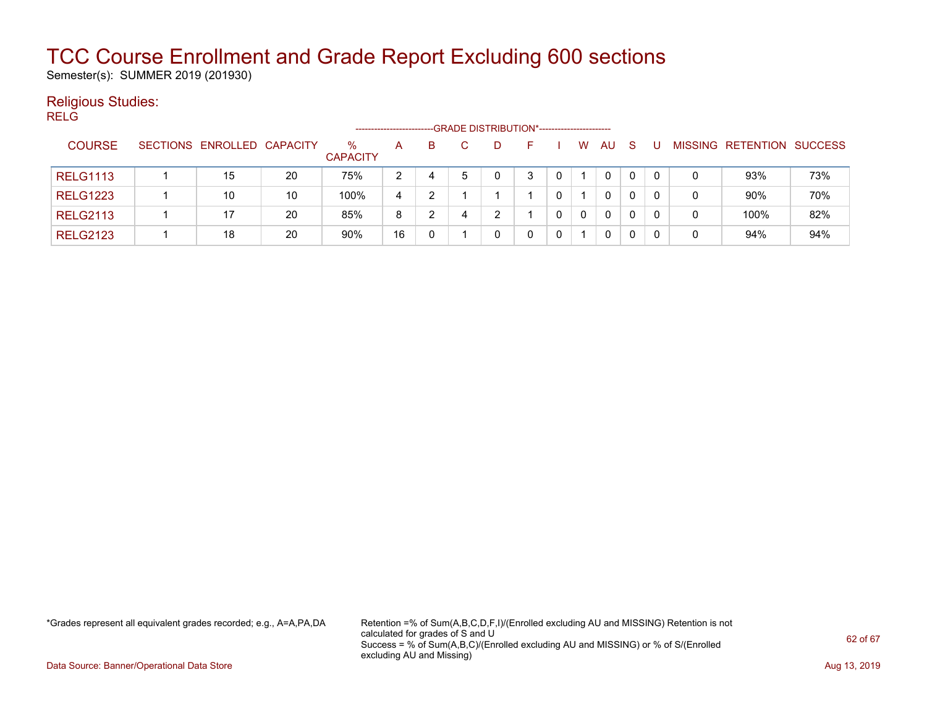Semester(s): SUMMER 2019 (201930)

### Religious Studies:

| <b>RELG</b> |                 |                            |    |                         |                |   |    | -GRADE DISTRIBUTION*----------------------- |          |              |          |      |              |              |              |                           |     |
|-------------|-----------------|----------------------------|----|-------------------------|----------------|---|----|---------------------------------------------|----------|--------------|----------|------|--------------|--------------|--------------|---------------------------|-----|
|             | <b>COURSE</b>   | SECTIONS ENROLLED CAPACITY |    | $\%$<br><b>CAPACITY</b> | A              | в | C. | D                                           | $\vdash$ |              | W        | AU S |              | U            |              | MISSING RETENTION SUCCESS |     |
|             | <b>RELG1113</b> | 15                         | 20 | 75%                     | $\overline{2}$ | 4 | 5  | 0                                           | 3        | 0            |          | 0    | $\mathbf{0}$ | $\mathbf{0}$ | $\mathbf{0}$ | 93%                       | 73% |
|             | <b>RELG1223</b> | 10                         | 10 | 100%                    | 4              | 2 |    |                                             |          | 0            |          | 0    | 0            | $\Omega$     | 0            | 90%                       | 70% |
|             | <b>RELG2113</b> | 17                         | 20 | 85%                     | 8              | 2 | 4  | 2                                           |          | $\mathbf{0}$ | $\Omega$ | 0    | 0            | $\Omega$     | 0            | 100%                      | 82% |
|             | <b>RELG2123</b> | 18                         | 20 | 90%                     | 16             | 0 |    | 0                                           | 0        | $\mathbf{0}$ |          | 0    | 0            | $\mathbf{0}$ | 0            | 94%                       | 94% |
|             |                 |                            |    |                         |                |   |    |                                             |          |              |          |      |              |              |              |                           |     |

\*Grades represent all equivalent grades recorded; e.g., A=A,PA,DA Retention =% of Sum(A,B,C,D,F,I)/(Enrolled excluding AU and MISSING) Retention is not calculated for grades of S and U Success = % of Sum(A,B,C)/(Enrolled excluding AU and MISSING) or % of S/(Enrolled excluding AU and Missing)

Data Source: Banner/Operational Data Store **Aug 13, 2019 Aug 13, 2019 Aug 13, 2019**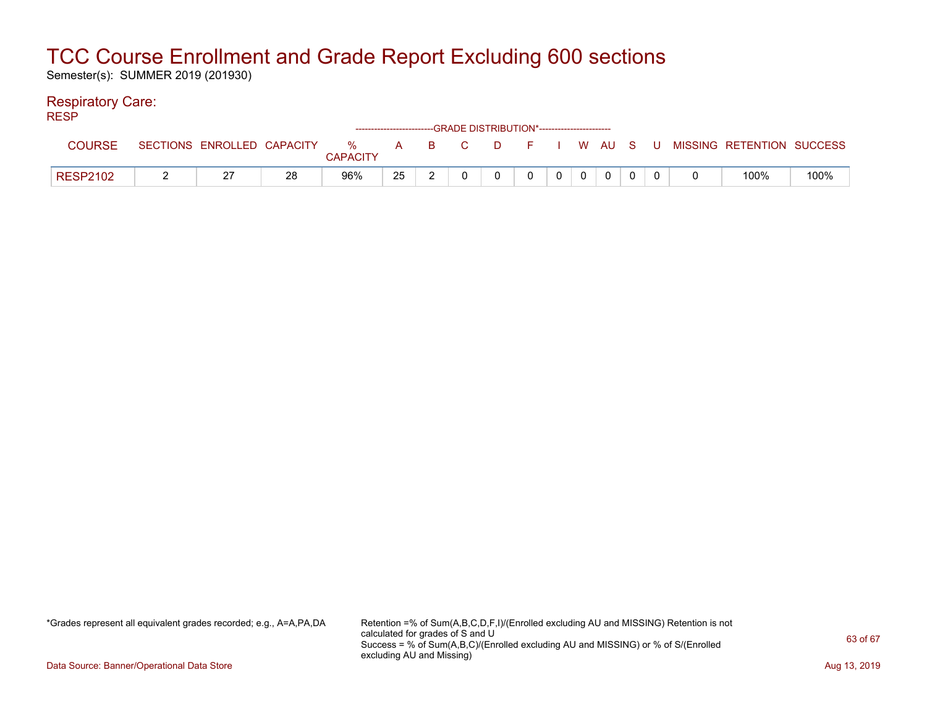Semester(s): SUMMER 2019 (201930)

### Respiratory Care:

| <b>RESP</b>     |                            |    |                 |    |  | ------------------------GRADE DISTRIBUTION*----------------------- |          |                |             |  |  |                                                  |      |
|-----------------|----------------------------|----|-----------------|----|--|--------------------------------------------------------------------|----------|----------------|-------------|--|--|--------------------------------------------------|------|
| <b>COURSE</b>   | SECTIONS ENROLLED CAPACITY |    | <b>CAPACITY</b> |    |  |                                                                    |          |                |             |  |  | % A B C D F I W AU S U MISSING—RETENTION SUCCESS |      |
| <b>RESP2102</b> |                            | 28 | 96%             | 25 |  | $\mathbf{0}$                                                       | $\Omega$ | $\overline{0}$ | $\mathbf 0$ |  |  | 100%                                             | 100% |

\*Grades represent all equivalent grades recorded; e.g., A=A,PA,DA Retention =% of Sum(A,B,C,D,F,I)/(Enrolled excluding AU and MISSING) Retention is not calculated for grades of S and U Success = % of Sum(A,B,C)/(Enrolled excluding AU and MISSING) or % of S/(Enrolled excluding AU and Missing)

Data Source: Banner/Operational Data Store **Aug 13, 2019 Aug 13, 2019 Aug 13, 2019**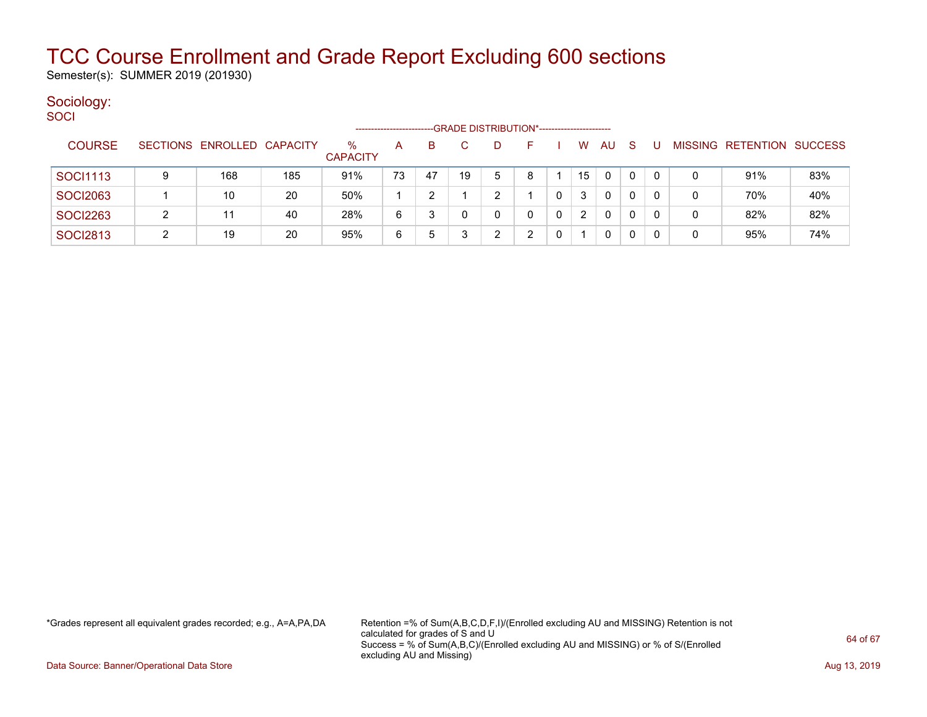Semester(s): SUMMER 2019 (201930)

#### Sociology: **SOCI**

| ----            |                            |     |                         | -------------------- |    |    |   | --GRADE DISTRIBUTION*----------------------- |    |           |    |   |   |                           |     |
|-----------------|----------------------------|-----|-------------------------|----------------------|----|----|---|----------------------------------------------|----|-----------|----|---|---|---------------------------|-----|
| <b>COURSE</b>   | SECTIONS ENROLLED CAPACITY |     | $\%$<br><b>CAPACITY</b> | А                    | B  |    |   |                                              | W  | <b>AU</b> | -S | U |   | MISSING RETENTION SUCCESS |     |
| SOCI1113        | 168                        | 185 | 91%                     | 73                   | 47 | 19 | 5 | R                                            | 15 | 0         |    |   | 0 | 91%                       | 83% |
| <b>SOCI2063</b> | 10                         | 20  | 50%                     |                      |    |    |   |                                              | 3  | 0         |    | 0 | 0 | 70%                       | 40% |
| <b>SOCI2263</b> | 11                         | 40  | 28%                     | 6                    | 3  |    |   |                                              |    | 0         |    |   | 0 | 82%                       | 82% |
| <b>SOCI2813</b> | 19                         | 20  | 95%                     | 6                    | 5  |    |   |                                              |    | 0         |    |   | 0 | 95%                       | 74% |

\*Grades represent all equivalent grades recorded; e.g., A=A,PA,DA Retention =% of Sum(A,B,C,D,F,I)/(Enrolled excluding AU and MISSING) Retention is not calculated for grades of S and U Success = % of Sum(A,B,C)/(Enrolled excluding AU and MISSING) or % of S/(Enrolled excluding AU and Missing)

Data Source: Banner/Operational Data Store **Aug 13, 2019 Aug 13, 2019 Aug 13, 2019**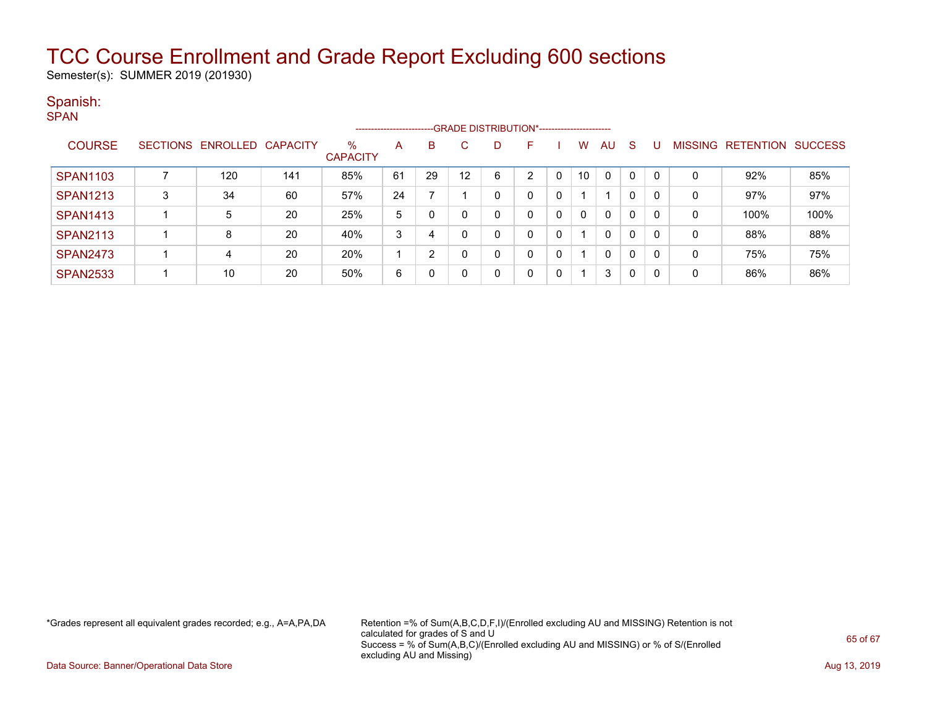Semester(s): SUMMER 2019 (201930)

### Spanish:

|                 |                            |     |                         | ----------------------- |    |    |   | -- GRADE DISTRIBUTION*----------------------- |          |          |              |              |              |   |                                  |      |
|-----------------|----------------------------|-----|-------------------------|-------------------------|----|----|---|-----------------------------------------------|----------|----------|--------------|--------------|--------------|---|----------------------------------|------|
| <b>COURSE</b>   | SECTIONS ENROLLED CAPACITY |     | $\%$<br><b>CAPACITY</b> | A                       | B  | C. |   | н.                                            |          | w        | AU           | <sub>S</sub> | U            |   | <b>MISSING RETENTION SUCCESS</b> |      |
| <b>SPAN1103</b> | 120                        | 141 | 85%                     | 61                      | 29 | 12 | 6 | ົ                                             | $\Omega$ | 10       | $\Omega$     |              | 0            | 0 | 92%                              | 85%  |
| <b>SPAN1213</b> | 34                         | 60  | 57%                     | 24                      |    |    |   |                                               | 0        |          |              | 0            | 0            | 0 | 97%                              | 97%  |
| <b>SPAN1413</b> | 5                          | 20  | 25%                     | 5                       | 0  |    |   |                                               | 0        | $\Omega$ | 0            | $\mathbf 0$  | 0            | 0 | 100%                             | 100% |
| <b>SPAN2113</b> | 8                          | 20  | 40%                     | 3                       |    | 0  |   |                                               | 0        |          | $\mathbf{0}$ | $\mathbf 0$  | 0            | 0 | 88%                              | 88%  |
| <b>SPAN2473</b> | 4                          | 20  | 20%                     |                         | റ  |    |   |                                               | 0        |          | 0            | $\mathbf 0$  | 0            | 0 | 75%                              | 75%  |
| <b>SPAN2533</b> | 10                         | 20  | 50%                     | 6                       | 0  |    |   |                                               | 0        |          | 3            | 0            | $\mathbf{0}$ | 0 | 86%                              | 86%  |

\*Grades represent all equivalent grades recorded; e.g., A=A,PA,DA Retention =% of Sum(A,B,C,D,F,I)/(Enrolled excluding AU and MISSING) Retention is not calculated for grades of S and U Success = % of Sum(A,B,C)/(Enrolled excluding AU and MISSING) or % of S/(Enrolled excluding AU and Missing)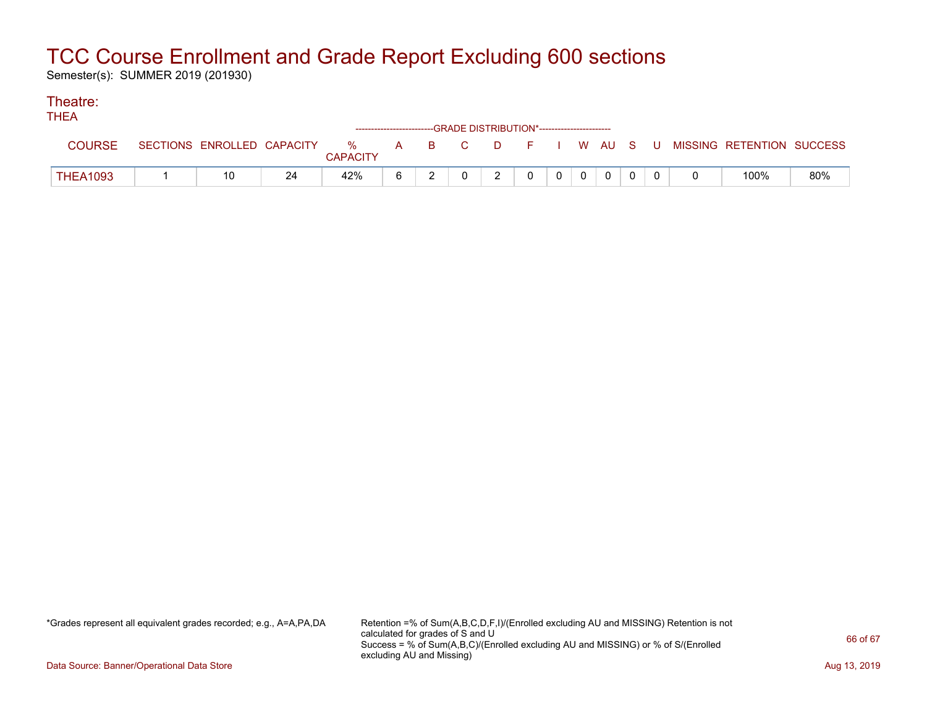Semester(s): SUMMER 2019 (201930)

#### Theatre: THEA

| INCA            |                            |    |                 |   |  |               | ------------------------GRADE DISTRIBUTION*----------------------- |       |              |  |                                                  |     |
|-----------------|----------------------------|----|-----------------|---|--|---------------|--------------------------------------------------------------------|-------|--------------|--|--------------------------------------------------|-----|
|                 | SECTIONS ENROLLED CAPACITY |    | <b>CAPACITY</b> |   |  |               |                                                                    |       |              |  | % A B C D F I W AU S U MISSING—RETENTION SUCCESS |     |
| <b>THEA1093</b> |                            | 24 | 42%             | 6 |  | $\mathcal{P}$ | $\Omega$                                                           | $0$ 0 | $\mathbf{0}$ |  | 100%                                             | 80% |

\*Grades represent all equivalent grades recorded; e.g., A=A,PA,DA Retention =% of Sum(A,B,C,D,F,I)/(Enrolled excluding AU and MISSING) Retention is not calculated for grades of S and U Success = % of Sum(A,B,C)/(Enrolled excluding AU and MISSING) or % of S/(Enrolled excluding AU and Missing)